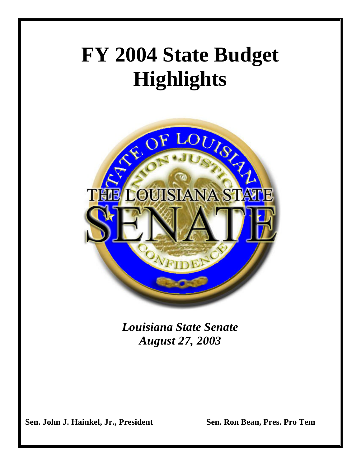## **FY 2004 State Budget Highlights**



*Louisiana State Senate August 27, 2003*

 **Sen. John J. Hainkel, Jr., President Sen. Ron Bean, Pres. Pro Tem**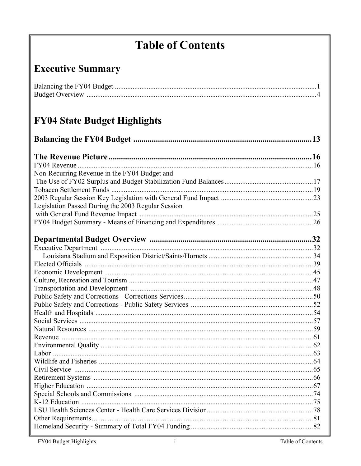## **Table of Contents**

## **Executive Summary**

## FY04 State Budget Highlights

| Non-Recurring Revenue in the FY04 Budget and       |  |
|----------------------------------------------------|--|
|                                                    |  |
|                                                    |  |
|                                                    |  |
| Legislation Passed During the 2003 Regular Session |  |
|                                                    |  |
|                                                    |  |
|                                                    |  |
|                                                    |  |
|                                                    |  |
|                                                    |  |
|                                                    |  |
|                                                    |  |
|                                                    |  |
|                                                    |  |
|                                                    |  |
|                                                    |  |
|                                                    |  |
|                                                    |  |
|                                                    |  |
|                                                    |  |
|                                                    |  |
|                                                    |  |
|                                                    |  |
|                                                    |  |
|                                                    |  |
|                                                    |  |
|                                                    |  |
|                                                    |  |
|                                                    |  |
|                                                    |  |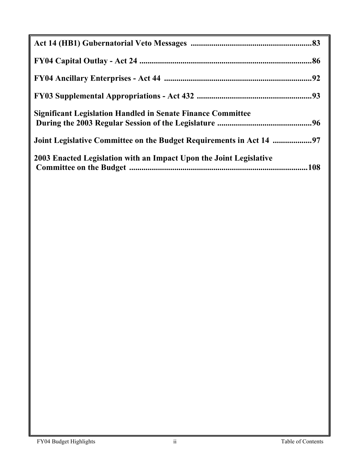| <b>Significant Legislation Handled in Senate Finance Committee</b> |  |
|--------------------------------------------------------------------|--|
|                                                                    |  |
| 2003 Enacted Legislation with an Impact Upon the Joint Legislative |  |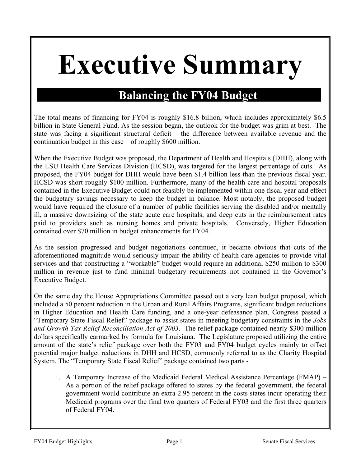# **Executive Summary**

## **Balancing the FY04 Budget**

The total means of financing for FY04 is roughly \$16.8 billion, which includes approximately \$6.5 billion in State General Fund. As the session began, the outlook for the budget was grim at best. The state was facing a significant structural deficit – the difference between available revenue and the continuation budget in this case – of roughly \$600 million.

When the Executive Budget was proposed, the Department of Health and Hospitals (DHH), along with the LSU Health Care Services Division (HCSD), was targeted for the largest percentage of cuts. As proposed, the FY04 budget for DHH would have been \$1.4 billion less than the previous fiscal year. HCSD was short roughly \$100 million. Furthermore, many of the health care and hospital proposals contained in the Executive Budget could not feasibly be implemented within one fiscal year and effect the budgetary savings necessary to keep the budget in balance. Most notably, the proposed budget would have required the closure of a number of public facilities serving the disabled and/or mentally ill, a massive downsizing of the state acute care hospitals, and deep cuts in the reimbursement rates paid to providers such as nursing homes and private hospitals. Conversely, Higher Education contained over \$70 million in budget enhancements for FY04.

As the session progressed and budget negotiations continued, it became obvious that cuts of the aforementioned magnitude would seriously impair the ability of health care agencies to provide vital services and that constructing a "workable" budget would require an additional \$250 million to \$300 million in revenue just to fund minimal budgetary requirements not contained in the Governor's Executive Budget.

On the same day the House Appropriations Committee passed out a very lean budget proposal, which included a 50 percent reduction in the Urban and Rural Affairs Programs, significant budget reductions in Higher Education and Health Care funding, and a one-year defeasance plan, Congress passed a "Temporary State Fiscal Relief" package to assist states in meeting budgetary constraints in the *Jobs and Growth Tax Relief Reconciliation Act of 2003*. The relief package contained nearly \$300 million dollars specifically earmarked by formula for Louisiana. The Legislature proposed utilizing the entire amount of the state's relief package over both the FY03 and FY04 budget cycles mainly to offset potential major budget reductions in DHH and HCSD, commonly referred to as the Charity Hospital System. The "Temporary State Fiscal Relief" package contained two parts -

1. A Temporary Increase of the Medicaid Federal Medical Assistance Percentage (FMAP) – As a portion of the relief package offered to states by the federal government, the federal government would contribute an extra 2.95 percent in the costs states incur operating their Medicaid programs over the final two quarters of Federal FY03 and the first three quarters of Federal FY04.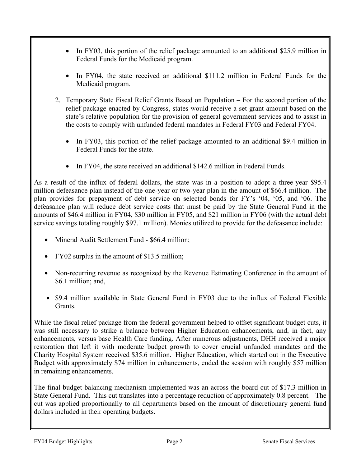- In FY03, this portion of the relief package amounted to an additional \$25.9 million in Federal Funds for the Medicaid program.
- In FY04, the state received an additional \$111.2 million in Federal Funds for the Medicaid program.
- 2. Temporary State Fiscal Relief Grants Based on Population For the second portion of the relief package enacted by Congress, states would receive a set grant amount based on the state's relative population for the provision of general government services and to assist in the costs to comply with unfunded federal mandates in Federal FY03 and Federal FY04.
	- In FY03, this portion of the relief package amounted to an additional \$9.4 million in Federal Funds for the state.
	- In FY04, the state received an additional \$142.6 million in Federal Funds.

As a result of the influx of federal dollars, the state was in a position to adopt a three-year \$95.4 million defeasance plan instead of the one-year or two-year plan in the amount of \$66.4 million. The plan provides for prepayment of debt service on selected bonds for FY's '04, '05, and '06. The defeasance plan will reduce debt service costs that must be paid by the State General Fund in the amounts of \$46.4 million in FY04, \$30 million in FY05, and \$21 million in FY06 (with the actual debt service savings totaling roughly \$97.1 million). Monies utilized to provide for the defeasance include:

- Mineral Audit Settlement Fund \$66.4 million;
- FY02 surplus in the amount of \$13.5 million;
- Non-recurring revenue as recognized by the Revenue Estimating Conference in the amount of \$6.1 million; and,
- \$9.4 million available in State General Fund in FY03 due to the influx of Federal Flexible **Grants**

While the fiscal relief package from the federal government helped to offset significant budget cuts, it was still necessary to strike a balance between Higher Education enhancements, and, in fact, any enhancements, versus base Health Care funding. After numerous adjustments, DHH received a major restoration that left it with moderate budget growth to cover crucial unfunded mandates and the Charity Hospital System received \$35.6 million. Higher Education, which started out in the Executive Budget with approximately \$74 million in enhancements, ended the session with roughly \$57 million in remaining enhancements.

The final budget balancing mechanism implemented was an across-the-board cut of \$17.3 million in State General Fund. This cut translates into a percentage reduction of approximately 0.8 percent. The cut was applied proportionally to all departments based on the amount of discretionary general fund dollars included in their operating budgets.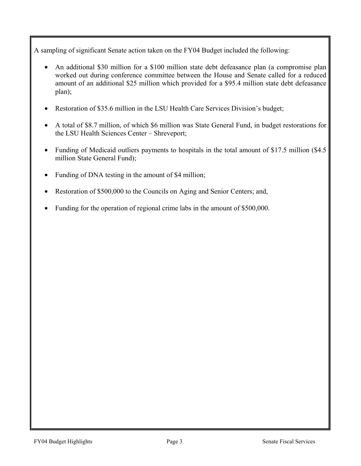A sampling of significant Senate action taken on the FY04 Budget included the following:

- An additional \$30 million for a \$100 million state debt defeasance plan (a compromise plan worked out during conference committee between the House and Senate called for a reduced amount of an additional \$25 million which provided for a \$95.4 million state debt defeasance plan);
- Restoration of \$35.6 million in the LSU Health Care Services Division's budget;
- A total of \$8.7 million, of which \$6 million was State General Fund, in budget restorations for the LSU Health Sciences Center – Shreveport;
- Funding of Medicaid outliers payments to hospitals in the total amount of \$17.5 million (\$4.5) million State General Fund);
- Funding of DNA testing in the amount of \$4 million;
- Restoration of \$500,000 to the Councils on Aging and Senior Centers; and,
- Funding for the operation of regional crime labs in the amount of \$500,000.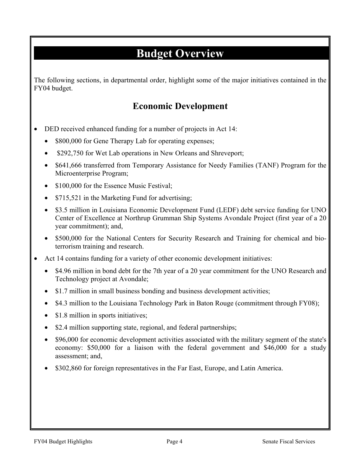## **Budget Overview**

The following sections, in departmental order, highlight some of the major initiatives contained in the FY04 budget.

### **Economic Development**

- DED received enhanced funding for a number of projects in Act 14:
	- \$800,000 for Gene Therapy Lab for operating expenses;
	- \$292,750 for Wet Lab operations in New Orleans and Shreveport;
	- \$641,666 transferred from Temporary Assistance for Needy Families (TANF) Program for the Microenterprise Program;
	- \$100,000 for the Essence Music Festival;
	- \$715,521 in the Marketing Fund for advertising;
	- \$3.5 million in Louisiana Economic Development Fund (LEDF) debt service funding for UNO Center of Excellence at Northrup Grumman Ship Systems Avondale Project (first year of a 20 year commitment); and,
	- \$500,000 for the National Centers for Security Research and Training for chemical and bioterrorism training and research.
- Act 14 contains funding for a variety of other economic development initiatives:
	- \$4.96 million in bond debt for the 7th year of a 20 year commitment for the UNO Research and Technology project at Avondale;
	- \$1.7 million in small business bonding and business development activities;
	- \$4.3 million to the Louisiana Technology Park in Baton Rouge (commitment through FY08);
	- \$1.8 million in sports initiatives;
	- \$2.4 million supporting state, regional, and federal partnerships;
	- \$96,000 for economic development activities associated with the military segment of the state's economy: \$50,000 for a liaison with the federal government and \$46,000 for a study assessment; and,
	- \$302,860 for foreign representatives in the Far East, Europe, and Latin America.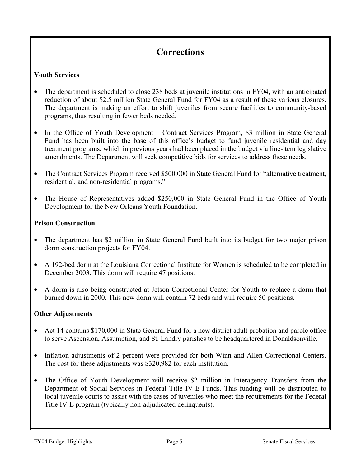### **Corrections**

### **Youth Services**

- The department is scheduled to close 238 beds at juvenile institutions in FY04, with an anticipated reduction of about \$2.5 million State General Fund for FY04 as a result of these various closures. The department is making an effort to shift juveniles from secure facilities to community-based programs, thus resulting in fewer beds needed.
- In the Office of Youth Development Contract Services Program, \$3 million in State General Fund has been built into the base of this office's budget to fund juvenile residential and day treatment programs, which in previous years had been placed in the budget via line-item legislative amendments. The Department will seek competitive bids for services to address these needs.
- The Contract Services Program received \$500,000 in State General Fund for "alternative treatment, residential, and non-residential programs."
- The House of Representatives added \$250,000 in State General Fund in the Office of Youth Development for the New Orleans Youth Foundation.

### **Prison Construction**

- The department has \$2 million in State General Fund built into its budget for two major prison dorm construction projects for FY04.
- A 192-bed dorm at the Louisiana Correctional Institute for Women is scheduled to be completed in December 2003. This dorm will require 47 positions.
- A dorm is also being constructed at Jetson Correctional Center for Youth to replace a dorm that burned down in 2000. This new dorm will contain 72 beds and will require 50 positions.

### **Other Adjustments**

- Act 14 contains \$170,000 in State General Fund for a new district adult probation and parole office to serve Ascension, Assumption, and St. Landry parishes to be headquartered in Donaldsonville.
- Inflation adjustments of 2 percent were provided for both Winn and Allen Correctional Centers. The cost for these adjustments was \$320,982 for each institution.
- The Office of Youth Development will receive \$2 million in Interagency Transfers from the Department of Social Services in Federal Title IV-E Funds. This funding will be distributed to local juvenile courts to assist with the cases of juveniles who meet the requirements for the Federal Title IV-E program (typically non-adjudicated delinquents).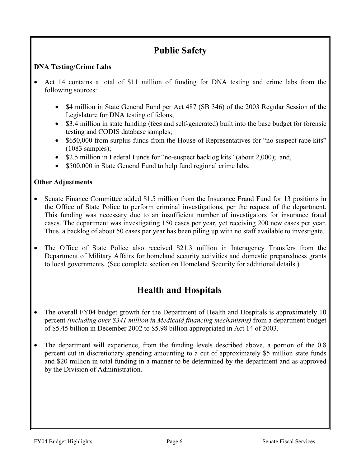## **Public Safety**

### **DNA Testing/Crime Labs**

- Act 14 contains a total of \$11 million of funding for DNA testing and crime labs from the following sources:
	- \$4 million in State General Fund per Act 487 (SB 346) of the 2003 Regular Session of the Legislature for DNA testing of felons;
	- \$3.4 million in state funding (fees and self-generated) built into the base budget for forensic testing and CODIS database samples;
	- \$650,000 from surplus funds from the House of Representatives for "no-suspect rape kits" (1083 samples);
	- \$2.5 million in Federal Funds for "no-suspect backlog kits" (about 2,000); and,
	- \$500,000 in State General Fund to help fund regional crime labs.

### **Other Adjustments**

- Senate Finance Committee added \$1.5 million from the Insurance Fraud Fund for 13 positions in the Office of State Police to perform criminal investigations, per the request of the department. This funding was necessary due to an insufficient number of investigators for insurance fraud cases. The department was investigating 150 cases per year, yet receiving 200 new cases per year. Thus, a backlog of about 50 cases per year has been piling up with no staff available to investigate.
- The Office of State Police also received \$21.3 million in Interagency Transfers from the Department of Military Affairs for homeland security activities and domestic preparedness grants to local governments. (See complete section on Homeland Security for additional details.)

## **Health and Hospitals**

- The overall FY04 budget growth for the Department of Health and Hospitals is approximately 10 percent *(including over \$341 million in Medicaid financing mechanisms)* from a department budget of \$5.45 billion in December 2002 to \$5.98 billion appropriated in Act 14 of 2003.
- The department will experience, from the funding levels described above, a portion of the 0.8 percent cut in discretionary spending amounting to a cut of approximately \$5 million state funds and \$20 million in total funding in a manner to be determined by the department and as approved by the Division of Administration.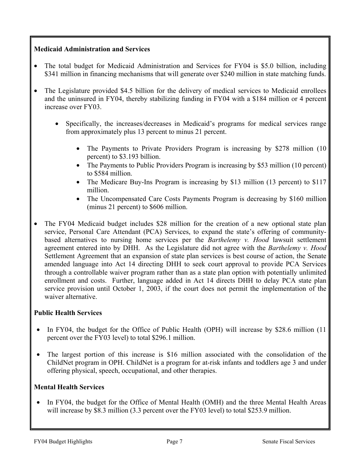### **Medicaid Administration and Services**

- The total budget for Medicaid Administration and Services for FY04 is \$5.0 billion, including \$341 million in financing mechanisms that will generate over \$240 million in state matching funds.
- The Legislature provided \$4.5 billion for the delivery of medical services to Medicaid enrollees and the uninsured in FY04, thereby stabilizing funding in FY04 with a \$184 million or 4 percent increase over FY03.
	- Specifically, the increases/decreases in Medicaid's programs for medical services range from approximately plus 13 percent to minus 21 percent.
		- The Payments to Private Providers Program is increasing by \$278 million (10) percent) to \$3.193 billion.
		- The Payments to Public Providers Program is increasing by \$53 million (10 percent) to \$584 million.
		- The Medicare Buy-Ins Program is increasing by \$13 million (13 percent) to \$117 million.
		- The Uncompensated Care Costs Payments Program is decreasing by \$160 million (minus 21 percent) to \$606 million.
- The FY04 Medicaid budget includes \$28 million for the creation of a new optional state plan service, Personal Care Attendant (PCA) Services, to expand the state's offering of communitybased alternatives to nursing home services per the *Barthelemy v. Hood* lawsuit settlement agreement entered into by DHH. As the Legislature did not agree with the *Barthelemy v. Hood* Settlement Agreement that an expansion of state plan services is best course of action, the Senate amended language into Act 14 directing DHH to seek court approval to provide PCA Services through a controllable waiver program rather than as a state plan option with potentially unlimited enrollment and costs. Further, language added in Act 14 directs DHH to delay PCA state plan service provision until October 1, 2003, if the court does not permit the implementation of the waiver alternative.

### **Public Health Services**

- In FY04, the budget for the Office of Public Health (OPH) will increase by \$28.6 million (11) percent over the FY03 level) to total \$296.1 million.
- The largest portion of this increase is \$16 million associated with the consolidation of the ChildNet program in OPH. ChildNet is a program for at-risk infants and toddlers age 3 and under offering physical, speech, occupational, and other therapies.

### **Mental Health Services**

In FY04, the budget for the Office of Mental Health (OMH) and the three Mental Health Areas will increase by \$8.3 million (3.3 percent over the FY03 level) to total \$253.9 million.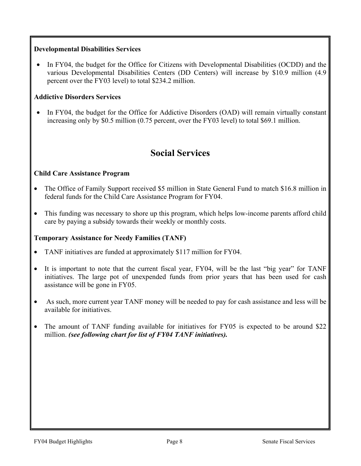### **Developmental Disabilities Services**

• In FY04, the budget for the Office for Citizens with Developmental Disabilities (OCDD) and the various Developmental Disabilities Centers (DD Centers) will increase by \$10.9 million (4.9 percent over the FY03 level) to total \$234.2 million.

### **Addictive Disorders Services**

• In FY04, the budget for the Office for Addictive Disorders (OAD) will remain virtually constant increasing only by \$0.5 million (0.75 percent, over the FY03 level) to total \$69.1 million.

### **Social Services**

### **Child Care Assistance Program**

- The Office of Family Support received \$5 million in State General Fund to match \$16.8 million in federal funds for the Child Care Assistance Program for FY04.
- This funding was necessary to shore up this program, which helps low-income parents afford child care by paying a subsidy towards their weekly or monthly costs.

### **Temporary Assistance for Needy Families (TANF)**

- TANF initiatives are funded at approximately \$117 million for FY04.
- It is important to note that the current fiscal year, FY04, will be the last "big year" for TANF initiatives. The large pot of unexpended funds from prior years that has been used for cash assistance will be gone in FY05.
- As such, more current year TANF money will be needed to pay for cash assistance and less will be available for initiatives.
- The amount of TANF funding available for initiatives for FY05 is expected to be around \$22 million. *(see following chart for list of FY04 TANF initiatives).*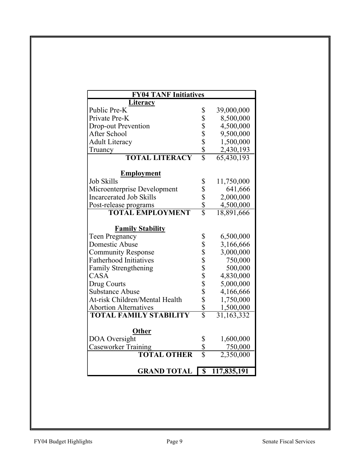| <b>FY04 TANF Initiatives</b>   |                            |             |  |  |  |  |  |
|--------------------------------|----------------------------|-------------|--|--|--|--|--|
| Literacy                       |                            |             |  |  |  |  |  |
| Public Pre-K                   | \$                         | 39,000,000  |  |  |  |  |  |
| Private Pre-K                  | \$                         | 8,500,000   |  |  |  |  |  |
| <b>Drop-out Prevention</b>     |                            | 4,500,000   |  |  |  |  |  |
| After School                   |                            | 9,500,000   |  |  |  |  |  |
| <b>Adult Literacy</b>          |                            | 1,500,000   |  |  |  |  |  |
| Truancy                        | \$<br>\$<br>\$<br>\$<br>\$ | 2,430,193   |  |  |  |  |  |
| <b>TOTAL LITERACY</b>          |                            | 65,430,193  |  |  |  |  |  |
| <b>Employment</b>              |                            |             |  |  |  |  |  |
| <b>Job Skills</b>              | \$                         | 11,750,000  |  |  |  |  |  |
| Microenterprise Development    |                            | 641,666     |  |  |  |  |  |
| <b>Incarcerated Job Skills</b> |                            | 2,000,000   |  |  |  |  |  |
| Post-release programs          | $\frac{1}{3}$              | 4,500,000   |  |  |  |  |  |
| <b>TOTAL EMPLOYMENT</b>        |                            | 18,891,666  |  |  |  |  |  |
| <b>Family Stability</b>        |                            |             |  |  |  |  |  |
| <b>Teen Pregnancy</b>          |                            | 6,500,000   |  |  |  |  |  |
| Domestic Abuse                 |                            | 3,166,666   |  |  |  |  |  |
| <b>Community Response</b>      |                            | 3,000,000   |  |  |  |  |  |
| <b>Fatherhood Initiatives</b>  |                            | 750,000     |  |  |  |  |  |
| <b>Family Strengthening</b>    |                            | 500,000     |  |  |  |  |  |
| CASA                           |                            | 4,830,000   |  |  |  |  |  |
| Drug Courts                    |                            | 5,000,000   |  |  |  |  |  |
| <b>Substance Abuse</b>         |                            | 4,166,666   |  |  |  |  |  |
| At-risk Children/Mental Health |                            | 1,750,000   |  |  |  |  |  |
| <b>Abortion Alternatives</b>   |                            | 1,500,000   |  |  |  |  |  |
| <b>TOTAL FAMILY STABILITY</b>  |                            | 31,163,332  |  |  |  |  |  |
| Other                          |                            |             |  |  |  |  |  |
| DOA Oversight                  |                            | 1,600,000   |  |  |  |  |  |
| <b>Caseworker Training</b>     | Տ<br>Տ<br>Տ                | 750,000     |  |  |  |  |  |
| <b>TOTAL OTHER</b>             |                            | 2,350,000   |  |  |  |  |  |
|                                |                            |             |  |  |  |  |  |
| <b>GRAND TOTAL</b>             | $\overline{\$}$            | 117,835,191 |  |  |  |  |  |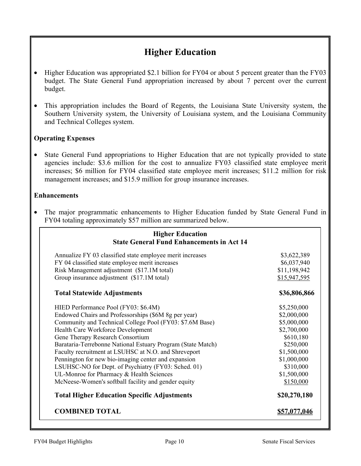## **Higher Education**

- Higher Education was appropriated \$2.1 billion for FY04 or about 5 percent greater than the FY03 budget. The State General Fund appropriation increased by about 7 percent over the current budget.
- This appropriation includes the Board of Regents, the Louisiana State University system, the Southern University system, the University of Louisiana system, and the Louisiana Community and Technical Colleges system.

### **Operating Expenses**

• State General Fund appropriations to Higher Education that are not typically provided to state agencies include: \$3.6 million for the cost to annualize FY03 classified state employee merit increases; \$6 million for FY04 classified state employee merit increases; \$11.2 million for risk management increases; and \$15.9 million for group insurance increases.

#### **Enhancements**

• The major programmatic enhancements to Higher Education funded by State General Fund in FY04 totaling approximately \$57 million are summarized below.

| <b>Higher Education</b><br><b>State General Fund Enhancements in Act 14</b>                   |                             |  |  |  |
|-----------------------------------------------------------------------------------------------|-----------------------------|--|--|--|
| Annualize FY 03 classified state employee merit increases                                     | \$3,622,389                 |  |  |  |
| FY 04 classified state employee merit increases<br>Risk Management adjustment (\$17.1M total) | \$6,037,940<br>\$11,198,942 |  |  |  |
| Group insurance adjustment (\$17.1M total)                                                    | \$15,947,595                |  |  |  |
| <b>Total Statewide Adjustments</b>                                                            | \$36,806,866                |  |  |  |
| HIED Performance Pool (FY03: \$6.4M)                                                          | \$5,250,000                 |  |  |  |
| Endowed Chairs and Professorships (\$6M 8g per year)                                          | \$2,000,000                 |  |  |  |
| Community and Technical College Pool (FY03: \$7.6M Base)                                      | \$5,000,000                 |  |  |  |
| Health Care Workforce Development                                                             | \$2,700,000                 |  |  |  |
| Gene Therapy Research Consortium                                                              | \$610,180                   |  |  |  |
| Barataria-Terrebonne National Estuary Program (State Match)                                   | \$250,000                   |  |  |  |
| Faculty recruitment at LSUHSC at N.O. and Shreveport                                          | \$1,500,000                 |  |  |  |
| Pennington for new bio-imaging center and expansion                                           | \$1,000,000                 |  |  |  |
| LSUHSC-NO for Dept. of Psychiatry (FY03: Sched. 01)                                           | \$310,000                   |  |  |  |
| UL-Monroe for Pharmacy & Health Sciences                                                      | \$1,500,000                 |  |  |  |
| McNeese-Women's softball facility and gender equity                                           | \$150,000                   |  |  |  |
| <b>Total Higher Education Specific Adjustments</b>                                            | \$20,270,180                |  |  |  |
| <b>COMBINED TOTAL</b>                                                                         | \$57,077,046                |  |  |  |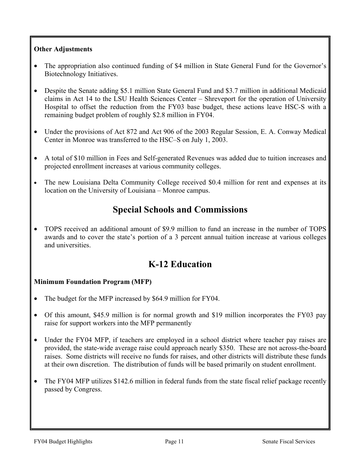### **Other Adjustments**

- The appropriation also continued funding of \$4 million in State General Fund for the Governor's Biotechnology Initiatives.
- Despite the Senate adding \$5.1 million State General Fund and \$3.7 million in additional Medicaid claims in Act 14 to the LSU Health Sciences Center – Shreveport for the operation of University Hospital to offset the reduction from the FY03 base budget, these actions leave HSC-S with a remaining budget problem of roughly \$2.8 million in FY04.
- Under the provisions of Act 872 and Act 906 of the 2003 Regular Session, E. A. Conway Medical Center in Monroe was transferred to the HSC–S on July 1, 2003.
- A total of \$10 million in Fees and Self-generated Revenues was added due to tuition increases and projected enrollment increases at various community colleges.
- The new Louisiana Delta Community College received \$0.4 million for rent and expenses at its location on the University of Louisiana – Monroe campus.

### **Special Schools and Commissions**

• TOPS received an additional amount of \$9.9 million to fund an increase in the number of TOPS awards and to cover the state's portion of a 3 percent annual tuition increase at various colleges and universities.

### **K-12 Education**

### **Minimum Foundation Program (MFP)**

- The budget for the MFP increased by \$64.9 million for FY04.
- Of this amount, \$45.9 million is for normal growth and \$19 million incorporates the FY03 pay raise for support workers into the MFP permanently
- Under the FY04 MFP, if teachers are employed in a school district where teacher pay raises are provided, the state-wide average raise could approach nearly \$350. These are not across-the-board raises. Some districts will receive no funds for raises, and other districts will distribute these funds at their own discretion. The distribution of funds will be based primarily on student enrollment.
- The FY04 MFP utilizes \$142.6 million in federal funds from the state fiscal relief package recently passed by Congress.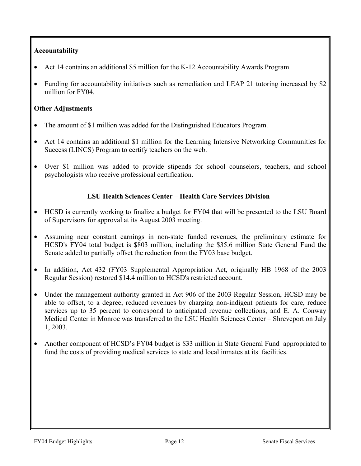### **Accountability**

- Act 14 contains an additional \$5 million for the K-12 Accountability Awards Program.
- Funding for accountability initiatives such as remediation and LEAP 21 tutoring increased by \$2 million for FY04.

### **Other Adjustments**

- The amount of \$1 million was added for the Distinguished Educators Program.
- Act 14 contains an additional \$1 million for the Learning Intensive Networking Communities for Success (LINCS) Program to certify teachers on the web.
- Over \$1 million was added to provide stipends for school counselors, teachers, and school psychologists who receive professional certification.

### **LSU Health Sciences Center – Health Care Services Division**

- HCSD is currently working to finalize a budget for FY04 that will be presented to the LSU Board of Supervisors for approval at its August 2003 meeting.
- Assuming near constant earnings in non-state funded revenues, the preliminary estimate for HCSD's FY04 total budget is \$803 million, including the \$35.6 million State General Fund the Senate added to partially offset the reduction from the FY03 base budget.
- In addition, Act 432 (FY03 Supplemental Appropriation Act, originally HB 1968 of the 2003 Regular Session) restored \$14.4 million to HCSD's restricted account.
- Under the management authority granted in Act 906 of the 2003 Regular Session, HCSD may be able to offset, to a degree, reduced revenues by charging non-indigent patients for care, reduce services up to 35 percent to correspond to anticipated revenue collections, and E. A. Conway Medical Center in Monroe was transferred to the LSU Health Sciences Center – Shreveport on July 1, 2003.
- Another component of HCSD's FY04 budget is \$33 million in State General Fund appropriated to fund the costs of providing medical services to state and local inmates at its facilities.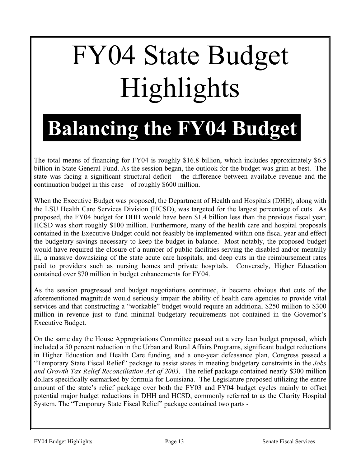# FY04 State Budget Highlights

## **Balancing the FY04 Budget**

The total means of financing for FY04 is roughly \$16.8 billion, which includes approximately \$6.5 billion in State General Fund. As the session began, the outlook for the budget was grim at best. The state was facing a significant structural deficit – the difference between available revenue and the continuation budget in this case – of roughly \$600 million.

When the Executive Budget was proposed, the Department of Health and Hospitals (DHH), along with the LSU Health Care Services Division (HCSD), was targeted for the largest percentage of cuts. As proposed, the FY04 budget for DHH would have been \$1.4 billion less than the previous fiscal year. HCSD was short roughly \$100 million. Furthermore, many of the health care and hospital proposals contained in the Executive Budget could not feasibly be implemented within one fiscal year and effect the budgetary savings necessary to keep the budget in balance. Most notably, the proposed budget would have required the closure of a number of public facilities serving the disabled and/or mentally ill, a massive downsizing of the state acute care hospitals, and deep cuts in the reimbursement rates paid to providers such as nursing homes and private hospitals. Conversely, Higher Education contained over \$70 million in budget enhancements for FY04.

As the session progressed and budget negotiations continued, it became obvious that cuts of the aforementioned magnitude would seriously impair the ability of health care agencies to provide vital services and that constructing a "workable" budget would require an additional \$250 million to \$300 million in revenue just to fund minimal budgetary requirements not contained in the Governor's Executive Budget.

On the same day the House Appropriations Committee passed out a very lean budget proposal, which included a 50 percent reduction in the Urban and Rural Affairs Programs, significant budget reductions in Higher Education and Health Care funding, and a one-year defeasance plan, Congress passed a "Temporary State Fiscal Relief" package to assist states in meeting budgetary constraints in the *Jobs and Growth Tax Relief Reconciliation Act of 2003*. The relief package contained nearly \$300 million dollars specifically earmarked by formula for Louisiana. The Legislature proposed utilizing the entire amount of the state's relief package over both the FY03 and FY04 budget cycles mainly to offset potential major budget reductions in DHH and HCSD, commonly referred to as the Charity Hospital System. The "Temporary State Fiscal Relief" package contained two parts -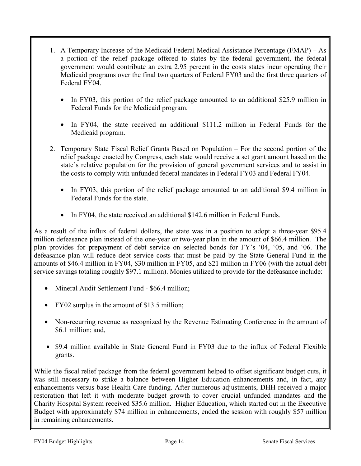- 1. A Temporary Increase of the Medicaid Federal Medical Assistance Percentage (FMAP) As a portion of the relief package offered to states by the federal government, the federal government would contribute an extra 2.95 percent in the costs states incur operating their Medicaid programs over the final two quarters of Federal FY03 and the first three quarters of Federal FY04.
	- In FY03, this portion of the relief package amounted to an additional \$25.9 million in Federal Funds for the Medicaid program.
	- In FY04, the state received an additional \$111.2 million in Federal Funds for the Medicaid program.
- 2. Temporary State Fiscal Relief Grants Based on Population For the second portion of the relief package enacted by Congress, each state would receive a set grant amount based on the state's relative population for the provision of general government services and to assist in the costs to comply with unfunded federal mandates in Federal FY03 and Federal FY04.
	- In FY03, this portion of the relief package amounted to an additional \$9.4 million in Federal Funds for the state.
	- In FY04, the state received an additional \$142.6 million in Federal Funds.

As a result of the influx of federal dollars, the state was in a position to adopt a three-year \$95.4 million defeasance plan instead of the one-year or two-year plan in the amount of \$66.4 million. The plan provides for prepayment of debt service on selected bonds for FY's '04, '05, and '06. The defeasance plan will reduce debt service costs that must be paid by the State General Fund in the amounts of \$46.4 million in FY04, \$30 million in FY05, and \$21 million in FY06 (with the actual debt service savings totaling roughly \$97.1 million). Monies utilized to provide for the defeasance include:

- Mineral Audit Settlement Fund \$66.4 million;
- FY02 surplus in the amount of \$13.5 million;
- Non-recurring revenue as recognized by the Revenue Estimating Conference in the amount of \$6.1 million; and,
- \$9.4 million available in State General Fund in FY03 due to the influx of Federal Flexible grants.

While the fiscal relief package from the federal government helped to offset significant budget cuts, it was still necessary to strike a balance between Higher Education enhancements and, in fact, any enhancements versus base Health Care funding. After numerous adjustments, DHH received a major restoration that left it with moderate budget growth to cover crucial unfunded mandates and the Charity Hospital System received \$35.6 million. Higher Education, which started out in the Executive Budget with approximately \$74 million in enhancements, ended the session with roughly \$57 million in remaining enhancements.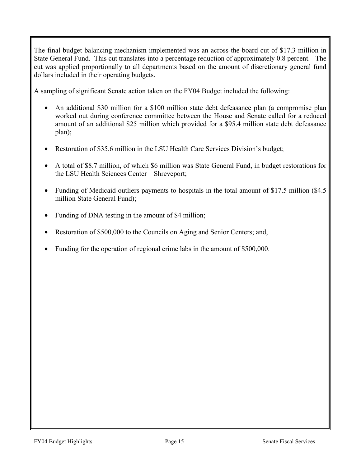The final budget balancing mechanism implemented was an across-the-board cut of \$17.3 million in State General Fund. This cut translates into a percentage reduction of approximately 0.8 percent. The cut was applied proportionally to all departments based on the amount of discretionary general fund dollars included in their operating budgets.

A sampling of significant Senate action taken on the FY04 Budget included the following:

- An additional \$30 million for a \$100 million state debt defeasance plan (a compromise plan worked out during conference committee between the House and Senate called for a reduced amount of an additional \$25 million which provided for a \$95.4 million state debt defeasance plan);
- Restoration of \$35.6 million in the LSU Health Care Services Division's budget;
- A total of \$8.7 million, of which \$6 million was State General Fund, in budget restorations for the LSU Health Sciences Center – Shreveport;
- Funding of Medicaid outliers payments to hospitals in the total amount of \$17.5 million (\$4.5) million State General Fund);
- Funding of DNA testing in the amount of \$4 million;
- Restoration of \$500,000 to the Councils on Aging and Senior Centers; and,
- Funding for the operation of regional crime labs in the amount of \$500,000.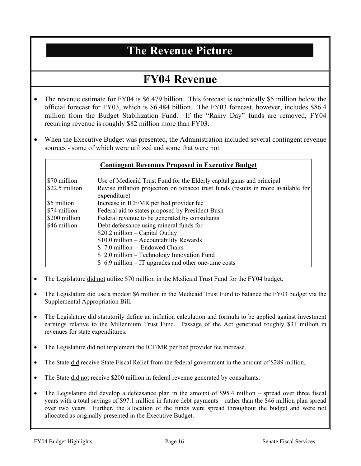## **The Revenue Picture**

## **FY04 Revenue**

- The revenue estimate for FY04 is \$6.479 billion. This forecast is technically \$5 million below the official forecast for FY03, which is \$6.484 billion. The FY03 forecast, however, includes \$86.4 million from the Budget Stabilization Fund. If the "Rainy Day" funds are removed, FY04 recurring revenue is roughly \$82 million more than FY03.
- When the Executive Budget was presented, the Administration included several contingent revenue sources - some of which were utilized and some that were not.

#### **Contingent Revenues Proposed in Executive Budget**

| \$70 million   | Use of Medicaid Trust Fund for the Elderly capital gains and principal            |
|----------------|-----------------------------------------------------------------------------------|
| \$22.5 million | Revise inflation projection on tobacco trust funds (results in more available for |
|                | expenditure)                                                                      |
| \$5 million    | Increase in ICF/MR per bed provider fee                                           |
| \$74 million   | Federal aid to states proposed by President Bush                                  |
| \$200 million  | Federal revenue to be generated by consultants                                    |
| \$46 million   | Debt defeasance using mineral funds for                                           |
|                | $$20.2$ million – Capital Outlay                                                  |
|                | \$10.0 million - Accountability Rewards                                           |
|                | $$7.0$ million - Endowed Chairs                                                   |
|                | $$2.0$ million – Technology Innovation Fund                                       |
|                | $$6.9$ million – IT upgrades and other one-time costs                             |

- The Legislature did not utilize \$70 million in the Medicaid Trust Fund for the FY04 budget.
- The Legislature did use a modest \$6 million in the Medicaid Trust Fund to balance the FY03 budget via the Supplemental Appropriation Bill.
- The Legislature did statutorily define an inflation calculation and formula to be applied against investment earnings relative to the Millennium Trust Fund. Passage of the Act generated roughly \$31 million in revenues for state expenditures.
- The Legislature did not implement the ICF/MR per bed provider fee increase.
- The State did receive State Fiscal Relief from the federal government in the amount of \$289 million.
- The State did not receive \$200 million in federal revenue generated by consultants.
- The Legislature did develop a defeasance plan in the amount of \$95.4 million spread over three fiscal years with a total savings of \$97.1 million in future debt payments – rather than the \$46 million plan spread over two years. Further, the allocation of the funds were spread throughout the budget and were not allocated as originally presented in the Executive Budget.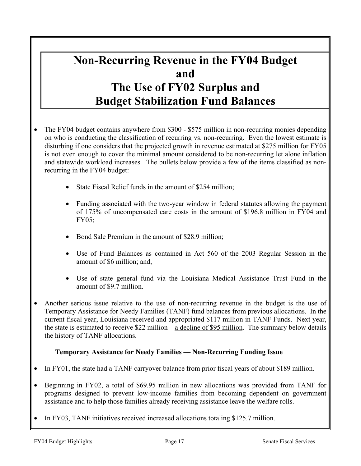## **Non-Recurring Revenue in the FY04 Budget and The Use of FY02 Surplus and Budget Stabilization Fund Balances**

- The FY04 budget contains anywhere from \$300 \$575 million in non-recurring monies depending on who is conducting the classification of recurring vs. non-recurring. Even the lowest estimate is disturbing if one considers that the projected growth in revenue estimated at \$275 million for FY05 is not even enough to cover the minimal amount considered to be non-recurring let alone inflation and statewide workload increases. The bullets below provide a few of the items classified as nonrecurring in the FY04 budget:
	- State Fiscal Relief funds in the amount of \$254 million;
	- Funding associated with the two-year window in federal statutes allowing the payment of 175% of uncompensated care costs in the amount of \$196.8 million in FY04 and FY05;
	- Bond Sale Premium in the amount of \$28.9 million;
	- Use of Fund Balances as contained in Act 560 of the 2003 Regular Session in the amount of \$6 million; and,
	- Use of state general fund via the Louisiana Medical Assistance Trust Fund in the amount of \$9.7 million.
- Another serious issue relative to the use of non-recurring revenue in the budget is the use of Temporary Assistance for Needy Families (TANF) fund balances from previous allocations. In the current fiscal year, Louisiana received and appropriated \$117 million in TANF Funds. Next year, the state is estimated to receive \$22 million – a decline of \$95 million. The summary below details the history of TANF allocations.

### **Temporary Assistance for Needy Families — Non-Recurring Funding Issue**

- In FY01, the state had a TANF carryover balance from prior fiscal years of about \$189 million.
- Beginning in FY02, a total of \$69.95 million in new allocations was provided from TANF for programs designed to prevent low-income families from becoming dependent on government assistance and to help those families already receiving assistance leave the welfare rolls.
- In FY03, TANF initiatives received increased allocations totaling \$125.7 million.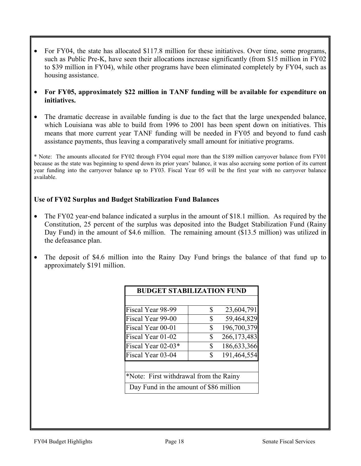- For FY04, the state has allocated \$117.8 million for these initiatives. Over time, some programs, such as Public Pre-K, have seen their allocations increase significantly (from \$15 million in FY02 to \$39 million in FY04), while other programs have been eliminated completely by FY04, such as housing assistance.
- **For FY05, approximately \$22 million in TANF funding will be available for expenditure on initiatives.**
- The dramatic decrease in available funding is due to the fact that the large unexpended balance, which Louisiana was able to build from 1996 to 2001 has been spent down on initiatives. This means that more current year TANF funding will be needed in FY05 and beyond to fund cash assistance payments, thus leaving a comparatively small amount for initiative programs.

\* Note: The amounts allocated for FY02 through FY04 equal more than the \$189 million carryover balance from FY01 because as the state was beginning to spend down its prior years' balance, it was also accruing some portion of its current year funding into the carryover balance up to FY03. Fiscal Year 05 will be the first year with no carryover balance available.

### **Use of FY02 Surplus and Budget Stabilization Fund Balances**

- The FY02 year-end balance indicated a surplus in the amount of \$18.1 million. As required by the Constitution, 25 percent of the surplus was deposited into the Budget Stabilization Fund (Rainy Day Fund) in the amount of \$4.6 million. The remaining amount (\$13.5 million) was utilized in the defeasance plan.
- The deposit of \$4.6 million into the Rainy Day Fund brings the balance of that fund up to approximately \$191 million.

| <b>BUDGET STABILIZATION FUND</b>       |    |               |  |  |  |
|----------------------------------------|----|---------------|--|--|--|
|                                        |    |               |  |  |  |
| Fiscal Year 98-99                      | \$ | 23,604,791    |  |  |  |
| Fiscal Year 99-00                      | \$ | 59,464,829    |  |  |  |
| Fiscal Year 00-01                      | \$ | 196,700,379   |  |  |  |
| Fiscal Year 01-02                      | \$ | 266, 173, 483 |  |  |  |
| Fiscal Year 02-03*                     | \$ | 186,633,366   |  |  |  |
| Fiscal Year 03-04                      | \$ | 191,464,554   |  |  |  |
|                                        |    |               |  |  |  |
| *Note: First withdrawal from the Rainy |    |               |  |  |  |
| Day Fund in the amount of \$86 million |    |               |  |  |  |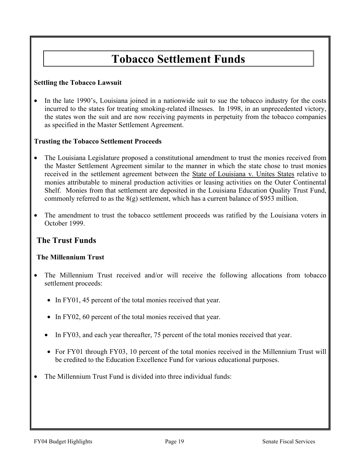## **Tobacco Settlement Funds**

### **Settling the Tobacco Lawsuit**

• In the late 1990's, Louisiana joined in a nationwide suit to sue the tobacco industry for the costs incurred to the states for treating smoking-related illnesses. In 1998, in an unprecedented victory, the states won the suit and are now receiving payments in perpetuity from the tobacco companies as specified in the Master Settlement Agreement.

### **Trusting the Tobacco Settlement Proceeds**

- The Louisiana Legislature proposed a constitutional amendment to trust the monies received from the Master Settlement Agreement similar to the manner in which the state chose to trust monies received in the settlement agreement between the State of Louisiana v. Unites States relative to monies attributable to mineral production activities or leasing activities on the Outer Continental Shelf. Monies from that settlement are deposited in the Louisiana Education Quality Trust Fund, commonly referred to as the 8(g) settlement, which has a current balance of \$953 million.
- The amendment to trust the tobacco settlement proceeds was ratified by the Louisiana voters in October 1999.

### **The Trust Funds**

### **The Millennium Trust**

- The Millennium Trust received and/or will receive the following allocations from tobacco settlement proceeds:
	- In FY01, 45 percent of the total monies received that year.
	- In FY02, 60 percent of the total monies received that year.
	- In FY03, and each year thereafter, 75 percent of the total monies received that year.
	- For FY01 through FY03, 10 percent of the total monies received in the Millennium Trust will be credited to the Education Excellence Fund for various educational purposes.
- The Millennium Trust Fund is divided into three individual funds: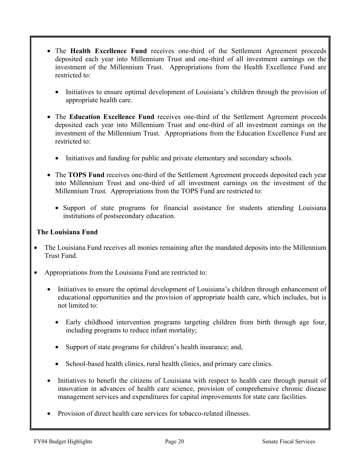- The **Health Excellence Fund** receives one-third of the Settlement Agreement proceeds deposited each year into Millennium Trust and one-third of all investment earnings on the investment of the Millennium Trust. Appropriations from the Health Excellence Fund are restricted to:
	- Initiatives to ensure optimal development of Louisiana's children through the provision of appropriate health care.
- The **Education Excellence Fund** receives one-third of the Settlement Agreement proceeds deposited each year into Millennium Trust and one-third of all investment earnings on the investment of the Millennium Trust. Appropriations from the Education Excellence Fund are restricted to:
	- Initiatives and funding for public and private elementary and secondary schools.
- The **TOPS Fund** receives one-third of the Settlement Agreement proceeds deposited each year into Millennium Trust and one-third of all investment earnings on the investment of the Millennium Trust. Appropriations from the TOPS Fund are restricted to:
	- Support of state programs for financial assistance for students attending Louisiana institutions of postsecondary education.

### **The Louisiana Fund**

- The Louisiana Fund receives all monies remaining after the mandated deposits into the Millennium Trust Fund.
- Appropriations from the Louisiana Fund are restricted to:
	- Initiatives to ensure the optimal development of Louisiana's children through enhancement of educational opportunities and the provision of appropriate health care, which includes, but is not limited to:
		- Early childhood intervention programs targeting children from birth through age four, including programs to reduce infant mortality;
		- Support of state programs for children's health insurance; and,
		- School-based health clinics, rural health clinics, and primary care clinics.
	- Initiatives to benefit the citizens of Louisiana with respect to health care through pursuit of innovation in advances of health care science, provision of comprehensive chronic disease management services and expenditures for capital improvements for state care facilities.
	- Provision of direct health care services for tobacco-related illnesses.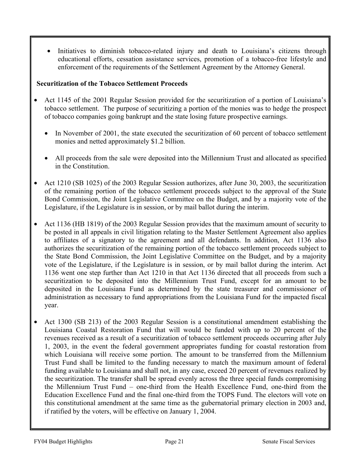Initiatives to diminish tobacco-related injury and death to Louisiana's citizens through educational efforts, cessation assistance services, promotion of a tobacco-free lifestyle and enforcement of the requirements of the Settlement Agreement by the Attorney General.

### **Securitization of the Tobacco Settlement Proceeds**

- Act 1145 of the 2001 Regular Session provided for the securitization of a portion of Louisiana's tobacco settlement. The purpose of securitizing a portion of the monies was to hedge the prospect of tobacco companies going bankrupt and the state losing future prospective earnings.
	- In November of 2001, the state executed the securitization of 60 percent of tobacco settlement monies and netted approximately \$1.2 billion.
	- All proceeds from the sale were deposited into the Millennium Trust and allocated as specified in the Constitution.
- Act 1210 (SB 1025) of the 2003 Regular Session authorizes, after June 30, 2003, the securitization of the remaining portion of the tobacco settlement proceeds subject to the approval of the State Bond Commission, the Joint Legislative Committee on the Budget, and by a majority vote of the Legislature, if the Legislature is in session, or by mail ballot during the interim.
- Act 1136 (HB 1819) of the 2003 Regular Session provides that the maximum amount of security to be posted in all appeals in civil litigation relating to the Master Settlement Agreement also applies to affiliates of a signatory to the agreement and all defendants. In addition, Act 1136 also authorizes the securitization of the remaining portion of the tobacco settlement proceeds subject to the State Bond Commission, the Joint Legislative Committee on the Budget, and by a majority vote of the Legislature, if the Legislature is in session, or by mail ballot during the interim. Act 1136 went one step further than Act 1210 in that Act 1136 directed that all proceeds from such a securitization to be deposited into the Millennium Trust Fund, except for an amount to be deposited in the Louisiana Fund as determined by the state treasurer and commissioner of administration as necessary to fund appropriations from the Louisiana Fund for the impacted fiscal year.
- Act 1300 (SB 213) of the 2003 Regular Session is a constitutional amendment establishing the Louisiana Coastal Restoration Fund that will would be funded with up to 20 percent of the revenues received as a result of a securitization of tobacco settlement proceeds occurring after July 1, 2003, in the event the federal government appropriates funding for coastal restoration from which Louisiana will receive some portion. The amount to be transferred from the Millennium Trust Fund shall be limited to the funding necessary to match the maximum amount of federal funding available to Louisiana and shall not, in any case, exceed 20 percent of revenues realized by the securitization. The transfer shall be spread evenly across the three special funds compromising the Millennium Trust Fund – one-third from the Health Excellence Fund, one-third from the Education Excellence Fund and the final one-third from the TOPS Fund. The electors will vote on this constitutional amendment at the same time as the gubernatorial primary election in 2003 and, if ratified by the voters, will be effective on January 1, 2004.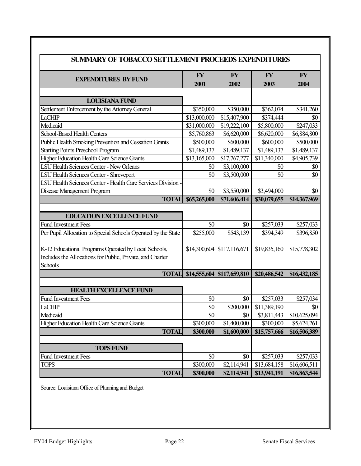| <b>SUMMARY OF TOBACCO SETTLEMENT PROCEEDS EXPENDITURES</b>                                                                   |                   |                            |                         |                   |  |  |  |
|------------------------------------------------------------------------------------------------------------------------------|-------------------|----------------------------|-------------------------|-------------------|--|--|--|
| <b>EXPENDITURES BY FUND</b>                                                                                                  | <b>FY</b><br>2001 | <b>FY</b><br>2002          | <b>FY</b><br>2003       | <b>FY</b><br>2004 |  |  |  |
| <b>LOUISIANA FUND</b>                                                                                                        |                   |                            |                         |                   |  |  |  |
| Settlement Enforcement by the Attorney General                                                                               | \$350,000         | \$350,000                  | \$362,074               | \$341,260         |  |  |  |
| LaCHIP                                                                                                                       | \$13,000,000      | \$15,407,900               | \$374,444               | \$0               |  |  |  |
| Medicaid                                                                                                                     | \$31,000,000      | \$19,222,100               | \$5,800,000             | \$247,033         |  |  |  |
| School-Based Health Centers                                                                                                  | \$5,760,863       | \$6,620,000                | \$6,620,000             | \$6,884,800       |  |  |  |
| Public Health Smoking Prevention and Cessation Grants                                                                        | \$500,000         | \$600,000                  | \$600,000               | \$500,000         |  |  |  |
| <b>Starting Points Preschool Program</b>                                                                                     | \$1,489,137       | \$1,489,137                | \$1,489,137             | \$1,489,137       |  |  |  |
| Higher Education Health Care Science Grants                                                                                  | \$13,165,000      | \$17,767,277               | \$11,340,000            | \$4,905,739       |  |  |  |
| <b>LSU Health Sciences Center - New Orleans</b>                                                                              | \$0               | \$3,100,000                | \$0                     | \$0               |  |  |  |
| <b>LSU Health Sciences Center - Shreveport</b>                                                                               | \$0               | \$3,500,000                | \$0                     | \$0               |  |  |  |
| LSU Health Sciences Center - Health Care Services Division -                                                                 |                   |                            |                         |                   |  |  |  |
| Disease Management Program                                                                                                   | \$0               | \$3,550,000                | \$3,494,000             | \$0               |  |  |  |
| <b>TOTAL</b>                                                                                                                 | \$65,265,000      | \$71,606,414               | \$30,079,655            | \$14,367,969      |  |  |  |
|                                                                                                                              |                   |                            |                         |                   |  |  |  |
| <b>EDUCATION EXCELLENCE FUND</b>                                                                                             |                   |                            |                         |                   |  |  |  |
| <b>Fund Investment Fees</b>                                                                                                  | \$0               | \$0                        | \$257,033               | \$257,033         |  |  |  |
| Per Pupil Allocation to Special Schools Operated by the State                                                                | \$255,000         | \$543,139                  | \$394,349               | \$396,850         |  |  |  |
| K-12 Educational Programs Operated by Local Schools,<br>Includes the Allocations for Public, Private, and Charter<br>Schools |                   | \$14,300,604 \$117,116,671 | \$19,835,160            | \$15,778,302      |  |  |  |
| <b>TOTAL</b>                                                                                                                 |                   | \$14,555,604 \$117,659,810 | \$20,486,542            | \$16,432,185      |  |  |  |
| <b>HEALTH EXCELLENCE FUND</b>                                                                                                |                   |                            |                         |                   |  |  |  |
| <b>Fund Investment Fees</b>                                                                                                  | \$0               | \$0                        | \$257,033               | \$257,034         |  |  |  |
| <b>LaCHIP</b>                                                                                                                | \$0               | \$200,000                  | $\overline{11,389,190}$ | \$0               |  |  |  |
| Medicaid                                                                                                                     | \$0               | \$0                        | \$3,811,443             | \$10,625,094      |  |  |  |
| <b>Higher Education Health Care Science Grants</b>                                                                           | \$300,000         | \$1,400,000                | \$300,000               | \$5,624,261       |  |  |  |
| <b>TOTAL</b>                                                                                                                 | \$300,000         | \$1,600,000                | \$15,757,666            | \$16,506,389      |  |  |  |
|                                                                                                                              |                   |                            |                         |                   |  |  |  |
| <b>TOPS FUND</b>                                                                                                             |                   |                            |                         |                   |  |  |  |
| <b>Fund Investment Fees</b>                                                                                                  | \$0               | \$0                        | \$257,033               | \$257,033         |  |  |  |
| <b>TOPS</b>                                                                                                                  | \$300,000         | \$2,114,941                | \$13,684,158            | \$16,606,511      |  |  |  |
| <b>TOTAL</b>                                                                                                                 | \$300,000         | \$2,114,941                | \$13,941,191            | \$16,863,544      |  |  |  |

Source: Louisiana Office of Planning and Budget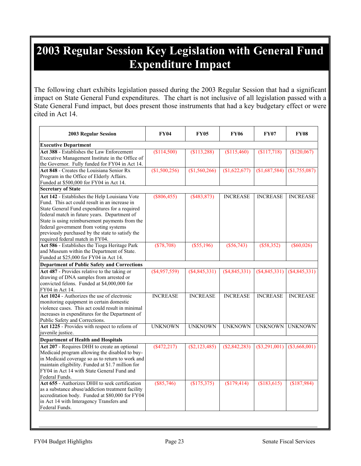## **2003 Regular Session Key Legislation with General Fund Expenditure Impact**

The following chart exhibits legislation passed during the 2003 Regular Session that had a significant impact on State General Fund expenditures. The chart is not inclusive of all legislation passed with a State General Fund impact, but does present those instruments that had a key budgetary effect or were cited in Act 14.

| 2003 Regular Session                                                                         | <b>FY04</b>     | <b>FY05</b>     | <b>FY06</b>     | <b>FY07</b>      | <b>FY08</b>     |
|----------------------------------------------------------------------------------------------|-----------------|-----------------|-----------------|------------------|-----------------|
| <b>Executive Department</b>                                                                  |                 |                 |                 |                  |                 |
| Act 388 - Establishes the Law Enforcement<br>Executive Management Institute in the Office of | (\$114,500)     | (\$113,288)     | (\$115,460)     | \$117,718        | (\$120,067)     |
| the Governor. Fully funded for FY04 in Act 14.                                               |                 |                 |                 |                  |                 |
| Act 848 - Creates the Louisiana Senior Rx                                                    | (\$1,500,256)   | (\$1,560,266)   | $(\$1,622,677)$ | (\$1,687,584)    | (\$1,755,087)   |
| Program in the Office of Elderly Affairs.<br>Funded at \$500,000 for FY04 in Act 14.         |                 |                 |                 |                  |                 |
| <b>Secretary of State</b>                                                                    |                 |                 |                 |                  |                 |
| Act 142 - Establishes the Help Louisiana Vote                                                | $(\$806,455)$   | (\$483,873)     | <b>INCREASE</b> | <b>INCREASE</b>  | <b>INCREASE</b> |
| Fund. This act could result in an increase in                                                |                 |                 |                 |                  |                 |
| State General Fund expenditures for a required                                               |                 |                 |                 |                  |                 |
| federal match in future years. Department of                                                 |                 |                 |                 |                  |                 |
| State is using reimbursement payments from the                                               |                 |                 |                 |                  |                 |
| federal government from voting systems                                                       |                 |                 |                 |                  |                 |
| previously purchased by the state to satisfy the                                             |                 |                 |                 |                  |                 |
| required federal match in FY04.                                                              |                 |                 |                 |                  |                 |
| Act 586 - Establishes the Tioga Heritage Park                                                | (\$78,708)      | $(\$55,196)$    | $(\$56,743)$    | (\$58,352)       | $(\$60,026)$    |
| and Museum within the Department of State.                                                   |                 |                 |                 |                  |                 |
| Funded at \$25,000 for FY04 in Act 14.                                                       |                 |                 |                 |                  |                 |
| <b>Department of Public Safety and Corrections</b>                                           |                 |                 |                 |                  |                 |
| Act 487 - Provides relative to the taking or                                                 | $(\$4,957,559)$ | (\$4,845,331)   | (\$4,845,331)   | (\$4,845,331)    | $(\$4,845,331)$ |
| drawing of DNA samples from arrested or                                                      |                 |                 |                 |                  |                 |
| convicted felons. Funded at \$4,000,000 for                                                  |                 |                 |                 |                  |                 |
| FY04 in Act 14.                                                                              |                 |                 |                 |                  |                 |
| Act 1024 - Authorizes the use of electronic                                                  | <b>INCREASE</b> | <b>INCREASE</b> | <b>INCREASE</b> | <b>INCREASE</b>  | <b>INCREASE</b> |
| monitoring equipment in certain domestic                                                     |                 |                 |                 |                  |                 |
| violence cases. This act could result in minimal                                             |                 |                 |                 |                  |                 |
| increases in expenditures for the Department of                                              |                 |                 |                 |                  |                 |
| Public Safety and Corrections.                                                               |                 |                 |                 |                  |                 |
| Act 1225 - Provides with respect to reform of<br>juvenile justice.                           | <b>UNKNOWN</b>  | <b>UNKNOWN</b>  | <b>UNKNOWN</b>  | <b>UNKNOWN</b>   | <b>UNKNOWN</b>  |
| <b>Department of Health and Hospitals</b>                                                    |                 |                 |                 |                  |                 |
| Act 207 - Requires DHH to create an optional                                                 | $($ \$472,217)  | (S2, 123, 485)  | (S2, 842, 283)  | $($ \$3,291,001) | (\$3,668,001)   |
| Medicaid program allowing the disabled to buy-                                               |                 |                 |                 |                  |                 |
| in Medicaid coverage so as to return to work and                                             |                 |                 |                 |                  |                 |
| maintain eligibility. Funded at \$1.7 million for                                            |                 |                 |                 |                  |                 |
| FY04 in Act 14 with State General Fund and                                                   |                 |                 |                 |                  |                 |
| Federal Funds.                                                                               |                 |                 |                 |                  |                 |
| Act 655 - Authorizes DHH to seek certification                                               | $(\$85,746)$    | (\$175,375)     | (\$179,414)     | \$183,615        | (\$187,984)     |
| as a substance abuse/addiction treatment facility                                            |                 |                 |                 |                  |                 |
| accreditation body. Funded at \$80,000 for FY04                                              |                 |                 |                 |                  |                 |
| in Act 14 with Interagency Transfers and                                                     |                 |                 |                 |                  |                 |
| Federal Funds.                                                                               |                 |                 |                 |                  |                 |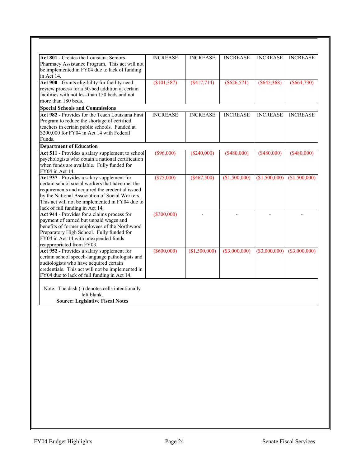| Act 801 - Creates the Louisiana Seniors<br>Pharmacy Assistance Program. This act will not<br>be implemented in FY04 due to lack of funding<br>in Act 14.                                                                                                                                 | <b>INCREASE</b> | <b>INCREASE</b> | <b>INCREASE</b> | <b>INCREASE</b> | <b>INCREASE</b> |
|------------------------------------------------------------------------------------------------------------------------------------------------------------------------------------------------------------------------------------------------------------------------------------------|-----------------|-----------------|-----------------|-----------------|-----------------|
| Act 900 - Grants eligibility for facility need<br>review process for a 50-bed addition at certain<br>facilities with not less than 150 beds and not<br>more than 180 beds.                                                                                                               | (\$101,387)     | $($ \$417,714)  | $($ \$626,571)  | $($ \$645,368)  | ( \$664, 730)   |
| <b>Special Schools and Commissions</b>                                                                                                                                                                                                                                                   |                 |                 |                 |                 |                 |
| Act 982 - Provides for the Teach Louisiana First<br>Program to reduce the shortage of certified<br>teachers in certain public schools. Funded at<br>\$200,000 for FY04 in Act 14 with Federal<br>Funds.                                                                                  | <b>INCREASE</b> | <b>INCREASE</b> | <b>INCREASE</b> | <b>INCREASE</b> | <b>INCREASE</b> |
| <b>Department of Education</b>                                                                                                                                                                                                                                                           |                 |                 |                 |                 |                 |
| Act 511 - Provides a salary supplement to school<br>psychologists who obtain a national certification<br>when funds are available. Fully funded for<br>FY04 in Act 14.                                                                                                                   | $(\$96,000)$    | (\$240,000)     | (\$480,000)     | (\$480,000)     | (\$480,000)     |
| Act 937 - Provides a salary supplement for<br>certain school social workers that have met the<br>requirements and acquired the credential issued<br>by the National Association of Social Workers.<br>This act will not be implemented in FY04 due to<br>lack of full funding in Act 14. | (\$75,000)      | (\$467,500)     | (\$1,500,000)   | (\$1,500,000)   | (\$1,500,000)   |
| Act 944 - Provides for a claims process for<br>payment of earned but unpaid wages and<br>benefits of former employees of the Northwood<br>Preparatory High School. Fully funded for<br>FY04 in Act 14 with unexpended funds<br>reappropriated from FY03.                                 | $($ \$300,000)  |                 |                 |                 |                 |
| Act 952 - Provides a salary supplement for<br>certain school speech-language pathologists and<br>audiologists who have acquired certain<br>credentials. This act will not be implemented in<br>FY04 due to lack of full funding in Act 14.                                               | $($ \$600,000)  | (\$1,500,000)   | (\$3,000,000)   | (\$3,000,000)   | $(\$3,000,000)$ |
| Note: The dash (-) denotes cells intentionally<br>left blank.<br><b>Source: Legislative Fiscal Notes</b>                                                                                                                                                                                 |                 |                 |                 |                 |                 |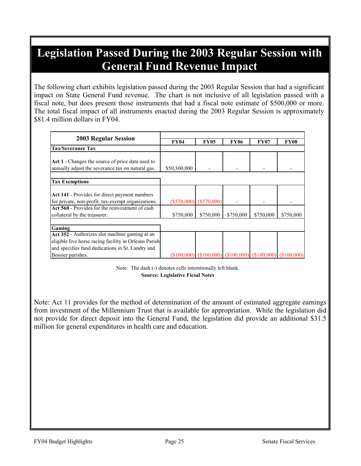## **Legislation Passed During the 2003 Regular Session with General Fund Revenue Impact**

The following chart exhibits legislation passed during the 2003 Regular Session that had a significant impact on State General Fund revenue. The chart is not inclusive of all legislation passed with a fiscal note, but does present those instruments that had a fiscal note estimate of \$500,000 or more. The total fiscal impact of all instruments enacted during the 2003 Regular Session is approximately \$81.4 million dollars in FY04.

| <b>2003 Regular Session</b>                                                                                                                                 |              |                           |                                                                       |             |             |
|-------------------------------------------------------------------------------------------------------------------------------------------------------------|--------------|---------------------------|-----------------------------------------------------------------------|-------------|-------------|
|                                                                                                                                                             | <b>FY04</b>  | <b>FY05</b>               | <b>FY06</b>                                                           | <b>FY07</b> | <b>FY08</b> |
| <b>Tax/Severance Tax</b>                                                                                                                                    |              |                           |                                                                       |             |             |
| Act 1 - Changes the source of price data used to<br>annually adjust the severance tax on natural gas.                                                       | \$50,300,000 |                           |                                                                       |             |             |
| <b>Tax Exemptions</b>                                                                                                                                       |              |                           |                                                                       |             |             |
| Act 141 - Provides for direct payment numbers<br>for private, non-profit, tax-exempt organizations.                                                         |              | $(S570,000)$ $(S570,000)$ |                                                                       |             |             |
| Act 560 - Provides for the reinvestment of cash<br>collateral by the treasurer.                                                                             | \$750,000    | \$750,000                 | \$750,000                                                             | \$750,000   | \$750,000   |
| Gaming                                                                                                                                                      |              |                           |                                                                       |             |             |
| Act 352 - Authorizes slot machine gaming at an<br>eligible live horse racing facility in Orleans Parish<br>and specifies fund dedications in St. Landry and |              |                           |                                                                       |             |             |
| Bossier parishes.                                                                                                                                           |              |                           | $(\$100,000)$ $(\$100,000)$ $(\$100,000)$ $(\$100,000)$ $(\$100,000)$ |             |             |

Note: The dash (-) denotes cells interntionally left blank. **Source: Legislative Ficsal Notes**

Note: Act 11 provides for the method of determination of the amount of estimated aggregate earnings from investment of the Millennium Trust that is available for appropriation. While the legislation did not provide for direct deposit into the General Fund, the legislation did provide an additional \$31.5 million for general expenditures in health care and education.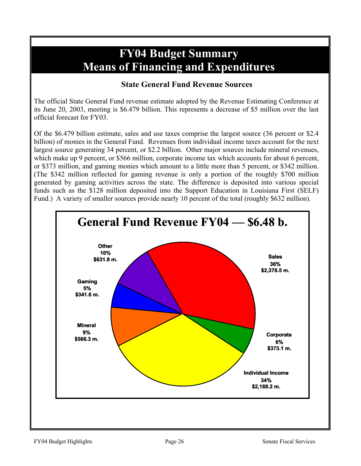## **FY04 Budget Summary Means of Financing and Expenditures**

### **State General Fund Revenue Sources**

The official State General Fund revenue estimate adopted by the Revenue Estimating Conference at its June 20, 2003, meeting is \$6.479 billion. This represents a decrease of \$5 million over the last official forecast for FY03.

Of the \$6.479 billion estimate, sales and use taxes comprise the largest source (36 percent or \$2.4 billion) of monies in the General Fund. Revenues from individual income taxes account for the next largest source generating 34 percent, or \$2.2 billion. Other major sources include mineral revenues, which make up 9 percent, or \$566 million, corporate income tax which accounts for about 6 percent, or \$373 million, and gaming monies which amount to a little more than 5 percent, or \$342 million. (The \$342 million reflected for gaming revenue is only a portion of the roughly \$700 million generated by gaming activities across the state. The difference is deposited into various special funds such as the \$128 million deposited into the Support Education in Louisiana First (SELF) Fund.) A variety of smaller sources provide nearly 10 percent of the total (roughly \$632 million).

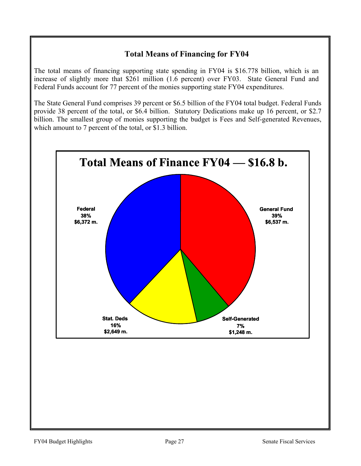### **Total Means of Financing for FY04**

The total means of financing supporting state spending in FY04 is \$16.778 billion, which is an increase of slightly more that \$261 million (1.6 percent) over FY03. State General Fund and Federal Funds account for 77 percent of the monies supporting state FY04 expenditures.

The State General Fund comprises 39 percent or \$6.5 billion of the FY04 total budget. Federal Funds provide 38 percent of the total, or \$6.4 billion. Statutory Dedications make up 16 percent, or \$2.7 billion. The smallest group of monies supporting the budget is Fees and Self-generated Revenues, which amount to 7 percent of the total, or \$1.3 billion.

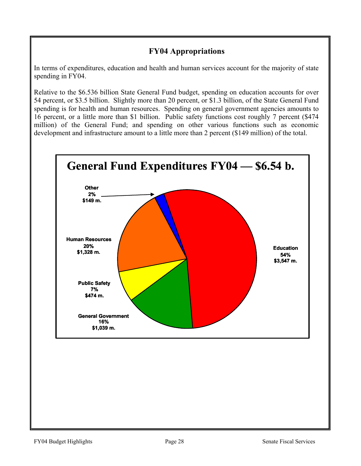### **FY04 Appropriations**

In terms of expenditures, education and health and human services account for the majority of state spending in FY04.

Relative to the \$6.536 billion State General Fund budget, spending on education accounts for over 54 percent, or \$3.5 billion. Slightly more than 20 percent, or \$1.3 billion, of the State General Fund spending is for health and human resources. Spending on general government agencies amounts to 16 percent, or a little more than \$1 billion. Public safety functions cost roughly 7 percent (\$474 million) of the General Fund; and spending on other various functions such as economic development and infrastructure amount to a little more than 2 percent (\$149 million) of the total.

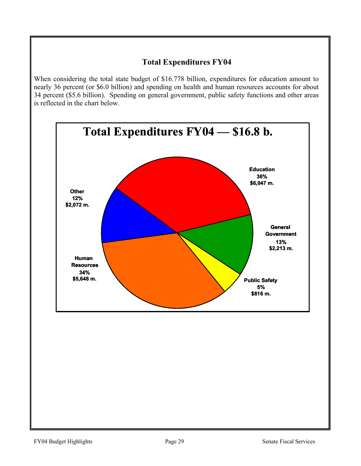### **Total Expenditures FY04**

When considering the total state budget of \$16.778 billion, expenditures for education amount to nearly 36 percent (or \$6.0 billion) and spending on health and human resources accounts for about 34 percent (\$5.6 billion). Spending on general government, public safety functions and other areas is reflected in the chart below.

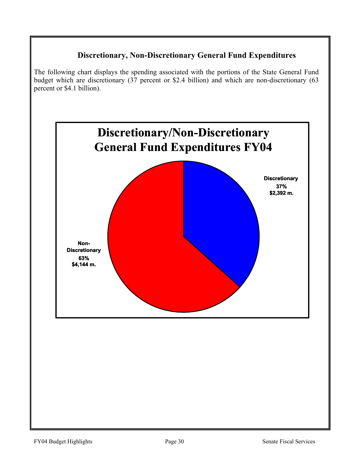### **Discretionary, Non-Discretionary General Fund Expenditures**

The following chart displays the spending associated with the portions of the State General Fund budget which are discretionary (37 percent or \$2.4 billion) and which are non-discretionary (63 percent or \$4.1 billion).

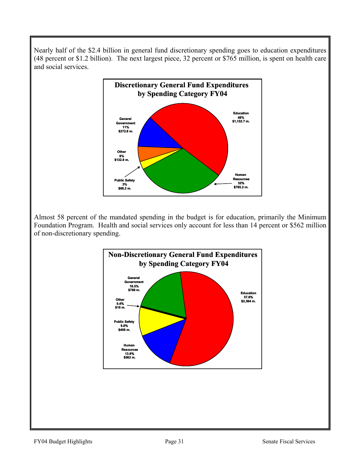Nearly half of the \$2.4 billion in general fund discretionary spending goes to education expenditures (48 percent or \$1.2 billion). The next largest piece, 32 percent or \$765 million, is spent on health care and social services.



Almost 58 percent of the mandated spending in the budget is for education, primarily the Minimum Foundation Program. Health and social services only account for less than 14 percent or \$562 million of non-discretionary spending.

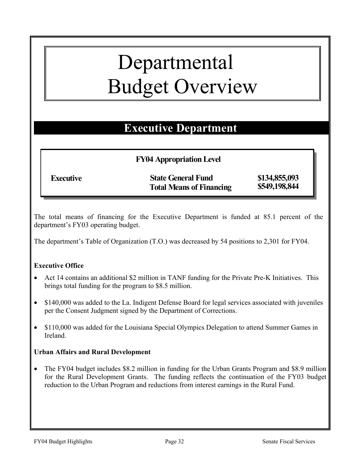## Departmental Budget Overview

## **Executive Department**

### **FY04 Appropriation Level**

Executive **State General Fund** \$134,855,093<br>Total Means of Financing \$549,198,844 **Total Means of Financing** 

The total means of financing for the Executive Department is funded at 85.1 percent of the department's FY03 operating budget.

The department's Table of Organization (T.O.) was decreased by 54 positions to 2,301 for FY04.

### **Executive Office**

- Act 14 contains an additional \$2 million in TANF funding for the Private Pre-K Initiatives. This brings total funding for the program to \$8.5 million.
- \$140,000 was added to the La. Indigent Defense Board for legal services associated with juveniles per the Consent Judgment signed by the Department of Corrections.
- \$110,000 was added for the Louisiana Special Olympics Delegation to attend Summer Games in Ireland.

### **Urban Affairs and Rural Development**

• The FY04 budget includes \$8.2 million in funding for the Urban Grants Program and \$8.9 million for the Rural Development Grants. The funding reflects the continuation of the FY03 budget reduction to the Urban Program and reductions from interest earnings in the Rural Fund.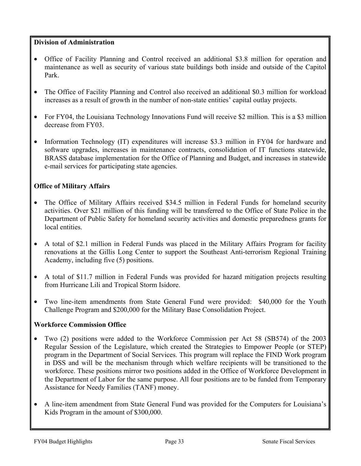### **Division of Administration**

- Office of Facility Planning and Control received an additional \$3.8 million for operation and maintenance as well as security of various state buildings both inside and outside of the Capitol Park.
- The Office of Facility Planning and Control also received an additional \$0.3 million for workload increases as a result of growth in the number of non-state entities' capital outlay projects.
- For FY04, the Louisiana Technology Innovations Fund will receive \$2 million. This is a \$3 million decrease from FY03.
- Information Technology (IT) expenditures will increase \$3.3 million in FY04 for hardware and software upgrades, increases in maintenance contracts, consolidation of IT functions statewide, BRASS database implementation for the Office of Planning and Budget, and increases in statewide e-mail services for participating state agencies.

### **Office of Military Affairs**

- The Office of Military Affairs received \$34.5 million in Federal Funds for homeland security activities. Over \$21 million of this funding will be transferred to the Office of State Police in the Department of Public Safety for homeland security activities and domestic preparedness grants for local entities.
- A total of \$2.1 million in Federal Funds was placed in the Military Affairs Program for facility renovations at the Gillis Long Center to support the Southeast Anti-terrorism Regional Training Academy, including five (5) positions.
- A total of \$11.7 million in Federal Funds was provided for hazard mitigation projects resulting from Hurricane Lili and Tropical Storm Isidore.
- Two line-item amendments from State General Fund were provided: \$40,000 for the Youth Challenge Program and \$200,000 for the Military Base Consolidation Project.

### **Workforce Commission Office**

- Two (2) positions were added to the Workforce Commission per Act 58 (SB574) of the 2003 Regular Session of the Legislature, which created the Strategies to Empower People (or STEP) program in the Department of Social Services. This program will replace the FIND Work program in DSS and will be the mechanism through which welfare recipients will be transitioned to the workforce. These positions mirror two positions added in the Office of Workforce Development in the Department of Labor for the same purpose. All four positions are to be funded from Temporary Assistance for Needy Families (TANF) money.
- A line-item amendment from State General Fund was provided for the Computers for Louisiana's Kids Program in the amount of \$300,000.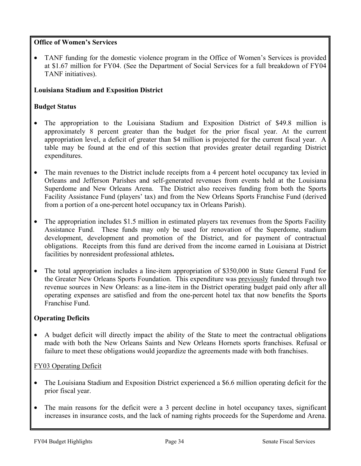### **Office of Women's Services**

• TANF funding for the domestic violence program in the Office of Women's Services is provided at \$1.67 million for FY04. (See the Department of Social Services for a full breakdown of FY04 TANF initiatives).

## **Louisiana Stadium and Exposition District**

### **Budget Status**

- The appropriation to the Louisiana Stadium and Exposition District of \$49.8 million is approximately 8 percent greater than the budget for the prior fiscal year. At the current appropriation level, a deficit of greater than \$4 million is projected for the current fiscal year. A table may be found at the end of this section that provides greater detail regarding District expenditures.
- The main revenues to the District include receipts from a 4 percent hotel occupancy tax levied in Orleans and Jefferson Parishes and self-generated revenues from events held at the Louisiana Superdome and New Orleans Arena. The District also receives funding from both the Sports Facility Assistance Fund (players' tax) and from the New Orleans Sports Franchise Fund (derived from a portion of a one-percent hotel occupancy tax in Orleans Parish).
- The appropriation includes \$1.5 million in estimated players tax revenues from the Sports Facility Assistance Fund. These funds may only be used for renovation of the Superdome, stadium development, development and promotion of the District, and for payment of contractual obligations. Receipts from this fund are derived from the income earned in Louisiana at District facilities by nonresident professional athletes**.**
- The total appropriation includes a line-item appropriation of \$350,000 in State General Fund for the Greater New Orleans Sports Foundation. This expenditure was previously funded through two revenue sources in New Orleans: as a line-item in the District operating budget paid only after all operating expenses are satisfied and from the one-percent hotel tax that now benefits the Sports Franchise Fund.

## **Operating Deficits**

• A budget deficit will directly impact the ability of the State to meet the contractual obligations made with both the New Orleans Saints and New Orleans Hornets sports franchises. Refusal or failure to meet these obligations would jeopardize the agreements made with both franchises.

### FY03 Operating Deficit

- The Louisiana Stadium and Exposition District experienced a \$6.6 million operating deficit for the prior fiscal year.
- The main reasons for the deficit were a 3 percent decline in hotel occupancy taxes, significant increases in insurance costs, and the lack of naming rights proceeds for the Superdome and Arena.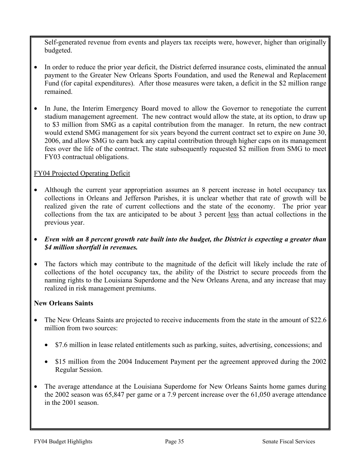Self-generated revenue from events and players tax receipts were, however, higher than originally budgeted.

- In order to reduce the prior year deficit, the District deferred insurance costs, eliminated the annual payment to the Greater New Orleans Sports Foundation, and used the Renewal and Replacement Fund (for capital expenditures). After those measures were taken, a deficit in the \$2 million range remained.
- In June, the Interim Emergency Board moved to allow the Governor to renegotiate the current stadium management agreement. The new contract would allow the state, at its option, to draw up to \$3 million from SMG as a capital contribution from the manager. In return, the new contract would extend SMG management for six years beyond the current contract set to expire on June 30, 2006, and allow SMG to earn back any capital contribution through higher caps on its management fees over the life of the contract. The state subsequently requested \$2 million from SMG to meet FY03 contractual obligations.

## FY04 Projected Operating Deficit

- Although the current year appropriation assumes an 8 percent increase in hotel occupancy tax collections in Orleans and Jefferson Parishes, it is unclear whether that rate of growth will be realized given the rate of current collections and the state of the economy. The prior year collections from the tax are anticipated to be about 3 percent less than actual collections in the previous year.
- *Even with an 8 percent growth rate built into the budget, the District is expecting a greater than \$4 million shortfall in revenues.*
- The factors which may contribute to the magnitude of the deficit will likely include the rate of collections of the hotel occupancy tax, the ability of the District to secure proceeds from the naming rights to the Louisiana Superdome and the New Orleans Arena, and any increase that may realized in risk management premiums.

### **New Orleans Saints**

- The New Orleans Saints are projected to receive inducements from the state in the amount of \$22.6 million from two sources:
	- \$7.6 million in lease related entitlements such as parking, suites, advertising, concessions; and
	- \$15 million from the 2004 Inducement Payment per the agreement approved during the 2002 Regular Session.
- The average attendance at the Louisiana Superdome for New Orleans Saints home games during the 2002 season was 65,847 per game or a 7.9 percent increase over the 61,050 average attendance in the 2001 season.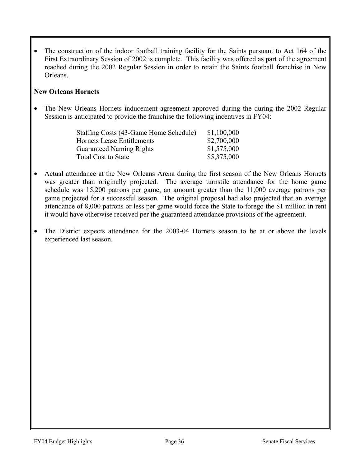The construction of the indoor football training facility for the Saints pursuant to Act 164 of the First Extraordinary Session of 2002 is complete. This facility was offered as part of the agreement reached during the 2002 Regular Session in order to retain the Saints football franchise in New Orleans.

### **New Orleans Hornets**

• The New Orleans Hornets inducement agreement approved during the during the 2002 Regular Session is anticipated to provide the franchise the following incentives in FY04:

| Staffing Costs (43-Game Home Schedule) | \$1,100,000 |
|----------------------------------------|-------------|
| Hornets Lease Entitlements             | \$2,700,000 |
| <b>Guaranteed Naming Rights</b>        | \$1,575,000 |
| <b>Total Cost to State</b>             | \$5,375,000 |

- Actual attendance at the New Orleans Arena during the first season of the New Orleans Hornets was greater than originally projected. The average turnstile attendance for the home game schedule was 15,200 patrons per game, an amount greater than the 11,000 average patrons per game projected for a successful season. The original proposal had also projected that an average attendance of 8,000 patrons or less per game would force the State to forego the \$1 million in rent it would have otherwise received per the guaranteed attendance provisions of the agreement.
- The District expects attendance for the 2003-04 Hornets season to be at or above the levels experienced last season.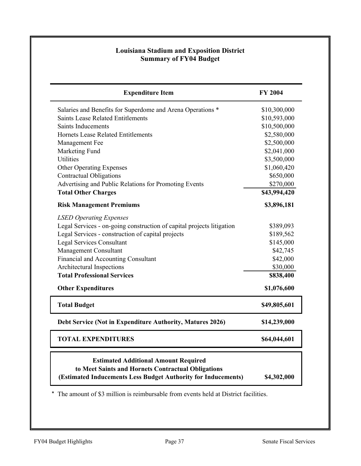### **Louisiana Stadium and Exposition District Summary of FY04 Budget**

|                                                                       | <b>FY 2004</b> |
|-----------------------------------------------------------------------|----------------|
| Salaries and Benefits for Superdome and Arena Operations *            | \$10,300,000   |
| <b>Saints Lease Related Entitlements</b>                              | \$10,593,000   |
| <b>Saints Inducements</b>                                             | \$10,500,000   |
| Hornets Lease Related Entitlements                                    | \$2,580,000    |
| Management Fee                                                        | \$2,500,000    |
| Marketing Fund                                                        | \$2,041,000    |
| <b>Utilities</b>                                                      | \$3,500,000    |
| <b>Other Operating Expenses</b>                                       | \$1,060,420    |
| <b>Contractual Obligations</b>                                        | \$650,000      |
| Advertising and Public Relations for Promoting Events                 | \$270,000      |
| <b>Total Other Charges</b>                                            | \$43,994,420   |
| <b>Risk Management Premiums</b>                                       | \$3,896,181    |
| <b>LSED Operating Expenses</b>                                        |                |
| Legal Services - on-going construction of capital projects litigation | \$389,093      |
| Legal Services - construction of capital projects                     | \$189,562      |
| <b>Legal Services Consultant</b>                                      | \$145,000      |
| Management Consultant                                                 | \$42,745       |
| Financial and Accounting Consultant                                   | \$42,000       |
| Architectural Inspections                                             | \$30,000       |
| <b>Total Professional Services</b>                                    | \$838,400      |
| <b>Other Expenditures</b>                                             | \$1,076,600    |
| <b>Total Budget</b>                                                   | \$49,805,601   |
| Debt Service (Not in Expenditure Authority, Matures 2026)             | \$14,239,000   |
| <b>TOTAL EXPENDITURES</b>                                             | \$64,044,601   |

\* The amount of \$3 million is reimbursable from events held at District facilities.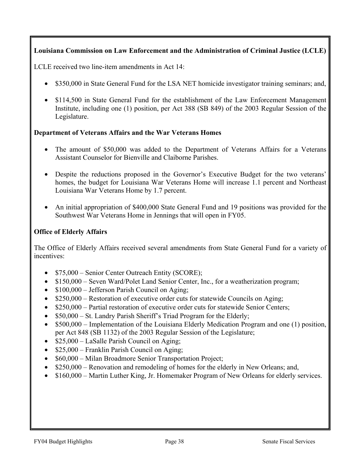## **Louisiana Commission on Law Enforcement and the Administration of Criminal Justice (LCLE)**

LCLE received two line-item amendments in Act 14:

- \$350,000 in State General Fund for the LSA NET homicide investigator training seminars; and,
- \$114,500 in State General Fund for the establishment of the Law Enforcement Management Institute, including one (1) position, per Act 388 (SB 849) of the 2003 Regular Session of the Legislature.

### **Department of Veterans Affairs and the War Veterans Homes**

- The amount of \$50,000 was added to the Department of Veterans Affairs for a Veterans Assistant Counselor for Bienville and Claiborne Parishes.
- Despite the reductions proposed in the Governor's Executive Budget for the two veterans' homes, the budget for Louisiana War Veterans Home will increase 1.1 percent and Northeast Louisiana War Veterans Home by 1.7 percent.
- An initial appropriation of \$400,000 State General Fund and 19 positions was provided for the Southwest War Veterans Home in Jennings that will open in FY05.

## **Office of Elderly Affairs**

The Office of Elderly Affairs received several amendments from State General Fund for a variety of incentives:

- \$75,000 Senior Center Outreach Entity (SCORE);
- \$150,000 Seven Ward/Polet Land Senior Center, Inc., for a weatherization program;
- $$100,000$  Jefferson Parish Council on Aging;
- \$250,000 Restoration of executive order cuts for statewide Councils on Aging;
- \$250,000 Partial restoration of executive order cuts for statewide Senior Centers;
- \$50,000 St. Landry Parish Sheriff's Triad Program for the Elderly;
- \$500,000 Implementation of the Louisiana Elderly Medication Program and one (1) position, per Act 848 (SB 1132) of the 2003 Regular Session of the Legislature;
- \$25,000 LaSalle Parish Council on Aging;
- \$25,000 Franklin Parish Council on Aging;
- \$60,000 Milan Broadmore Senior Transportation Project;
- \$250,000 Renovation and remodeling of homes for the elderly in New Orleans; and,
- \$160,000 Martin Luther King, Jr. Homemaker Program of New Orleans for elderly services.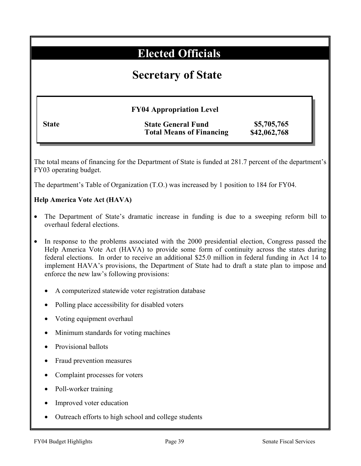# **Elected Officials**

# **Secretary of State**

**FY04 Appropriation Level**

| <b>State</b> |
|--------------|
|--------------|

**State State General Fund \$5,705,765 Total Means of Financing \$42,062,768** 

The total means of financing for the Department of State is funded at 281.7 percent of the department's FY03 operating budget.

The department's Table of Organization (T.O.) was increased by 1 position to 184 for FY04.

## **Help America Vote Act (HAVA)**

- The Department of State's dramatic increase in funding is due to a sweeping reform bill to overhaul federal elections.
- In response to the problems associated with the 2000 presidential election, Congress passed the Help America Vote Act (HAVA) to provide some form of continuity across the states during federal elections. In order to receive an additional \$25.0 million in federal funding in Act 14 to implement HAVA's provisions, the Department of State had to draft a state plan to impose and enforce the new law's following provisions:
	- A computerized statewide voter registration database
	- Polling place accessibility for disabled voters
	- Voting equipment overhaul
	- Minimum standards for voting machines
	- Provisional ballots
	- Fraud prevention measures
	- Complaint processes for voters
	- Poll-worker training
	- Improved voter education
	- Outreach efforts to high school and college students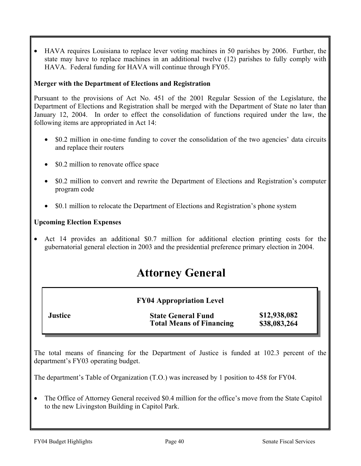• HAVA requires Louisiana to replace lever voting machines in 50 parishes by 2006. Further, the state may have to replace machines in an additional twelve (12) parishes to fully comply with HAVA. Federal funding for HAVA will continue through FY05.

### **Merger with the Department of Elections and Registration**

Pursuant to the provisions of Act No. 451 of the 2001 Regular Session of the Legislature, the Department of Elections and Registration shall be merged with the Department of State no later than January 12, 2004. In order to effect the consolidation of functions required under the law, the following items are appropriated in Act 14:

- \$0.2 million in one-time funding to cover the consolidation of the two agencies' data circuits and replace their routers
- \$0.2 million to renovate office space
- \$0.2 million to convert and rewrite the Department of Elections and Registration's computer program code
- \$0.1 million to relocate the Department of Elections and Registration's phone system

### **Upcoming Election Expenses**

Act 14 provides an additional \$0.7 million for additional election printing costs for the gubernatorial general election in 2003 and the presidential preference primary election in 2004.

# **Attorney General**

|  | <b>FY04 Appropriation Level</b> |  |
|--|---------------------------------|--|
|--|---------------------------------|--|

| <b>Justice</b> | <b>State General Fund</b>       | \$12,938,082 |
|----------------|---------------------------------|--------------|
|                | <b>Total Means of Financing</b> | \$38,083,264 |

The total means of financing for the Department of Justice is funded at 102.3 percent of the department's FY03 operating budget.

The department's Table of Organization (T.O.) was increased by 1 position to 458 for FY04.

• The Office of Attorney General received \$0.4 million for the office's move from the State Capitol to the new Livingston Building in Capitol Park.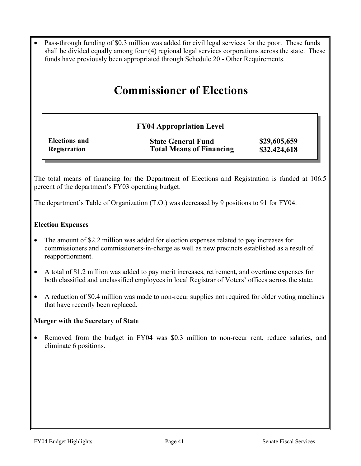• Pass-through funding of \$0.3 million was added for civil legal services for the poor. These funds shall be divided equally among four (4) regional legal services corporations across the state. These funds have previously been appropriated through Schedule 20 - Other Requirements.

# **Commissioner of Elections**

## **FY04 Appropriation Level**

| <b>Elections and</b> | <b>State General Fund</b>       | \$29,605,659 |
|----------------------|---------------------------------|--------------|
| Registration         | <b>Total Means of Financing</b> | \$32,424,618 |

The total means of financing for the Department of Elections and Registration is funded at 106.5 percent of the department's FY03 operating budget.

The department's Table of Organization (T.O.) was decreased by 9 positions to 91 for FY04.

### **Election Expenses**

- The amount of \$2.2 million was added for election expenses related to pay increases for commissioners and commissioners-in-charge as well as new precincts established as a result of reapportionment.
- A total of \$1.2 million was added to pay merit increases, retirement, and overtime expenses for both classified and unclassified employees in local Registrar of Voters' offices across the state.
- A reduction of \$0.4 million was made to non-recur supplies not required for older voting machines that have recently been replaced.

#### **Merger with the Secretary of State**

• Removed from the budget in FY04 was \$0.3 million to non-recur rent, reduce salaries, and eliminate 6 positions.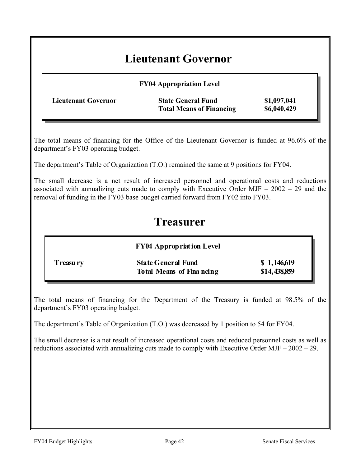# **Lieutenant Governor**

| <b>FY04 Appropriation Level</b>                              |                            |
|--------------------------------------------------------------|----------------------------|
| <b>State General Fund</b><br><b>Total Means of Financing</b> | \$1,097,041<br>\$6,040,429 |
|                                                              |                            |

The total means of financing for the Office of the Lieutenant Governor is funded at 96.6% of the department's FY03 operating budget.

The department's Table of Organization (T.O.) remained the same at 9 positions for FY04.

The small decrease is a net result of increased personnel and operational costs and reductions associated with annualizing cuts made to comply with Executive Order MJF – 2002 – 29 and the removal of funding in the FY03 base budget carried forward from FY02 into FY03.

# **Treasurer**

|           | <b>FY04 Appropriation Level</b>                               |                             |
|-----------|---------------------------------------------------------------|-----------------------------|
| Treasu ry | <b>State General Fund</b><br><b>Total Means of Fina neing</b> | \$1,146,619<br>\$14,438,859 |

The total means of financing for the Department of the Treasury is funded at 98.5% of the department's FY03 operating budget.

The department's Table of Organization (T.O.) was decreased by 1 position to 54 for FY04.

The small decrease is a net result of increased operational costs and reduced personnel costs as well as reductions associated with annualizing cuts made to comply with Executive Order MJF – 2002 – 29.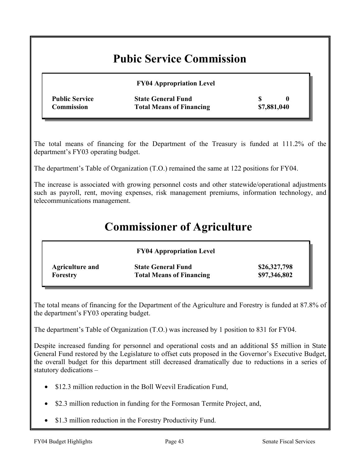# **Pubic Service Commission**

|                       | <b>FY04 Appropriation Level</b> |             |  |
|-----------------------|---------------------------------|-------------|--|
| <b>Public Service</b> | <b>State General Fund</b>       |             |  |
| Commission            | <b>Total Means of Financing</b> | \$7,881,040 |  |

The total means of financing for the Department of the Treasury is funded at 111.2% of the department's FY03 operating budget.

The department's Table of Organization (T.O.) remained the same at 122 positions for FY04.

The increase is associated with growing personnel costs and other statewide/operational adjustments such as payroll, rent, moving expenses, risk management premiums, information technology, and telecommunications management.

# **Commissioner of Agriculture**

|                 | <b>FY04 Appropriation Level</b> |              |
|-----------------|---------------------------------|--------------|
| Agriculture and | <b>State General Fund</b>       | \$26,327,798 |
| Forestry        | <b>Total Means of Financing</b> | \$97,346,802 |

The total means of financing for the Department of the Agriculture and Forestry is funded at 87.8% of the department's FY03 operating budget.

The department's Table of Organization (T.O.) was increased by 1 position to 831 for FY04.

Despite increased funding for personnel and operational costs and an additional \$5 million in State General Fund restored by the Legislature to offset cuts proposed in the Governor's Executive Budget, the overall budget for this department still decreased dramatically due to reductions in a series of statutory dedications –

- \$12.3 million reduction in the Boll Weevil Eradication Fund,
- \$2.3 million reduction in funding for the Formosan Termite Project, and,
- \$1.3 million reduction in the Forestry Productivity Fund.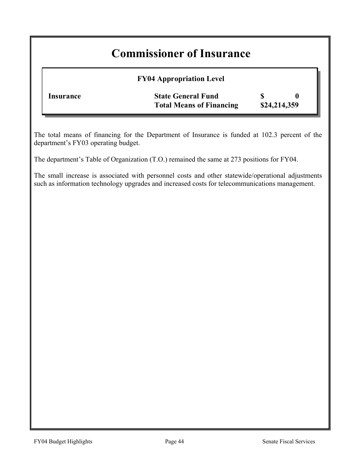# **Commissioner of Insurance**

## **FY04 Appropriation Level**

| Insurance | <b>State General Fund</b>       |              |  |
|-----------|---------------------------------|--------------|--|
|           | <b>Total Means of Financing</b> | \$24,214,359 |  |

The total means of financing for the Department of Insurance is funded at 102.3 percent of the department's FY03 operating budget.

The department's Table of Organization (T.O.) remained the same at 273 positions for FY04.

The small increase is associated with personnel costs and other statewide/operational adjustments such as information technology upgrades and increased costs for telecommunications management.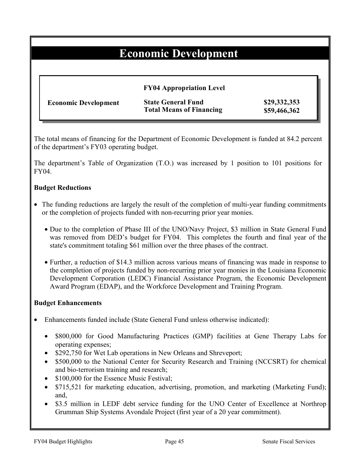# **Economic Development**

|                             | <b>FY04 Appropriation Level</b>                              |                              |
|-----------------------------|--------------------------------------------------------------|------------------------------|
| <b>Economic Development</b> | <b>State General Fund</b><br><b>Total Means of Financing</b> | \$29,332,353<br>\$59,466,362 |

The total means of financing for the Department of Economic Development is funded at 84.2 percent of the department's FY03 operating budget.

The department's Table of Organization (T.O.) was increased by 1 position to 101 positions for FY04.

### **Budget Reductions**

- The funding reductions are largely the result of the completion of multi-year funding commitments or the completion of projects funded with non-recurring prior year monies.
	- Due to the completion of Phase III of the UNO/Navy Project, \$3 million in State General Fund was removed from DED's budget for FY04. This completes the fourth and final year of the state's commitment totaling \$61 million over the three phases of the contract.
	- Further, a reduction of \$14.3 million across various means of financing was made in response to the completion of projects funded by non-recurring prior year monies in the Louisiana Economic Development Corporation (LEDC) Financial Assistance Program, the Economic Development Award Program (EDAP), and the Workforce Development and Training Program.

#### **Budget Enhancements**

- Enhancements funded include (State General Fund unless otherwise indicated):
	- \$800,000 for Good Manufacturing Practices (GMP) facilities at Gene Therapy Labs for operating expenses;
	- \$292,750 for Wet Lab operations in New Orleans and Shreveport;
	- \$500,000 to the National Center for Security Research and Training (NCCSRT) for chemical and bio-terrorism training and research;
	- \$100,000 for the Essence Music Festival;
	- \$715,521 for marketing education, advertising, promotion, and marketing (Marketing Fund); and,
	- \$3.5 million in LEDF debt service funding for the UNO Center of Excellence at Northrop Grumman Ship Systems Avondale Project (first year of a 20 year commitment).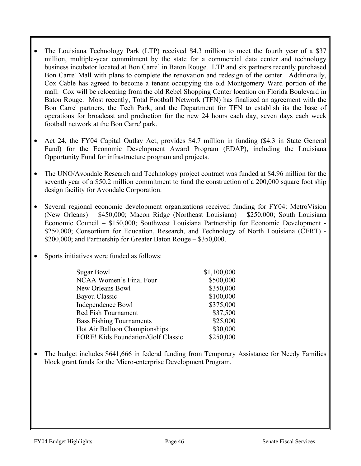- The Louisiana Technology Park (LTP) received \$4.3 million to meet the fourth year of a \$37 million, multiple-year commitment by the state for a commercial data center and technology business incubator located at Bon Carre' in Baton Rouge. LTP and six partners recently purchased Bon Carre' Mall with plans to complete the renovation and redesign of the center. Additionally, Cox Cable has agreed to become a tenant occupying the old Montgomery Ward portion of the mall. Cox will be relocating from the old Rebel Shopping Center location on Florida Boulevard in Baton Rouge. Most recently, Total Football Network (TFN) has finalized an agreement with the Bon Carre' partners, the Tech Park, and the Department for TFN to establish its the base of operations for broadcast and production for the new 24 hours each day, seven days each week football network at the Bon Carre' park.
- Act 24, the FY04 Capital Outlay Act, provides \$4.7 million in funding (\$4.3 in State General Fund) for the Economic Development Award Program (EDAP), including the Louisiana Opportunity Fund for infrastructure program and projects.
- The UNO/Avondale Research and Technology project contract was funded at \$4.96 million for the seventh year of a \$50.2 million commitment to fund the construction of a 200,000 square foot ship design facility for Avondale Corporation.
- Several regional economic development organizations received funding for FY04: MetroVision (New Orleans) – \$450,000; Macon Ridge (Northeast Louisiana) – \$250,000; South Louisiana Economic Council – \$150,000; Southwest Louisiana Partnership for Economic Development - \$250,000; Consortium for Education, Research, and Technology of North Louisiana (CERT) -\$200,000; and Partnership for Greater Baton Rouge – \$350,000.
- Sports initiatives were funded as follows:

| Sugar Bowl                                | \$1,100,000 |
|-------------------------------------------|-------------|
| <b>NCAA Women's Final Four</b>            | \$500,000   |
| <b>New Orleans Bowl</b>                   | \$350,000   |
| <b>Bayou Classic</b>                      | \$100,000   |
| Independence Bowl                         | \$375,000   |
| <b>Red Fish Tournament</b>                | \$37,500    |
| <b>Bass Fishing Tournaments</b>           | \$25,000    |
| <b>Hot Air Balloon Championships</b>      | \$30,000    |
| <b>FORE! Kids Foundation/Golf Classic</b> | \$250,000   |

• The budget includes \$641,666 in federal funding from Temporary Assistance for Needy Families block grant funds for the Micro-enterprise Development Program.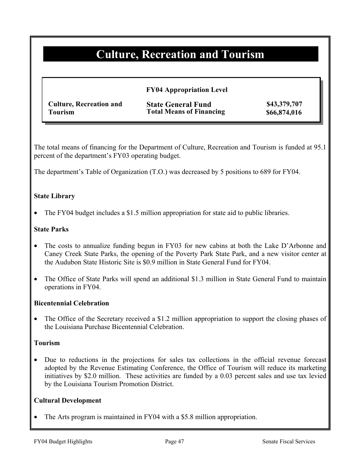# **Culture, Recreation and Tourism**

### **FY04 Appropriation Level**

| <b>Culture, Recreation and</b> | <b>State General Fund</b>       | \$43,379,707 |
|--------------------------------|---------------------------------|--------------|
| <b>Tourism</b>                 | <b>Total Means of Financing</b> | \$66,874,016 |

The total means of financing for the Department of Culture, Recreation and Tourism is funded at 95.1 percent of the department's FY03 operating budget.

The department's Table of Organization (T.O.) was decreased by 5 positions to 689 for FY04.

### **State Library**

The FY04 budget includes a \$1.5 million appropriation for state aid to public libraries.

### **State Parks**

- The costs to annualize funding begun in FY03 for new cabins at both the Lake D'Arbonne and Caney Creek State Parks, the opening of the Poverty Park State Park, and a new visitor center at the Audubon State Historic Site is \$0.9 million in State General Fund for FY04.
- The Office of State Parks will spend an additional \$1.3 million in State General Fund to maintain operations in FY04.

#### **Bicentennial Celebration**

The Office of the Secretary received a \$1.2 million appropriation to support the closing phases of the Louisiana Purchase Bicentennial Celebration.

#### **Tourism**

• Due to reductions in the projections for sales tax collections in the official revenue forecast adopted by the Revenue Estimating Conference, the Office of Tourism will reduce its marketing initiatives by \$2.0 million. These activities are funded by a 0.03 percent sales and use tax levied by the Louisiana Tourism Promotion District.

#### **Cultural Development**

The Arts program is maintained in FY04 with a \$5.8 million appropriation.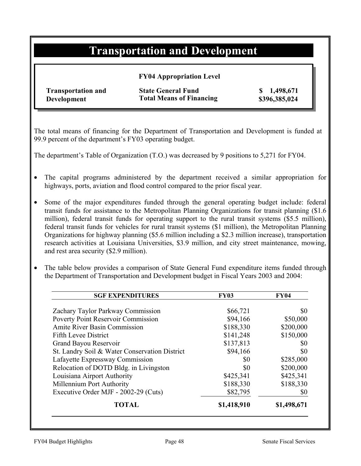# **Transportation and Development**

### **FY04 Appropriation Level**

**Transportation and Development** 

**State General Fund \$ 1,498,671 Total Means of Financing \$396,385,024**

The total means of financing for the Department of Transportation and Development is funded at 99.9 percent of the department's FY03 operating budget.

The department's Table of Organization (T.O.) was decreased by 9 positions to 5,271 for FY04.

- The capital programs administered by the department received a similar appropriation for highways, ports, aviation and flood control compared to the prior fiscal year.
- Some of the major expenditures funded through the general operating budget include: federal transit funds for assistance to the Metropolitan Planning Organizations for transit planning (\$1.6 million), federal transit funds for operating support to the rural transit systems (\$5.5 million), federal transit funds for vehicles for rural transit systems (\$1 million), the Metropolitan Planning Organizations for highway planning (\$5.6 million including a \$2.3 million increase), transportation research activities at Louisiana Universities, \$3.9 million, and city street maintenance, mowing, and rest area security (\$2.9 million).
- The table below provides a comparison of State General Fund expenditure items funded through the Department of Transportation and Development budget in Fiscal Years 2003 and 2004:

| <b>SGF EXPENDITURES</b>                       | <b>FY03</b> | <b>FY04</b> |
|-----------------------------------------------|-------------|-------------|
| Zachary Taylor Parkway Commission             | \$66,721    | \$0         |
| Poverty Point Reservoir Commission            | \$94,166    | \$50,000    |
| <b>Amite River Basin Commission</b>           | \$188,330   | \$200,000   |
| <b>Fifth Levee District</b>                   | \$141,248   | \$150,000   |
| Grand Bayou Reservoir                         | \$137,813   | \$0         |
| St. Landry Soil & Water Conservation District | \$94,166    | \$0         |
| Lafayette Expressway Commission               | \$0         | \$285,000   |
| Relocation of DOTD Bldg. in Livingston        | \$0         | \$200,000   |
| Louisiana Airport Authority                   | \$425,341   | \$425,341   |
| Millennium Port Authority                     | \$188,330   | \$188,330   |
| Executive Order MJF - 2002-29 (Cuts)          | \$82,795    | \$0         |
| <b>TOTAL</b>                                  | \$1,418,910 | \$1,498,671 |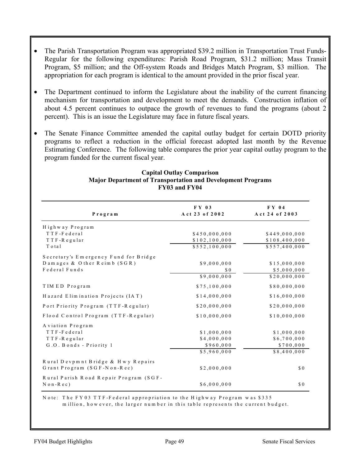- The Parish Transportation Program was appropriated \$39.2 million in Transportation Trust Funds-Regular for the following expenditures: Parish Road Program, \$31.2 million; Mass Transit Program, \$5 million; and the Off-system Roads and Bridges Match Program, \$3 million. The appropriation for each program is identical to the amount provided in the prior fiscal year.
- The Department continued to inform the Legislature about the inability of the current financing mechanism for transportation and development to meet the demands. Construction inflation of about 4.5 percent continues to outpace the growth of revenues to fund the programs (about 2 percent). This is an issue the Legislature may face in future fiscal years.
- The Senate Finance Committee amended the capital outlay budget for certain DOTD priority programs to reflect a reduction in the official forecast adopted last month by the Revenue Estimating Conference. The following table compares the prior year capital outlay program to the program funded for the current fiscal year.

| Program                                               | $\bf{F} \bf{Y}$ 03<br>Act 23 of 2002 | $FY$ 04<br>Act 24 of 2003 |
|-------------------------------------------------------|--------------------------------------|---------------------------|
| Highway Program                                       |                                      |                           |
| TTF-Federal                                           | \$450,000,000                        | \$449,000,000             |
| TTF-Regular                                           | \$102,100,000                        | \$108,400,000             |
| Total                                                 | \$552,100,000                        | \$557,400,000             |
| Secretary's Emergency Fund for Bridge                 |                                      |                           |
| Damages & Other Reimb (SGR)                           | \$9,000,000                          | \$15,000,000              |
| Federal Funds                                         | \$0                                  | \$5,000,000               |
|                                                       | \$9,000,000                          | \$20,000,000              |
| TIMED Program                                         | \$75,100,000                         | \$80,000,000              |
| Hazard Elimination Projects (IAT)                     | \$14,000,000                         | \$16,000,000              |
| Port Priority Program (TTF-Regular)                   | \$20,000,000                         | \$20,000,000              |
| Flood Control Program (TTF-Regular)                   | \$10,000,000                         | \$10,000,000              |
| Aviation Program                                      |                                      |                           |
| TTF-Federal                                           | \$1,000,000                          | \$1,000,000               |
| TTF-Regular                                           | \$4,000,000                          | \$6,700,000               |
| G.O. Bonds - Priority 1                               | \$960,000                            | \$700,000                 |
|                                                       | \$5,960,000                          | \$8,400,000               |
| Rural Devpmnt Bridge & Hwy Repairs                    |                                      |                           |
| Grant Program (SGF-Non-Rec)                           | \$2,000,000                          | \$0                       |
| Rural Parish Road Repair Program (SGF-<br>$N$ on-Rec) | \$6,000,000                          | \$0                       |

#### **Capital Outlay Comparison Major Department of Transportation and Development Programs FY03 and FY04**

N ote: T he FY 03 T T F-Federal appropriation to the H ighw ay Program w as \$335

m illion, how ever, the larger num ber in this table represents the current budget.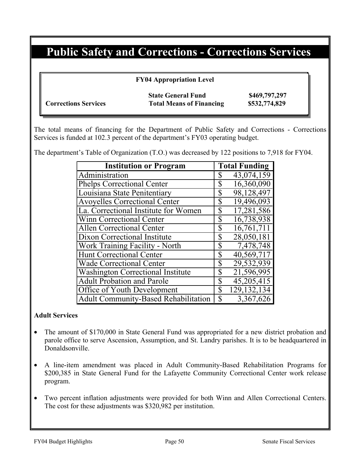# **Public Safety and Corrections - Corrections Services**

**FY04 Appropriation Level** 

|                             | <b>State General Fund</b>       | \$469,797,297 |
|-----------------------------|---------------------------------|---------------|
| <b>Corrections Services</b> | <b>Total Means of Financing</b> | \$532,774,829 |

The total means of financing for the Department of Public Safety and Corrections - Corrections Services is funded at 102.3 percent of the department's FY03 operating budget.

The department's Table of Organization (T.O.) was decreased by 122 positions to 7,918 for FY04.

| <b>Institution or Program</b>               | <b>Total Funding</b> |
|---------------------------------------------|----------------------|
| Administration                              | 43,074,159<br>\$     |
| <b>Phelps Correctional Center</b>           | 16,360,090<br>\$     |
| Louisiana State Penitentiary                | 98,128,497<br>\$     |
| <b>Avoyelles Correctional Center</b>        | \$<br>19,496,093     |
| La. Correctional Institute for Women        | \$<br>17,281,586     |
| <b>Winn Correctional Center</b>             | 16,738,938<br>\$     |
| <b>Allen Correctional Center</b>            | \$<br>16,761,711     |
| Dixon Correctional Institute                | 28,050,181<br>\$     |
| Work Training Facility - North              | 7,478,748<br>\$      |
| <b>Hunt Correctional Center</b>             | \$<br>40,569,717     |
| <b>Wade Correctional Center</b>             | 29,532,939<br>\$     |
| <b>Washington Correctional Institute</b>    | 21,596,995<br>\$     |
| <b>Adult Probation and Parole</b>           | \$<br>45,205,415     |
| Office of Youth Development                 | 129, 132, 134<br>\$  |
| <b>Adult Community-Based Rehabilitation</b> | \$<br>3,367,626      |

### **Adult Services**

- The amount of \$170,000 in State General Fund was appropriated for a new district probation and parole office to serve Ascension, Assumption, and St. Landry parishes. It is to be headquartered in Donaldsonville.
- A line-item amendment was placed in Adult Community-Based Rehabilitation Programs for \$200,385 in State General Fund for the Lafayette Community Correctional Center work release program.
- Two percent inflation adjustments were provided for both Winn and Allen Correctional Centers. The cost for these adjustments was \$320,982 per institution.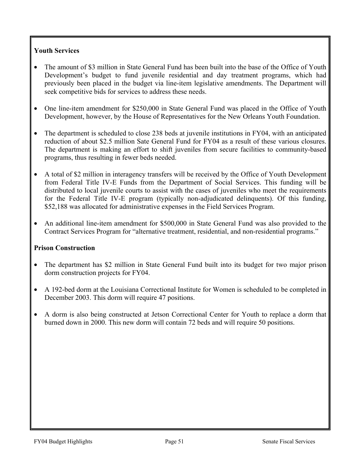## **Youth Services**

- The amount of \$3 million in State General Fund has been built into the base of the Office of Youth Development's budget to fund juvenile residential and day treatment programs, which had previously been placed in the budget via line-item legislative amendments. The Department will seek competitive bids for services to address these needs.
- One line-item amendment for \$250,000 in State General Fund was placed in the Office of Youth Development, however, by the House of Representatives for the New Orleans Youth Foundation.
- The department is scheduled to close 238 beds at juvenile institutions in FY04, with an anticipated reduction of about \$2.5 million Sate General Fund for FY04 as a result of these various closures. The department is making an effort to shift juveniles from secure facilities to community-based programs, thus resulting in fewer beds needed.
- A total of \$2 million in interagency transfers will be received by the Office of Youth Development from Federal Title IV-E Funds from the Department of Social Services. This funding will be distributed to local juvenile courts to assist with the cases of juveniles who meet the requirements for the Federal Title IV-E program (typically non-adjudicated delinquents). Of this funding, \$52,188 was allocated for administrative expenses in the Field Services Program.
- An additional line-item amendment for \$500,000 in State General Fund was also provided to the Contract Services Program for "alternative treatment, residential, and non-residential programs."

### **Prison Construction**

- The department has \$2 million in State General Fund built into its budget for two major prison dorm construction projects for FY04.
- A 192-bed dorm at the Louisiana Correctional Institute for Women is scheduled to be completed in December 2003. This dorm will require 47 positions.
- A dorm is also being constructed at Jetson Correctional Center for Youth to replace a dorm that burned down in 2000. This new dorm will contain 72 beds and will require 50 positions.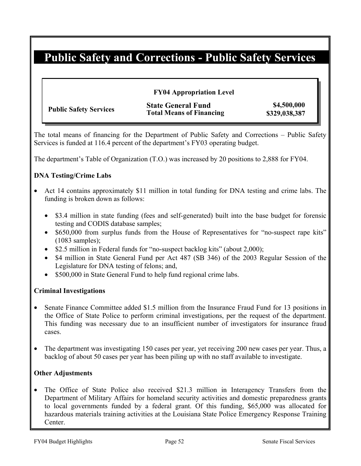# **Public Safety and Corrections - Public Safety Services**

### **FY04 Appropriation Level**

|                               | <b>State General Fund</b>       | \$4,500,000   |
|-------------------------------|---------------------------------|---------------|
| <b>Public Safety Services</b> | <b>Total Means of Financing</b> | \$329,038,387 |

The total means of financing for the Department of Public Safety and Corrections – Public Safety Services is funded at 116.4 percent of the department's FY03 operating budget.

The department's Table of Organization (T.O.) was increased by 20 positions to 2,888 for FY04.

### **DNA Testing/Crime Labs**

- Act 14 contains approximately \$11 million in total funding for DNA testing and crime labs. The funding is broken down as follows:
	- \$3.4 million in state funding (fees and self-generated) built into the base budget for forensic testing and CODIS database samples;
	- \$650,000 from surplus funds from the House of Representatives for "no-suspect rape kits" (1083 samples);
	- \$2.5 million in Federal funds for "no-suspect backlog kits" (about 2,000);
	- \$4 million in State General Fund per Act 487 (SB 346) of the 2003 Regular Session of the Legislature for DNA testing of felons; and,
	- \$500,000 in State General Fund to help fund regional crime labs.

### **Criminal Investigations**

- Senate Finance Committee added \$1.5 million from the Insurance Fraud Fund for 13 positions in the Office of State Police to perform criminal investigations, per the request of the department. This funding was necessary due to an insufficient number of investigators for insurance fraud cases.
- The department was investigating 150 cases per year, yet receiving 200 new cases per year. Thus, a backlog of about 50 cases per year has been piling up with no staff available to investigate.

#### **Other Adjustments**

• The Office of State Police also received \$21.3 million in Interagency Transfers from the Department of Military Affairs for homeland security activities and domestic preparedness grants to local governments funded by a federal grant. Of this funding, \$65,000 was allocated for hazardous materials training activities at the Louisiana State Police Emergency Response Training Center.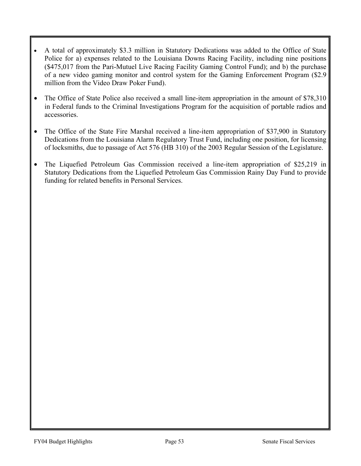- A total of approximately \$3.3 million in Statutory Dedications was added to the Office of State Police for a) expenses related to the Louisiana Downs Racing Facility, including nine positions (\$475,017 from the Pari-Mutuel Live Racing Facility Gaming Control Fund); and b) the purchase of a new video gaming monitor and control system for the Gaming Enforcement Program (\$2.9 million from the Video Draw Poker Fund).
- The Office of State Police also received a small line-item appropriation in the amount of \$78,310 in Federal funds to the Criminal Investigations Program for the acquisition of portable radios and accessories.
- The Office of the State Fire Marshal received a line-item appropriation of \$37,900 in Statutory Dedications from the Louisiana Alarm Regulatory Trust Fund, including one position, for licensing of locksmiths, due to passage of Act 576 (HB 310) of the 2003 Regular Session of the Legislature.
- The Liquefied Petroleum Gas Commission received a line-item appropriation of \$25,219 in Statutory Dedications from the Liquefied Petroleum Gas Commission Rainy Day Fund to provide funding for related benefits in Personal Services.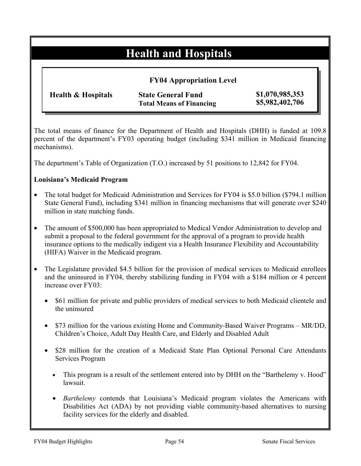# **Health and Hospitals**

|                               | <b>FY04 Appropriation Level</b>                              |                                    |
|-------------------------------|--------------------------------------------------------------|------------------------------------|
| <b>Health &amp; Hospitals</b> | <b>State General Fund</b><br><b>Total Means of Financing</b> | \$1,070,985,353<br>\$5,982,402,706 |

The total means of finance for the Department of Health and Hospitals (DHH) is funded at 109.8 percent of the department's FY03 operating budget (including \$341 million in Medicaid financing mechanisms).

The department's Table of Organization (T.O.) increased by 51 positions to 12,842 for FY04.

### **Louisiana's Medicaid Program**

- The total budget for Medicaid Administration and Services for FY04 is \$5.0 billion (\$794.1 million State General Fund), including \$341 million in financing mechanisms that will generate over \$240 million in state matching funds.
- The amount of \$500,000 has been appropriated to Medical Vendor Administration to develop and submit a proposal to the federal government for the approval of a program to provide health insurance options to the medically indigent via a Health Insurance Flexibility and Accountability (HIFA) Waiver in the Medicaid program.
- The Legislature provided \$4.5 billion for the provision of medical services to Medicaid enrollees and the uninsured in FY04, thereby stabilizing funding in FY04 with a \$184 million or 4 percent increase over FY03:
	- \$61 million for private and public providers of medical services to both Medicaid clientele and the uninsured
	- \$73 million for the various existing Home and Community-Based Waiver Programs MR/DD, Children's Choice, Adult Day Health Care, and Elderly and Disabled Adult
	- \$28 million for the creation of a Medicaid State Plan Optional Personal Care Attendants Services Program
		- This program is a result of the settlement entered into by DHH on the "Barthelemy v. Hood" lawsuit.
		- *Barthelemy* contends that Louisiana's Medicaid program violates the Americans with Disabilities Act (ADA) by not providing viable community-based alternatives to nursing facility services for the elderly and disabled.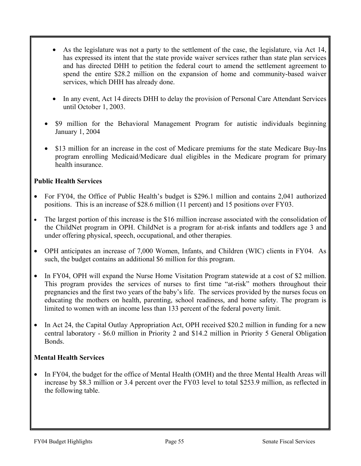- As the legislature was not a party to the settlement of the case, the legislature, via Act 14, has expressed its intent that the state provide waiver services rather than state plan services and has directed DHH to petition the federal court to amend the settlement agreement to spend the entire \$28.2 million on the expansion of home and community-based waiver services, which DHH has already done.
- In any event, Act 14 directs DHH to delay the provision of Personal Care Attendant Services until October 1, 2003.
- \$9 million for the Behavioral Management Program for autistic individuals beginning January 1, 2004
- \$13 million for an increase in the cost of Medicare premiums for the state Medicare Buy-Ins program enrolling Medicaid/Medicare dual eligibles in the Medicare program for primary health insurance.

## **Public Health Services**

- For FY04, the Office of Public Health's budget is \$296.1 million and contains 2,041 authorized positions. This is an increase of \$28.6 million (11 percent) and 15 positions over FY03.
- The largest portion of this increase is the \$16 million increase associated with the consolidation of the ChildNet program in OPH. ChildNet is a program for at-risk infants and toddlers age 3 and under offering physical, speech, occupational, and other therapies.
- OPH anticipates an increase of 7,000 Women, Infants, and Children (WIC) clients in FY04. As such, the budget contains an additional \$6 million for this program.
- In FY04, OPH will expand the Nurse Home Visitation Program statewide at a cost of \$2 million. This program provides the services of nurses to first time "at-risk" mothers throughout their pregnancies and the first two years of the baby's life. The services provided by the nurses focus on educating the mothers on health, parenting, school readiness, and home safety. The program is limited to women with an income less than 133 percent of the federal poverty limit.
- In Act 24, the Capital Outlay Appropriation Act, OPH received \$20.2 million in funding for a new central laboratory - \$6.0 million in Priority 2 and \$14.2 million in Priority 5 General Obligation Bonds.

### **Mental Health Services**

• In FY04, the budget for the office of Mental Health (OMH) and the three Mental Health Areas will increase by \$8.3 million or 3.4 percent over the FY03 level to total \$253.9 million, as reflected in the following table.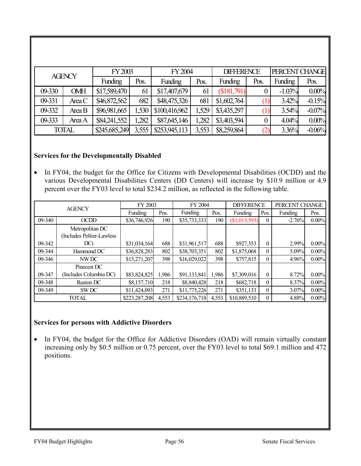|        | <b>AGENCY</b> | FY 2003        |       | FY2004         |       | <b>DIFFERENCE</b> |      | PERCENT CHANGE |          |
|--------|---------------|----------------|-------|----------------|-------|-------------------|------|----------------|----------|
|        |               | <b>Funding</b> | Pos.  | <b>Funding</b> | Pos.  | <b>Funding</b>    | Pos. | <b>Funding</b> | Pos.     |
| 09-330 | <b>OMH</b>    | \$17,589,470   | 61    | \$17,407,679   | 61    | \$181,791         |      | $-1.03%$       | 0.00%    |
| 09-331 | Area C        | \$46,872,562   | 682   | \$48,475,326   | 681   | \$1,602,764       |      | 3.42%          | $-0.15%$ |
| 09-332 | Area B        | \$96,981,665   | ,530  | \$100,416,962  | 1,529 | \$3,435,297       |      | 3.54%          | $-0.07%$ |
| 09-333 | Area A        | \$84,241,552   | .282  | \$87,645,146   | 1,282 | \$3,403,594       |      | 4.04%          | 0.00%    |
|        | <b>TOTAL</b>  | \$245,685,249  | 3,555 | \$253,945,113  | 3,553 | \$8,259,864       |      | 3.36%          | $-0.06%$ |

## **Services for the Developmentally Disabled**

• In FY04, the budget for the Office for Citizens with Developmental Disabilities (OCDD) and the various Developmental Disabilities Centers (DD Centers) will increase by \$10.9 million or 4.9 percent over the FY03 level to total \$234.2 million, as reflected in the following table.

|        | <b>AGENCY</b>              | FY 2003       |       | FY 2004        |       | <b>DIFFERENCE</b> |                  | PERCENT CHANGE |          |
|--------|----------------------------|---------------|-------|----------------|-------|-------------------|------------------|----------------|----------|
|        |                            | Funding       | Pos.  | <b>Funding</b> | Pos.  | Funding           | Pos.             | Funding        | Pos.     |
| 09-340 | <b>OCDD</b>                | \$36,746,926  | 190   | \$35,733,333   | 190   | (\$1,013,593)     | $\theta$         | $-2.76%$       | $0.00\%$ |
|        | Metropolitan DC            |               |       |                |       |                   |                  |                |          |
|        | (Includes Peltier-Lawless) |               |       |                |       |                   |                  |                |          |
| 09-342 | DC)                        | \$31,034,164  | 688   | \$31,961,517   | 688   | \$927,353         | $\overline{0}$   | 2.99%          | $0.00\%$ |
| 09-344 | Hammond DC                 | \$36,828,283  | 802   | \$38,703,351   | 802   | \$1,875,068       | $\theta$         | 5.09%          | $0.00\%$ |
| 09-346 | NW DC                      | \$15,271,207  | 398   | \$16,029,022   | 398   | \$757,815         | $\boldsymbol{0}$ | 4.96%          | $0.00\%$ |
|        | Pinecest DC                |               |       |                |       |                   |                  |                |          |
| 09-347 | (Includes Columbia DC)     | \$83,824,825  | 1,986 | \$91,133,841   | 1,986 | \$7,309,016       | $\theta$         | 8.72%          | $0.00\%$ |
| 09-348 | Ruston DC                  | \$8,157,710   | 218   | \$8,840,428    | 218   | \$682,718         | $\theta$         | 8.37%          | $0.00\%$ |
| 09-349 | SW <sub>DC</sub>           | \$11,424,093  | 271   | \$11,775,226   | 271   | \$351,133         | $\mathbf{0}$     | 3.07%          | $0.00\%$ |
|        | <b>TOTAL</b>               | \$223,287,208 | 4,553 | \$234,176,718  | 4,553 | \$10,889,510      | $\Omega$         | 4.88%          | $0.00\%$ |

### **Services for persons with Addictive Disorders**

• In FY04, the budget for the Office for Addictive Disorders (OAD) will remain virtually constant increasing only by \$0.5 million or 0.75 percent, over the FY03 level to total \$69.1 million and 472 positions.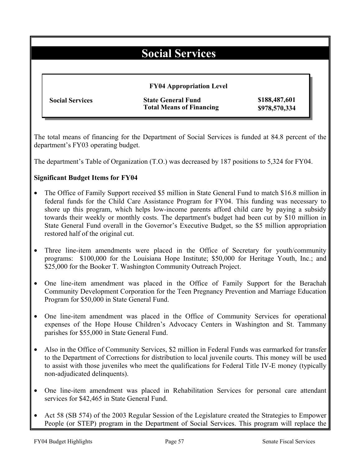# **Social Services**

|                        | <b>FY04 Appropriation Level</b> |               |
|------------------------|---------------------------------|---------------|
| <b>Social Services</b> | <b>State General Fund</b>       | \$188,487,601 |
|                        | <b>Total Means of Financing</b> | \$978,570,334 |

The total means of financing for the Department of Social Services is funded at 84.8 percent of the department's FY03 operating budget.

The department's Table of Organization (T.O.) was decreased by 187 positions to 5,324 for FY04.

### **Significant Budget Items for FY04**

- The Office of Family Support received \$5 million in State General Fund to match \$16.8 million in federal funds for the Child Care Assistance Program for FY04. This funding was necessary to shore up this program, which helps low-income parents afford child care by paying a subsidy towards their weekly or monthly costs. The department's budget had been cut by \$10 million in State General Fund overall in the Governor's Executive Budget, so the \$5 million appropriation restored half of the original cut.
- Three line-item amendments were placed in the Office of Secretary for youth/community programs: \$100,000 for the Louisiana Hope Institute; \$50,000 for Heritage Youth, Inc.; and \$25,000 for the Booker T. Washington Community Outreach Project.
- One line-item amendment was placed in the Office of Family Support for the Berachah Community Development Corporation for the Teen Pregnancy Prevention and Marriage Education Program for \$50,000 in State General Fund.
- One line-item amendment was placed in the Office of Community Services for operational expenses of the Hope House Children's Advocacy Centers in Washington and St. Tammany parishes for \$55,000 in State General Fund.
- Also in the Office of Community Services, \$2 million in Federal Funds was earmarked for transfer to the Department of Corrections for distribution to local juvenile courts. This money will be used to assist with those juveniles who meet the qualifications for Federal Title IV-E money (typically non-adjudicated delinquents).
- One line-item amendment was placed in Rehabilitation Services for personal care attendant services for \$42,465 in State General Fund.
- Act 58 (SB 574) of the 2003 Regular Session of the Legislature created the Strategies to Empower People (or STEP) program in the Department of Social Services. This program will replace the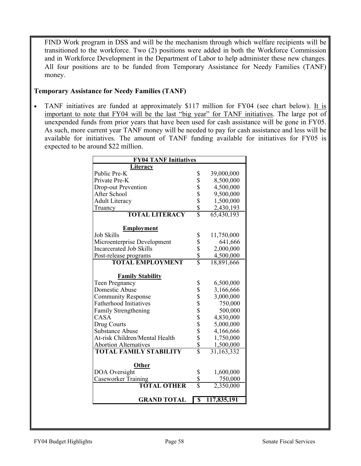FIND Work program in DSS and will be the mechanism through which welfare recipients will be transitioned to the workforce. Two (2) positions were added in both the Workforce Commission and in Workforce Development in the Department of Labor to help administer these new changes. All four positions are to be funded from Temporary Assistance for Needy Families (TANF) money.

### **Temporary Assistance for Needy Families (TANF)**

• TANF initiatives are funded at approximately \$117 million for FY04 (see chart below). It is important to note that FY04 will be the last "big year" for TANF initiatives. The large pot of unexpended funds from prior years that have been used for cash assistance will be gone in FY05. As such, more current year TANF money will be needed to pay for cash assistance and less will be available for initiatives. The amount of TANF funding available for initiatives for FY05 is expected to be around \$22 million.

| <b>FY04 TANF Initiatives</b>   |                            |                           |  |  |  |  |
|--------------------------------|----------------------------|---------------------------|--|--|--|--|
| Literacy                       |                            |                           |  |  |  |  |
| Public Pre-K                   | \$                         | 39,000,000                |  |  |  |  |
| Private Pre-K                  |                            | 8,500,000                 |  |  |  |  |
| Drop-out Prevention            |                            | 4,500,000                 |  |  |  |  |
| After School                   |                            | 9,500,000                 |  |  |  |  |
| <b>Adult Literacy</b>          |                            | 1,500,000                 |  |  |  |  |
| Truancy                        | \$\$\$\$\$                 | 2,430,193                 |  |  |  |  |
| <b>TOTAL LITERACY</b>          |                            | 65,430,193                |  |  |  |  |
| <b>Employment</b>              |                            |                           |  |  |  |  |
| <b>Job Skills</b>              |                            | 11,750,000                |  |  |  |  |
| Microenterprise Development    |                            | 641,666                   |  |  |  |  |
| <b>Incarcerated Job Skills</b> |                            | 2,000,000                 |  |  |  |  |
| Post-release programs          |                            | 4,500,000                 |  |  |  |  |
| <b>TOTAL EMPLOYMENT</b>        | \$<br>\$<br>\$<br>\$<br>\$ | 18,891,666                |  |  |  |  |
|                                |                            |                           |  |  |  |  |
| <b>Family Stability</b>        |                            |                           |  |  |  |  |
| Teen Pregnancy                 | \$                         | 6,500,000                 |  |  |  |  |
| Domestic Abuse                 |                            | 3,166,666                 |  |  |  |  |
| <b>Community Response</b>      |                            | 3,000,000                 |  |  |  |  |
| <b>Fatherhood Initiatives</b>  |                            | 750,000                   |  |  |  |  |
| <b>Family Strengthening</b>    |                            | 500,000                   |  |  |  |  |
| <b>CASA</b>                    |                            | 4,830,000                 |  |  |  |  |
| Drug Courts                    |                            | 5,000,000                 |  |  |  |  |
| <b>Substance Abuse</b>         |                            | 4,166,666                 |  |  |  |  |
| At-risk Children/Mental Health |                            | 1,750,000                 |  |  |  |  |
| <b>Abortion Alternatives</b>   | \$\$\$\$\$\$\$\$\$\$\$     | 1,500,000                 |  |  |  |  |
| <b>TOTAL FAMILY STABILITY</b>  |                            | $\overline{31}, 163, 332$ |  |  |  |  |
|                                |                            |                           |  |  |  |  |
| <b>Other</b><br>DOA Oversight  |                            | 1,600,000                 |  |  |  |  |
| Caseworker Training            |                            | 750,000                   |  |  |  |  |
| <b>TOTAL OTHER</b>             | $rac{1}{3}$                | 2,350,000                 |  |  |  |  |
|                                |                            |                           |  |  |  |  |
| <b>GRAND TOTAL</b>             | \$                         | 117,835,191               |  |  |  |  |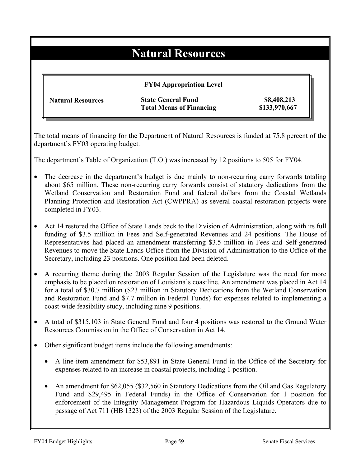# **Natural Resources**

|                          | <b>FY04 Appropriation Level</b> |               |
|--------------------------|---------------------------------|---------------|
| <b>Natural Resources</b> | <b>State General Fund</b>       | \$8,408,213   |
|                          | <b>Total Means of Financing</b> | \$133,970,667 |

The total means of financing for the Department of Natural Resources is funded at 75.8 percent of the department's FY03 operating budget.

The department's Table of Organization (T.O.) was increased by 12 positions to 505 for FY04.

- The decrease in the department's budget is due mainly to non-recurring carry forwards totaling about \$65 million. These non-recurring carry forwards consist of statutory dedications from the Wetland Conservation and Restoration Fund and federal dollars from the Coastal Wetlands Planning Protection and Restoration Act (CWPPRA) as several coastal restoration projects were completed in FY03.
- Act 14 restored the Office of State Lands back to the Division of Administration, along with its full funding of \$3.5 million in Fees and Self-generated Revenues and 24 positions. The House of Representatives had placed an amendment transferring \$3.5 million in Fees and Self-generated Revenues to move the State Lands Office from the Division of Administration to the Office of the Secretary, including 23 positions. One position had been deleted.
- A recurring theme during the 2003 Regular Session of the Legislature was the need for more emphasis to be placed on restoration of Louisiana's coastline. An amendment was placed in Act 14 for a total of \$30.7 million (\$23 million in Statutory Dedications from the Wetland Conservation and Restoration Fund and \$7.7 million in Federal Funds) for expenses related to implementing a coast-wide feasibility study, including nine 9 positions.
- A total of \$315,103 in State General Fund and four 4 positions was restored to the Ground Water Resources Commission in the Office of Conservation in Act 14.
- Other significant budget items include the following amendments:
	- A line-item amendment for \$53,891 in State General Fund in the Office of the Secretary for expenses related to an increase in coastal projects, including 1 position.
	- An amendment for \$62,055 (\$32,560 in Statutory Dedications from the Oil and Gas Regulatory Fund and \$29,495 in Federal Funds) in the Office of Conservation for 1 position for enforcement of the Integrity Management Program for Hazardous Liquids Operators due to passage of Act 711 (HB 1323) of the 2003 Regular Session of the Legislature.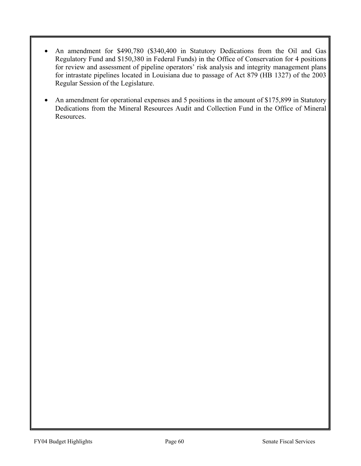- An amendment for \$490,780 (\$340,400 in Statutory Dedications from the Oil and Gas Regulatory Fund and \$150,380 in Federal Funds) in the Office of Conservation for 4 positions for review and assessment of pipeline operators' risk analysis and integrity management plans for intrastate pipelines located in Louisiana due to passage of Act 879 (HB 1327) of the 2003 Regular Session of the Legislature.
- An amendment for operational expenses and 5 positions in the amount of \$175,899 in Statutory Dedications from the Mineral Resources Audit and Collection Fund in the Office of Mineral Resources.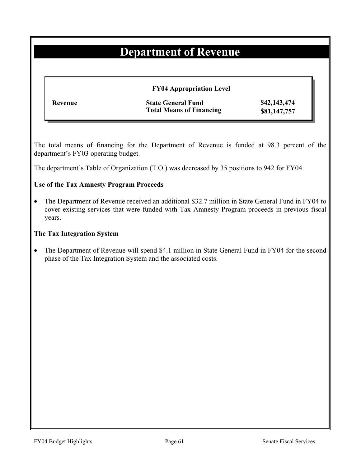# **Department of Revenue**

| <b>FY04 Appropriation Level</b> |                                                              |                              |  |
|---------------------------------|--------------------------------------------------------------|------------------------------|--|
| Revenue                         | <b>State General Fund</b><br><b>Total Means of Financing</b> | \$42,143,474<br>\$81,147,757 |  |

The total means of financing for the Department of Revenue is funded at 98.3 percent of the department's FY03 operating budget.

The department's Table of Organization (T.O.) was decreased by 35 positions to 942 for FY04.

### **Use of the Tax Amnesty Program Proceeds**

• The Department of Revenue received an additional \$32.7 million in State General Fund in FY04 to cover existing services that were funded with Tax Amnesty Program proceeds in previous fiscal years.

#### **The Tax Integration System**

• The Department of Revenue will spend \$4.1 million in State General Fund in FY04 for the second phase of the Tax Integration System and the associated costs.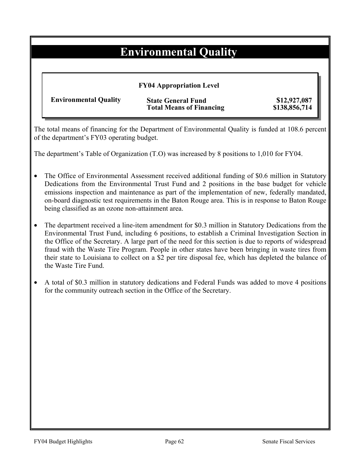# **Environmental Quality**

| <b>FY04 Appropriation Level</b> |                                                              |                               |  |
|---------------------------------|--------------------------------------------------------------|-------------------------------|--|
| <b>Environmental Quality</b>    | <b>State General Fund</b><br><b>Total Means of Financing</b> | \$12,927,087<br>\$138,856,714 |  |

The total means of financing for the Department of Environmental Quality is funded at 108.6 percent of the department's FY03 operating budget.

The department's Table of Organization (T.O) was increased by 8 positions to 1,010 for FY04.

- The Office of Environmental Assessment received additional funding of \$0.6 million in Statutory Dedications from the Environmental Trust Fund and 2 positions in the base budget for vehicle emissions inspection and maintenance as part of the implementation of new, federally mandated, on-board diagnostic test requirements in the Baton Rouge area. This is in response to Baton Rouge being classified as an ozone non-attainment area.
- The department received a line-item amendment for \$0.3 million in Statutory Dedications from the Environmental Trust Fund, including 6 positions, to establish a Criminal Investigation Section in the Office of the Secretary. A large part of the need for this section is due to reports of widespread fraud with the Waste Tire Program. People in other states have been bringing in waste tires from their state to Louisiana to collect on a \$2 per tire disposal fee, which has depleted the balance of the Waste Tire Fund.
- A total of \$0.3 million in statutory dedications and Federal Funds was added to move 4 positions for the community outreach section in the Office of the Secretary.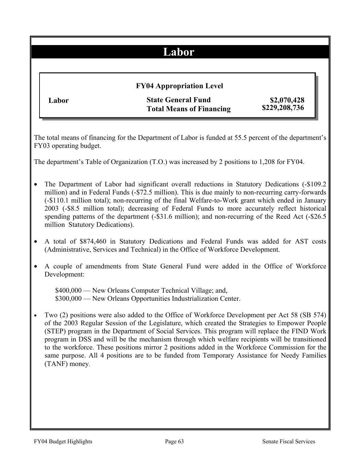## **Labor**

# **FY04 Appropriation Level**

**Labor State General Fund Total Means of Financing**

 **\$2,070,428 \$229,208,736**

The total means of financing for the Department of Labor is funded at 55.5 percent of the department's FY03 operating budget.

The department's Table of Organization (T.O.) was increased by 2 positions to 1,208 for FY04.

- The Department of Labor had significant overall reductions in Statutory Dedications (-\$109.2) million) and in Federal Funds (-\$72.5 million). This is due mainly to non-recurring carry-forwards (-\$110.1 million total); non-recurring of the final Welfare-to-Work grant which ended in January 2003 (-\$8.5 million total); decreasing of Federal Funds to more accurately reflect historical spending patterns of the department (-\$31.6 million); and non-recurring of the Reed Act (-\$26.5) million Statutory Dedications).
- A total of \$874,460 in Statutory Dedications and Federal Funds was added for AST costs (Administrative, Services and Technical) in the Office of Workforce Development.
- A couple of amendments from State General Fund were added in the Office of Workforce Development:

\$400,000 — New Orleans Computer Technical Village; and, \$300,000 — New Orleans Opportunities Industrialization Center.

• Two (2) positions were also added to the Office of Workforce Development per Act 58 (SB 574) of the 2003 Regular Session of the Legislature, which created the Strategies to Empower People (STEP) program in the Department of Social Services. This program will replace the FIND Work program in DSS and will be the mechanism through which welfare recipients will be transitioned to the workforce. These positions mirror 2 positions added in the Workforce Commission for the same purpose. All 4 positions are to be funded from Temporary Assistance for Needy Families (TANF) money.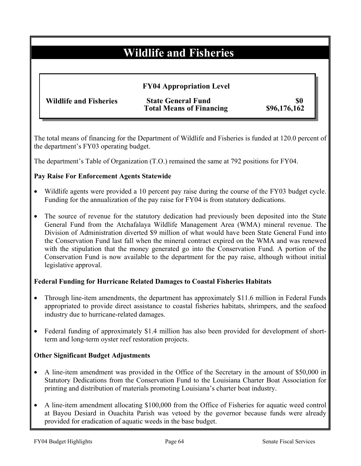# **Wildlife and Fisheries**

|                               | <b>FY04 Appropriation Level</b>                              |                     |
|-------------------------------|--------------------------------------------------------------|---------------------|
| <b>Wildlife and Fisheries</b> | <b>State General Fund</b><br><b>Total Means of Financing</b> | \$0<br>\$96,176,162 |

The total means of financing for the Department of Wildlife and Fisheries is funded at 120.0 percent of the department's FY03 operating budget.

The department's Table of Organization (T.O.) remained the same at 792 positions for FY04.

### **Pay Raise For Enforcement Agents Statewide**

- Wildlife agents were provided a 10 percent pay raise during the course of the FY03 budget cycle. Funding for the annualization of the pay raise for FY04 is from statutory dedications.
- The source of revenue for the statutory dedication had previously been deposited into the State General Fund from the Atchafalaya Wildlife Management Area (WMA) mineral revenue. The Division of Administration diverted \$9 million of what would have been State General Fund into the Conservation Fund last fall when the mineral contract expired on the WMA and was renewed with the stipulation that the money generated go into the Conservation Fund. A portion of the Conservation Fund is now available to the department for the pay raise, although without initial legislative approval.

### **Federal Funding for Hurricane Related Damages to Coastal Fisheries Habitats**

- Through line-item amendments, the department has approximately \$11.6 million in Federal Funds appropriated to provide direct assistance to coastal fisheries habitats, shrimpers, and the seafood industry due to hurricane-related damages.
- Federal funding of approximately \$1.4 million has also been provided for development of shortterm and long-term oyster reef restoration projects.

### **Other Significant Budget Adjustments**

- A line-item amendment was provided in the Office of the Secretary in the amount of \$50,000 in Statutory Dedications from the Conservation Fund to the Louisiana Charter Boat Association for printing and distribution of materials promoting Louisiana's charter boat industry.
- A line-item amendment allocating \$100,000 from the Office of Fisheries for aquatic weed control at Bayou Desiard in Ouachita Parish was vetoed by the governor because funds were already provided for eradication of aquatic weeds in the base budget.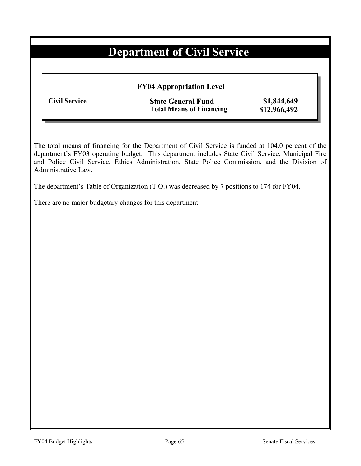# **Department of Civil Service**

**FY04 Appropriation Level**

**Civil Service State General Fund \$1,844,649 Total Means of Financing \$12,966,492** 

The total means of financing for the Department of Civil Service is funded at 104.0 percent of the department's FY03 operating budget. This department includes State Civil Service, Municipal Fire and Police Civil Service, Ethics Administration, State Police Commission, and the Division of Administrative Law.

The department's Table of Organization (T.O.) was decreased by 7 positions to 174 for FY04.

There are no major budgetary changes for this department.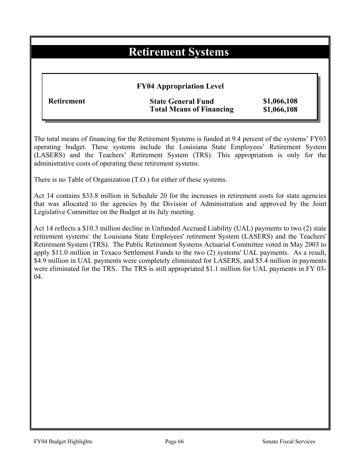## **Retirement Systems**

### **FY04 Appropriation Level**

### **Refining State General Fund \$1,066,108 Total Means of Financing \$1,066,108**

The total means of financing for the Retirement Systems is funded at 9.4 percent of the systems' FY03 operating budget. These systems include the Louisiana State Employees' Retirement System (LASERS) and the Teachers' Retirement System (TRS). This appropriation is only for the administrative costs of operating these retirement systems.

There is no Table of Organization (T.O.) for either of these systems.

Act 14 contains \$33.8 million in Schedule 20 for the increases in retirement costs for state agencies that was allocated to the agencies by the Division of Administration and approved by the Joint Legislative Committee on the Budget at its July meeting.

Act 14 reflects a \$10.3 million decline in Unfunded Accrued Liability (UAL) payments to two (2) state retirement systems: the Louisiana State Employees' retirement System (LASERS) and the Teachers' Retirement System (TRS). The Public Retirement Systems Actuarial Committee voted in May 2003 to apply \$11.0 million in Texaco Settlement Funds to the two (2) systems' UAL payments. As a result, \$4.9 million in UAL payments were completely eliminated for LASERS, and \$5.4 million in payments were eliminated for the TRS. The TRS is still appropriated \$1.1 million for UAL payments in FY 03- 04.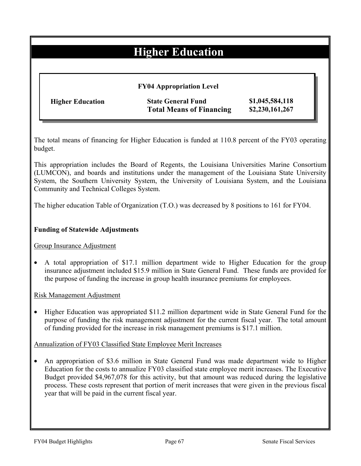# **Higher Education**

| <b>Higher Education</b> | <b>State General Fund</b>       | \$1,045,584,118 |
|-------------------------|---------------------------------|-----------------|
|                         | <b>Total Means of Financing</b> | \$2,230,161,267 |

The total means of financing for Higher Education is funded at 110.8 percent of the FY03 operating budget.

This appropriation includes the Board of Regents, the Louisiana Universities Marine Consortium (LUMCON), and boards and institutions under the management of the Louisiana State University System, the Southern University System, the University of Louisiana System, and the Louisiana Community and Technical Colleges System.

The higher education Table of Organization (T.O.) was decreased by 8 positions to 161 for FY04.

### **Funding of Statewide Adjustments**

Group Insurance Adjustment

• A total appropriation of \$17.1 million department wide to Higher Education for the group insurance adjustment included \$15.9 million in State General Fund. These funds are provided for the purpose of funding the increase in group health insurance premiums for employees.

Risk Management Adjustment

• Higher Education was appropriated \$11.2 million department wide in State General Fund for the purpose of funding the risk management adjustment for the current fiscal year. The total amount of funding provided for the increase in risk management premiums is \$17.1 million.

Annualization of FY03 Classified State Employee Merit Increases

• An appropriation of \$3.6 million in State General Fund was made department wide to Higher Education for the costs to annualize FY03 classified state employee merit increases. The Executive Budget provided \$4,967,078 for this activity, but that amount was reduced during the legislative process. These costs represent that portion of merit increases that were given in the previous fiscal year that will be paid in the current fiscal year.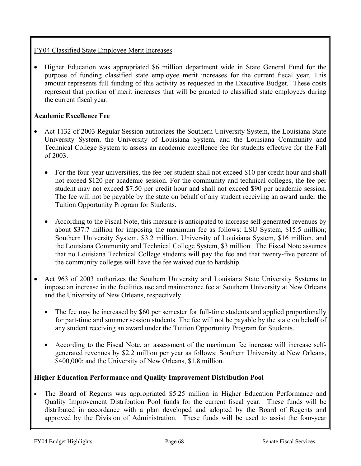## FY04 Classified State Employee Merit Increases

• Higher Education was appropriated \$6 million department wide in State General Fund for the purpose of funding classified state employee merit increases for the current fiscal year. This amount represents full funding of this activity as requested in the Executive Budget. These costs represent that portion of merit increases that will be granted to classified state employees during the current fiscal year.

## **Academic Excellence Fee**

- Act 1132 of 2003 Regular Session authorizes the Southern University System, the Louisiana State University System, the University of Louisiana System, and the Louisiana Community and Technical College System to assess an academic excellence fee for students effective for the Fall of 2003.
	- For the four-year universities, the fee per student shall not exceed \$10 per credit hour and shall not exceed \$120 per academic session. For the community and technical colleges, the fee per student may not exceed \$7.50 per credit hour and shall not exceed \$90 per academic session. The fee will not be payable by the state on behalf of any student receiving an award under the Tuition Opportunity Program for Students.
	- According to the Fiscal Note, this measure is anticipated to increase self-generated revenues by about \$37.7 million for imposing the maximum fee as follows: LSU System, \$15.5 million; Southern University System, \$3.2 million, University of Louisiana System, \$16 million, and the Louisiana Community and Technical College System, \$3 million. The Fiscal Note assumes that no Louisiana Technical College students will pay the fee and that twenty-five percent of the community colleges will have the fee waived due to hardship.
- Act 963 of 2003 authorizes the Southern University and Louisiana State University Systems to impose an increase in the facilities use and maintenance fee at Southern University at New Orleans and the University of New Orleans, respectively.
	- The fee may be increased by \$60 per semester for full-time students and applied proportionally for part-time and summer session students. The fee will not be payable by the state on behalf of any student receiving an award under the Tuition Opportunity Program for Students.
	- According to the Fiscal Note, an assessment of the maximum fee increase will increase selfgenerated revenues by \$2.2 million per year as follows: Southern University at New Orleans, \$400,000; and the University of New Orleans, \$1.8 million.

## **Higher Education Performance and Quality Improvement Distribution Pool**

• The Board of Regents was appropriated \$5.25 million in Higher Education Performance and Quality Improvement Distribution Pool funds for the current fiscal year. These funds will be distributed in accordance with a plan developed and adopted by the Board of Regents and approved by the Division of Administration. These funds will be used to assist the four-year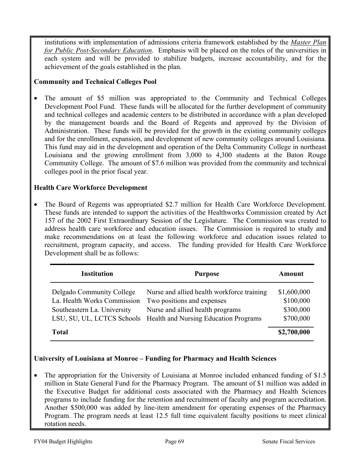institutions with implementation of admissions criteria framework established by the *Master Plan for Public Post-Secondary Education*. Emphasis will be placed on the roles of the universities in each system and will be provided to stabilize budgets, increase accountability, and for the achievement of the goals established in the plan.

### **Community and Technical Colleges Pool**

• The amount of \$5 million was appropriated to the Community and Technical Colleges Development Pool Fund. These funds will be allocated for the further development of community and technical colleges and academic centers to be distributed in accordance with a plan developed by the management boards and the Board of Regents and approved by the Division of Administration. These funds will be provided for the growth in the existing community colleges and for the enrollment, expansion, and development of new community colleges around Louisiana. This fund may aid in the development and operation of the Delta Community College in northeast Louisiana and the growing enrollment from 3,000 to 4,300 students at the Baton Rouge Community College. The amount of \$7.6 million was provided from the community and technical colleges pool in the prior fiscal year.

## **Health Care Workforce Development**

• The Board of Regents was appropriated \$2.7 million for Health Care Workforce Development. These funds are intended to support the activities of the Healthworks Commission created by Act 157 of the 2002 First Extraordinary Session of the Legislature. The Commission was created to address health care workforce and education issues. The Commission is required to study and make recommendations on at least the following workforce and education issues related to recruitment, program capacity, and access. The funding provided for Health Care Workforce Development shall be as follows:

| <b>Institution</b>                                                                      | <b>Purpose</b>                                                                                                                                                                   | Amount                                             |
|-----------------------------------------------------------------------------------------|----------------------------------------------------------------------------------------------------------------------------------------------------------------------------------|----------------------------------------------------|
| Delgado Community College<br>La. Health Works Commission<br>Southeastern La. University | Nurse and allied health workforce training<br>Two positions and expenses<br>Nurse and allied health programs<br>LSU, SU, UL, LCTCS Schools Health and Nursing Education Programs | \$1,600,000<br>\$100,000<br>\$300,000<br>\$700,000 |
| <b>Total</b>                                                                            |                                                                                                                                                                                  | \$2,700,000                                        |

## **University of Louisiana at Monroe – Funding for Pharmacy and Health Sciences**

• The appropriation for the University of Louisiana at Monroe included enhanced funding of \$1.5 million in State General Fund for the Pharmacy Program. The amount of \$1 million was added in the Executive Budget for additional costs associated with the Pharmacy and Health Sciences programs to include funding for the retention and recruitment of faculty and program accreditation. Another \$500,000 was added by line-item amendment for operating expenses of the Pharmacy Program. The program needs at least 12.5 full time equivalent faculty positions to meet clinical rotation needs.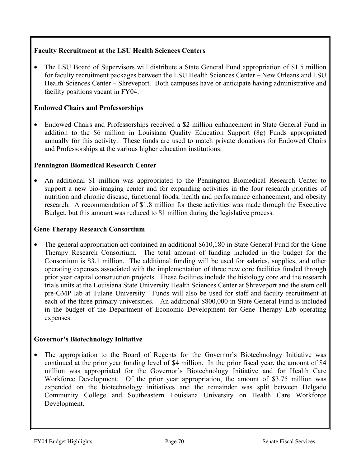# **Faculty Recruitment at the LSU Health Sciences Centers**

• The LSU Board of Supervisors will distribute a State General Fund appropriation of \$1.5 million for faculty recruitment packages between the LSU Health Sciences Center – New Orleans and LSU Health Sciences Center – Shreveport. Both campuses have or anticipate having administrative and facility positions vacant in FY04.

## **Endowed Chairs and Professorships**

• Endowed Chairs and Professorships received a \$2 million enhancement in State General Fund in addition to the \$6 million in Louisiana Quality Education Support (8g) Funds appropriated annually for this activity. These funds are used to match private donations for Endowed Chairs and Professorships at the various higher education institutions.

#### **Pennington Biomedical Research Center**

• An additional \$1 million was appropriated to the Pennington Biomedical Research Center to support a new bio-imaging center and for expanding activities in the four research priorities of nutrition and chronic disease, functional foods, health and performance enhancement, and obesity research. A recommendation of \$1.8 million for these activities was made through the Executive Budget, but this amount was reduced to \$1 million during the legislative process.

#### **Gene Therapy Research Consortium**

• The general appropriation act contained an additional \$610,180 in State General Fund for the Gene Therapy Research Consortium. The total amount of funding included in the budget for the Consortium is \$3.1 million. The additional funding will be used for salaries, supplies, and other operating expenses associated with the implementation of three new core facilities funded through prior year capital construction projects. These facilities include the histology core and the research trials units at the Louisiana State University Health Sciences Center at Shreveport and the stem cell pre-GMP lab at Tulane University. Funds will also be used for staff and faculty recruitment at each of the three primary universities. An additional \$800,000 in State General Fund is included in the budget of the Department of Economic Development for Gene Therapy Lab operating expenses.

#### **Governor's Biotechnology Initiative**

• The appropriation to the Board of Regents for the Governor's Biotechnology Initiative was continued at the prior year funding level of \$4 million. In the prior fiscal year, the amount of \$4 million was appropriated for the Governor's Biotechnology Initiative and for Health Care Workforce Development. Of the prior year appropriation, the amount of \$3.75 million was expended on the biotechnology initiatives and the remainder was split between Delgado Community College and Southeastern Louisiana University on Health Care Workforce Development.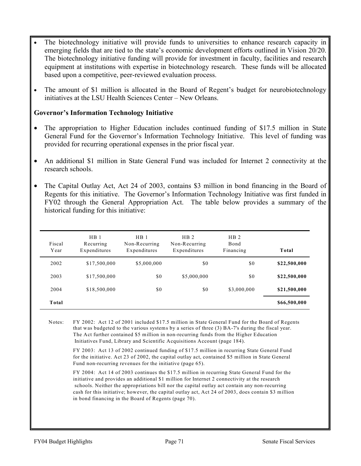- The biotechnology initiative will provide funds to universities to enhance research capacity in emerging fields that are tied to the state's economic development efforts outlined in Vision 20/20. The biotechnology initiative funding will provide for investment in faculty, facilities and research equipment at institutions with expertise in biotechnology research. These funds will be allocated based upon a competitive, peer-reviewed evaluation process.
- The amount of \$1 million is allocated in the Board of Regent's budget for neurobiotechnology initiatives at the LSU Health Sciences Center – New Orleans.

#### **Governor's Information Technology Initiative**

- The appropriation to Higher Education includes continued funding of \$17.5 million in State General Fund for the Governor's Information Technology Initiative. This level of funding was provided for recurring operational expenses in the prior fiscal year.
- An additional \$1 million in State General Fund was included for Internet 2 connectivity at the research schools.
- The Capital Outlay Act, Act 24 of 2003, contains \$3 million in bond financing in the Board of Regents for this initiative. The Governor's Information Technology Initiative was first funded in FY02 through the General Appropriation Act. The table below provides a summary of the historical funding for this initiative:

| Fiscal<br>Year | HB <sub>1</sub><br>Recurring<br>Expenditures | HB <sub>1</sub><br>Non-Recurring<br>Expenditures | HB <sub>2</sub><br>Non-Recurring<br>Expenditures | HB <sub>2</sub><br>Bond<br>Financing | Total        |
|----------------|----------------------------------------------|--------------------------------------------------|--------------------------------------------------|--------------------------------------|--------------|
| 2002           | \$17,500,000                                 | \$5,000,000                                      | \$0                                              | \$0                                  | \$22,500,000 |
| 2003           | \$17,500,000                                 | \$0                                              | \$5,000,000                                      | \$0                                  | \$22,500,000 |
| 2004           | \$18,500,000                                 | \$0                                              | \$0                                              | \$3,000,000                          | \$21,500,000 |
| Total          |                                              |                                                  |                                                  |                                      | \$66,500,000 |

Notes: FY 2002: Act 12 of 2001 included \$17.5 million in State General Fund for the Board of Regents that was budgeted to the various systems by a series of three (3) BA-7's during the fiscal year. The Act further contained \$5 million in non-recurring funds from the Higher Education Initiatives Fund, Library and Scientific Acquisitions Account (page 184).

FY 2003: Act 13 of 2002 continued funding of \$17.5 million in recurring State General Fund for the initiative. Act 23 of 2002, the capital outlay act, contained \$5 million in State General Fund non-recurring revenues for the initiative (page 65).

FY 2004: Act 14 of 2003 continues the \$17.5 million in recurring State General Fund for the initiative and provides an additional \$1 million for Internet 2 connectivity at the research schools. Neither the appropriations bill nor the capital outlay act contain any non-recurring cash for this initiative; however, the capital outlay act, Act 24 of 2003, does contain \$3 million in bond financing in the Board of Regents (page 70).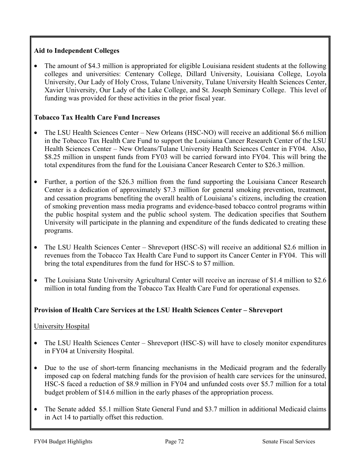# **Aid to Independent Colleges**

• The amount of \$4.3 million is appropriated for eligible Louisiana resident students at the following colleges and universities: Centenary College, Dillard University, Louisiana College, Loyola University, Our Lady of Holy Cross, Tulane University, Tulane University Health Sciences Center, Xavier University, Our Lady of the Lake College, and St. Joseph Seminary College. This level of funding was provided for these activities in the prior fiscal year.

# **Tobacco Tax Health Care Fund Increases**

- The LSU Health Sciences Center New Orleans (HSC-NO) will receive an additional \$6.6 million in the Tobacco Tax Health Care Fund to support the Louisiana Cancer Research Center of the LSU Health Sciences Center – New Orleans/Tulane University Health Sciences Center in FY04. Also, \$8.25 million in unspent funds from FY03 will be carried forward into FY04. This will bring the total expenditures from the fund for the Louisiana Cancer Research Center to \$26.3 million.
- Further, a portion of the \$26.3 million from the fund supporting the Louisiana Cancer Research Center is a dedication of approximately \$7.3 million for general smoking prevention, treatment, and cessation programs benefiting the overall health of Louisiana's citizens, including the creation of smoking prevention mass media programs and evidence-based tobacco control programs within the public hospital system and the public school system. The dedication specifies that Southern University will participate in the planning and expenditure of the funds dedicated to creating these programs.
- The LSU Health Sciences Center Shreveport (HSC-S) will receive an additional \$2.6 million in revenues from the Tobacco Tax Health Care Fund to support its Cancer Center in FY04. This will bring the total expenditures from the fund for HSC-S to \$7 million.
- The Louisiana State University Agricultural Center will receive an increase of \$1.4 million to \$2.6 million in total funding from the Tobacco Tax Health Care Fund for operational expenses.

# **Provision of Health Care Services at the LSU Health Sciences Center – Shreveport**

## University Hospital

- The LSU Health Sciences Center Shreveport (HSC-S) will have to closely monitor expenditures in FY04 at University Hospital.
- Due to the use of short-term financing mechanisms in the Medicaid program and the federally imposed cap on federal matching funds for the provision of health care services for the uninsured, HSC-S faced a reduction of \$8.9 million in FY04 and unfunded costs over \$5.7 million for a total budget problem of \$14.6 million in the early phases of the appropriation process.
- The Senate added \$5.1 million State General Fund and \$3.7 million in additional Medicaid claims in Act 14 to partially offset this reduction.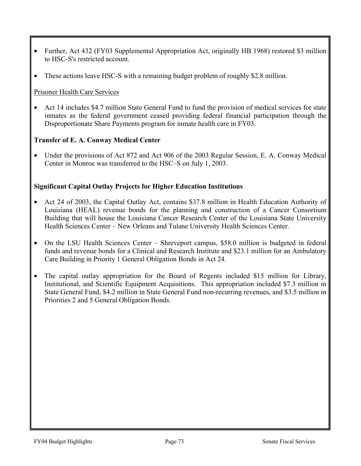- Further, Act 432 (FY03 Supplemental Appropriation Act, originally HB 1968) restored \$3 million to HSC-S's restricted account.
- These actions leave HSC-S with a remaining budget problem of roughly \$2.8 million.

## Prisoner Health Care Services

• Act 14 includes \$4.7 million State General Fund to fund the provision of medical services for state inmates as the federal government ceased providing federal financial participation through the Disproportionate Share Payments program for inmate health care in FY03.

# **Transfer of E. A. Conway Medical Center**

• Under the provisions of Act 872 and Act 906 of the 2003 Regular Session, E. A. Conway Medical Center in Monroe was transferred to the HSC–S on July 1, 2003.

# **Significant Capital Outlay Projects for Higher Education Institutions**

- Act 24 of 2003, the Capital Outlay Act, contains \$37.8 million in Health Education Authority of Louisiana (HEAL) revenue bonds for the planning and construction of a Cancer Consortium Building that will house the Louisiana Cancer Research Center of the Louisiana State University Health Sciences Center – New Orleans and Tulane University Health Sciences Center.
- On the LSU Health Sciences Center Shreveport campus, \$58.0 million is budgeted in federal funds and revenue bonds for a Clinical and Research Institute and \$23.1 million for an Ambulatory Care Building in Priority 1 General Obligation Bonds in Act 24.
- The capital outlay appropriation for the Board of Regents included \$15 million for Library, Institutional, and Scientific Equipment Acquisitions. This appropriation included \$7.3 million in State General Fund, \$4.2 million in State General Fund non-recurring revenues, and \$3.5 million in Priorities 2 and 5 General Obligation Bonds.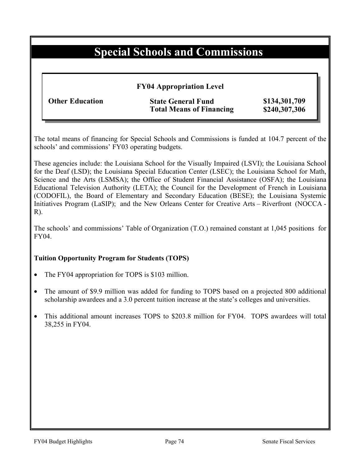# **Special Schools and Commissions**

## **FY04 Appropriation Level**

| <b>Other Education</b> |  |
|------------------------|--|
|------------------------|--|

**State General Fund \$134,301,709 Total Means of Financing \$240,307,306** 

The total means of financing for Special Schools and Commissions is funded at 104.7 percent of the schools' and commissions' FY03 operating budgets.

These agencies include: the Louisiana School for the Visually Impaired (LSVI); the Louisiana School for the Deaf (LSD); the Louisiana Special Education Center (LSEC); the Louisiana School for Math, Science and the Arts (LSMSA); the Office of Student Financial Assistance (OSFA); the Louisiana Educational Television Authority (LETA); the Council for the Development of French in Louisiana (CODOFIL), the Board of Elementary and Secondary Education (BESE); the Louisiana Systemic Initiatives Program (LaSIP); and the New Orleans Center for Creative Arts – Riverfront (NOCCA - R).

The schools' and commissions' Table of Organization (T.O.) remained constant at 1,045 positions for FY04.

## **Tuition Opportunity Program for Students (TOPS)**

- The FY04 appropriation for TOPS is \$103 million.
- The amount of \$9.9 million was added for funding to TOPS based on a projected 800 additional scholarship awardees and a 3.0 percent tuition increase at the state's colleges and universities.
- This additional amount increases TOPS to \$203.8 million for FY04. TOPS awardees will total 38,255 in FY04.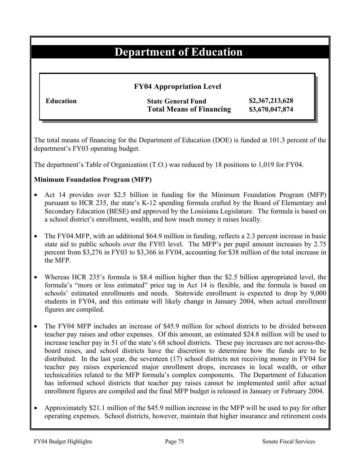# **Department of Education**

## **FY04 Appropriation Level**

**Education State General Fund \$2,367,213,628 Total Means of Financing \$3,670,047,874**

The total means of financing for the Department of Education (DOE) is funded at 101.3 percent of the department's FY03 operating budget.

The department's Table of Organization (T.O.) was reduced by 18 positions to 1,019 for FY04.

# **Minimum Foundation Program (MFP)**

- Act 14 provides over \$2.5 billion in funding for the Minimum Foundation Program (MFP) pursuant to HCR 235, the state's K-12 spending formula crafted by the Board of Elementary and Secondary Education (BESE) and approved by the Louisiana Legislature. The formula is based on a school district's enrollment, wealth, and how much money it raises locally.
- The FY04 MFP, with an additional \$64.9 million in funding, reflects a 2.3 percent increase in basic state aid to public schools over the FY03 level. The MFP's per pupil amount increases by 2.75 percent from \$3,276 in FY03 to \$3,366 in FY04, accounting for \$38 million of the total increase in the MFP.
- Whereas HCR 235's formula is \$8.4 million higher than the \$2.5 billion appropriated level, the formula's "more or less estimated" price tag in Act 14 is flexible, and the formula is based on schools' estimated enrollments and needs. Statewide enrollment is expected to drop by 9,000 students in FY04, and this estimate will likely change in January 2004, when actual enrollment figures are compiled.
- The FY04 MFP includes an increase of \$45.9 million for school districts to be divided between teacher pay raises and other expenses. Of this amount, an estimated \$24.8 million will be used to increase teacher pay in 51 of the state's 68 school districts. These pay increases are not across-theboard raises, and school districts have the discretion to determine how the funds are to be distributed. In the last year, the seventeen (17) school districts not receiving money in FY04 for teacher pay raises experienced major enrollment drops, increases in local wealth, or other technicalities related to the MFP formula's complex components. The Department of Education has informed school districts that teacher pay raises cannot be implemented until after actual enrollment figures are compiled and the final MFP budget is released in January or February 2004.
- Approximately \$21.1 million of the \$45.9 million increase in the MFP will be used to pay for other operating expenses. School districts, however, maintain that higher insurance and retirement costs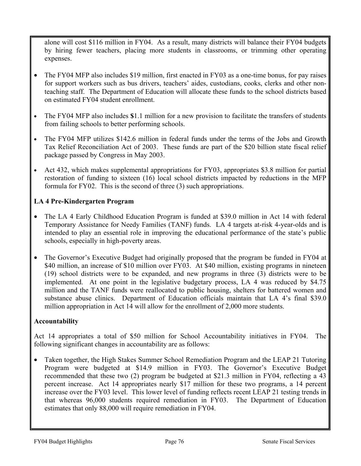alone will cost \$116 million in FY04. As a result, many districts will balance their FY04 budgets by hiring fewer teachers, placing more students in classrooms, or trimming other operating expenses.

- The FY04 MFP also includes \$19 million, first enacted in FY03 as a one-time bonus, for pay raises for support workers such as bus drivers, teachers' aides, custodians, cooks, clerks and other nonteaching staff. The Department of Education will allocate these funds to the school districts based on estimated FY04 student enrollment.
- The FY04 MFP also includes **\$**1.1 million for a new provision to facilitate the transfers of students from failing schools to better performing schools.
- The FY04 MFP utilizes \$142.6 million in federal funds under the terms of the Jobs and Growth Tax Relief Reconciliation Act of 2003. These funds are part of the \$20 billion state fiscal relief package passed by Congress in May 2003.
- Act 432, which makes supplemental appropriations for FY03, appropriates \$3.8 million for partial restoration of funding to sixteen (16) local school districts impacted by reductions in the MFP formula for FY02. This is the second of three (3) such appropriations.

# **LA 4 Pre-Kindergarten Program**

- The LA 4 Early Childhood Education Program is funded at \$39.0 million in Act 14 with federal Temporary Assistance for Needy Families (TANF) funds. LA 4 targets at-risk 4-year-olds and is intended to play an essential role in improving the educational performance of the state's public schools, especially in high-poverty areas.
- The Governor's Executive Budget had originally proposed that the program be funded in FY04 at \$40 million, an increase of \$10 million over FY03. At \$40 million, existing programs in nineteen (19) school districts were to be expanded, and new programs in three (3) districts were to be implemented. At one point in the legislative budgetary process, LA 4 was reduced by \$4.75 million and the TANF funds were reallocated to public housing, shelters for battered women and substance abuse clinics. Department of Education officials maintain that LA 4's final \$39.0 million appropriation in Act 14 will allow for the enrollment of 2,000 more students.

## **Accountability**

Act 14 appropriates a total of \$50 million for School Accountability initiatives in FY04. The following significant changes in accountability are as follows:

• Taken together, the High Stakes Summer School Remediation Program and the LEAP 21 Tutoring Program were budgeted at \$14.9 million in FY03. The Governor's Executive Budget recommended that these two (2) program be budgeted at \$21.3 million in FY04, reflecting a 43 percent increase. Act 14 appropriates nearly \$17 million for these two programs, a 14 percent increase over the FY03 level. This lower level of funding reflects recent LEAP 21 testing trends in that whereas 96,000 students required remediation in FY03. The Department of Education estimates that only 88,000 will require remediation in FY04.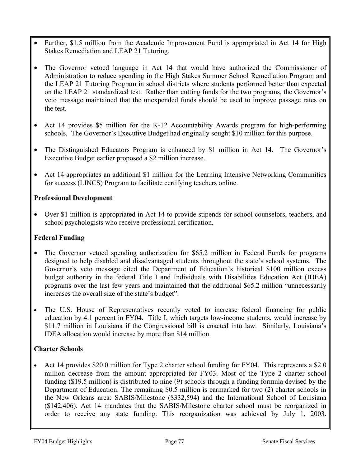- Further, \$1.5 million from the Academic Improvement Fund is appropriated in Act 14 for High Stakes Remediation and LEAP 21 Tutoring.
- The Governor vetoed language in Act 14 that would have authorized the Commissioner of Administration to reduce spending in the High Stakes Summer School Remediation Program and the LEAP 21 Tutoring Program in school districts where students performed better than expected on the LEAP 21 standardized test. Rather than cutting funds for the two programs, the Governor's veto message maintained that the unexpended funds should be used to improve passage rates on the test.
- Act 14 provides \$5 million for the K-12 Accountability Awards program for high-performing schools. The Governor's Executive Budget had originally sought \$10 million for this purpose.
- The Distinguished Educators Program is enhanced by \$1 million in Act 14. The Governor's Executive Budget earlier proposed a \$2 million increase.
- Act 14 appropriates an additional \$1 million for the Learning Intensive Networking Communities for success (LINCS) Program to facilitate certifying teachers online.

# **Professional Development**

• Over \$1 million is appropriated in Act 14 to provide stipends for school counselors, teachers, and school psychologists who receive professional certification.

# **Federal Funding**

- The Governor vetoed spending authorization for \$65.2 million in Federal Funds for programs designed to help disabled and disadvantaged students throughout the state's school systems. The Governor's veto message cited the Department of Education's historical \$100 million excess budget authority in the federal Title I and Individuals with Disabilities Education Act (IDEA) programs over the last few years and maintained that the additional \$65.2 million "unnecessarily increases the overall size of the state's budget".
- The U.S. House of Representatives recently voted to increase federal financing for public education by 4.1 percent in FY04. Title I, which targets low-income students, would increase by \$11.7 million in Louisiana if the Congressional bill is enacted into law. Similarly, Louisiana's IDEA allocation would increase by more than \$14 million.

# **Charter Schools**

• Act 14 provides \$20.0 million for Type 2 charter school funding for FY04. This represents a \$2.0 million decrease from the amount appropriated for FY03. Most of the Type 2 charter school funding (\$19.5 million) is distributed to nine (9) schools through a funding formula devised by the Department of Education. The remaining \$0.5 million is earmarked for two (2) charter schools in the New Orleans area: SABIS/Milestone (\$332,594) and the International School of Louisiana (\$142,406). Act 14 mandates that the SABIS/Milestone charter school must be reorganized in order to receive any state funding. This reorganization was achieved by July 1, 2003.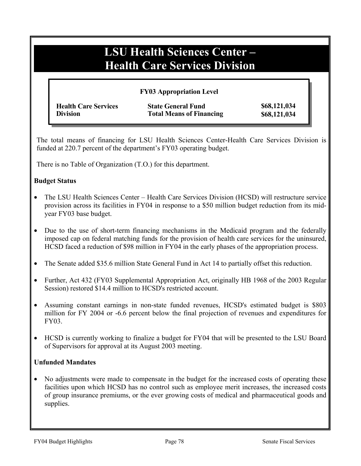# **LSU Health Sciences Center – Health Care Services Division**

#### **FY03 Appropriation Level**

| <b>Health Care Services</b> | <b>State General Fund</b>       | \$68,121,034 |
|-----------------------------|---------------------------------|--------------|
| <b>Division</b>             | <b>Total Means of Financing</b> | \$68,121,034 |

The total means of financing for LSU Health Sciences Center-Health Care Services Division is funded at 220.7 percent of the department's FY03 operating budget.

There is no Table of Organization (T.O.) for this department.

#### **Budget Status**

- The LSU Health Sciences Center Health Care Services Division (HCSD) will restructure service provision across its facilities in FY04 in response to a \$50 million budget reduction from its midyear FY03 base budget.
- Due to the use of short-term financing mechanisms in the Medicaid program and the federally imposed cap on federal matching funds for the provision of health care services for the uninsured, HCSD faced a reduction of \$98 million in FY04 in the early phases of the appropriation process.
- The Senate added \$35.6 million State General Fund in Act 14 to partially offset this reduction.
- Further, Act 432 (FY03 Supplemental Appropriation Act, originally HB 1968 of the 2003 Regular Session) restored \$14.4 million to HCSD's restricted account.
- Assuming constant earnings in non-state funded revenues, HCSD's estimated budget is \$803 million for FY 2004 or -6.6 percent below the final projection of revenues and expenditures for FY03.
- HCSD is currently working to finalize a budget for FY04 that will be presented to the LSU Board of Supervisors for approval at its August 2003 meeting.

## **Unfunded Mandates**

• No adjustments were made to compensate in the budget for the increased costs of operating these facilities upon which HCSD has no control such as employee merit increases, the increased costs of group insurance premiums, or the ever growing costs of medical and pharmaceutical goods and supplies.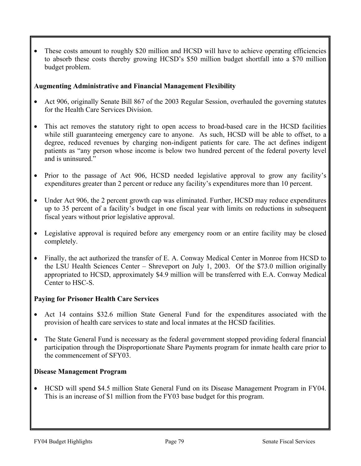• These costs amount to roughly \$20 million and HCSD will have to achieve operating efficiencies to absorb these costs thereby growing HCSD's \$50 million budget shortfall into a \$70 million budget problem.

## **Augmenting Administrative and Financial Management Flexibility**

- Act 906, originally Senate Bill 867 of the 2003 Regular Session, overhauled the governing statutes for the Health Care Services Division.
- This act removes the statutory right to open access to broad-based care in the HCSD facilities while still guaranteeing emergency care to anyone. As such, HCSD will be able to offset, to a degree, reduced revenues by charging non-indigent patients for care. The act defines indigent patients as "any person whose income is below two hundred percent of the federal poverty level and is uninsured."
- Prior to the passage of Act 906, HCSD needed legislative approval to grow any facility's expenditures greater than 2 percent or reduce any facility's expenditures more than 10 percent.
- Under Act 906, the 2 percent growth cap was eliminated. Further, HCSD may reduce expenditures up to 35 percent of a facility's budget in one fiscal year with limits on reductions in subsequent fiscal years without prior legislative approval.
- Legislative approval is required before any emergency room or an entire facility may be closed completely.
- Finally, the act authorized the transfer of E. A. Conway Medical Center in Monroe from HCSD to the LSU Health Sciences Center – Shreveport on July 1, 2003. Of the \$73.0 million originally appropriated to HCSD, approximately \$4.9 million will be transferred with E.A. Conway Medical Center to HSC-S.

## **Paying for Prisoner Health Care Services**

- Act 14 contains \$32.6 million State General Fund for the expenditures associated with the provision of health care services to state and local inmates at the HCSD facilities.
- The State General Fund is necessary as the federal government stopped providing federal financial participation through the Disproportionate Share Payments program for inmate health care prior to the commencement of SFY03.

## **Disease Management Program**

• HCSD will spend \$4.5 million State General Fund on its Disease Management Program in FY04. This is an increase of \$1 million from the FY03 base budget for this program.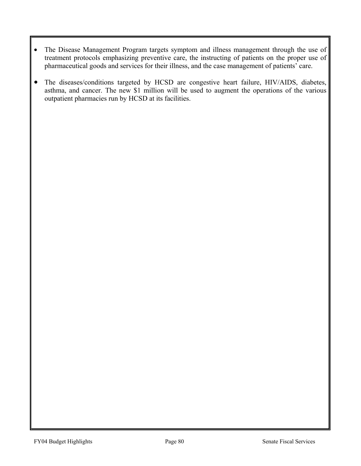- The Disease Management Program targets symptom and illness management through the use of treatment protocols emphasizing preventive care, the instructing of patients on the proper use of pharmaceutical goods and services for their illness, and the case management of patients' care.
- The diseases/conditions targeted by HCSD are congestive heart failure, HIV/AIDS, diabetes, asthma, and cancer. The new \$1 million will be used to augment the operations of the various outpatient pharmacies run by HCSD at its facilities.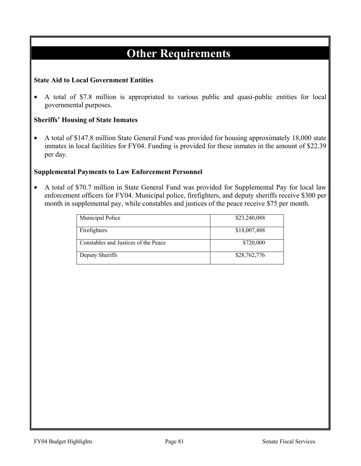# **Other Requirements**

## **State Aid to Local Government Entities**

• A total of \$7.8 million is appropriated to various public and quasi-public entities for local governmental purposes.

#### **Sheriffs' Housing of State Inmates**

• A total of \$147.8 million State General Fund was provided for housing approximately 18,000 state inmates in local facilities for FY04. Funding is provided for these inmates in the amount of \$22.39 per day.

#### **Supplemental Payments to Law Enforcement Personnel**

• A total of \$70.7 million in State General Fund was provided for Supplemental Pay for local law enforcement officers for FY04. Municipal police, firefighters, and deputy sheriffs receive \$300 per month in supplemental pay, while constables and justices of the peace receive \$75 per month.

| Municipal Police                     | \$23,240,088 |
|--------------------------------------|--------------|
| Firefighters                         | \$18,007,488 |
| Constables and Justices of the Peace | \$720,000    |
| Deputy Sheriffs                      | \$28,762,776 |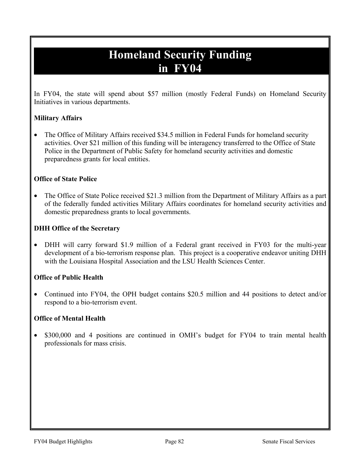# **Homeland Security Funding in FY04**

In FY04, the state will spend about \$57 million (mostly Federal Funds) on Homeland Security Initiatives in various departments.

# **Military Affairs**

• The Office of Military Affairs received \$34.5 million in Federal Funds for homeland security activities. Over \$21 million of this funding will be interagency transferred to the Office of State Police in the Department of Public Safety for homeland security activities and domestic preparedness grants for local entities.

# **Office of State Police**

• The Office of State Police received \$21.3 million from the Department of Military Affairs as a part of the federally funded activities Military Affairs coordinates for homeland security activities and domestic preparedness grants to local governments.

# **DHH Office of the Secretary**

• DHH will carry forward \$1.9 million of a Federal grant received in FY03 for the multi-year development of a bio-terrorism response plan. This project is a cooperative endeavor uniting DHH with the Louisiana Hospital Association and the LSU Health Sciences Center.

## **Office of Public Health**

• Continued into FY04, the OPH budget contains \$20.5 million and 44 positions to detect and/or respond to a bio-terrorism event.

# **Office of Mental Health**

• \$300,000 and 4 positions are continued in OMH's budget for FY04 to train mental health professionals for mass crisis.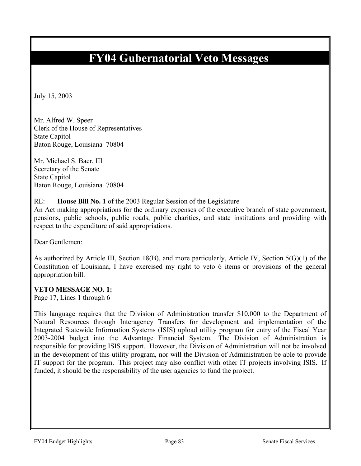# **FY04 Gubernatorial Veto Messages**

July 15, 2003

Mr. Alfred W. Speer Clerk of the House of Representatives State Capitol Baton Rouge, Louisiana 70804

Mr. Michael S. Baer, III Secretary of the Senate State Capitol Baton Rouge, Louisiana 70804

## RE: **House Bill No. 1** of the 2003 Regular Session of the Legislature

An Act making appropriations for the ordinary expenses of the executive branch of state government, pensions, public schools, public roads, public charities, and state institutions and providing with respect to the expenditure of said appropriations.

Dear Gentlemen:

As authorized by Article III, Section 18(B), and more particularly, Article IV, Section 5(G)(1) of the Constitution of Louisiana, I have exercised my right to veto 6 items or provisions of the general appropriation bill.

#### **VETO MESSAGE NO. 1:**

Page 17, Lines 1 through 6

This language requires that the Division of Administration transfer \$10,000 to the Department of Natural Resources through Interagency Transfers for development and implementation of the Integrated Statewide Information Systems (ISIS) upload utility program for entry of the Fiscal Year 2003-2004 budget into the Advantage Financial System. The Division of Administration is responsible for providing ISIS support. However, the Division of Administration will not be involved in the development of this utility program, nor will the Division of Administration be able to provide IT support for the program. This project may also conflict with other IT projects involving ISIS. If funded, it should be the responsibility of the user agencies to fund the project.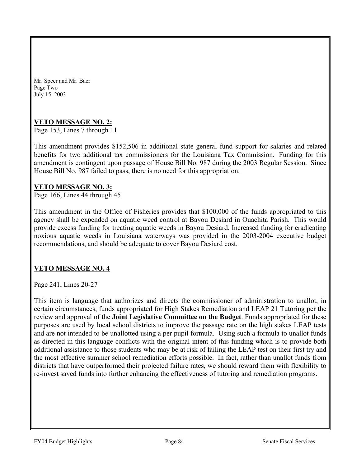Mr. Speer and Mr. Baer Page Two July 15, 2003

# **VETO MESSAGE NO. 2:**

Page 153, Lines 7 through 11

This amendment provides \$152,506 in additional state general fund support for salaries and related benefits for two additional tax commissioners for the Louisiana Tax Commission. Funding for this amendment is contingent upon passage of House Bill No. 987 during the 2003 Regular Session. Since House Bill No. 987 failed to pass, there is no need for this appropriation.

## **VETO MESSAGE NO. 3:**

Page 166, Lines 44 through 45

This amendment in the Office of Fisheries provides that \$100,000 of the funds appropriated to this agency shall be expended on aquatic weed control at Bayou Desiard in Ouachita Parish. This would provide excess funding for treating aquatic weeds in Bayou Desiard. Increased funding for eradicating noxious aquatic weeds in Louisiana waterways was provided in the 2003-2004 executive budget recommendations, and should be adequate to cover Bayou Desiard cost.

## **VETO MESSAGE NO. 4**

Page 241, Lines 20-27

This item is language that authorizes and directs the commissioner of administration to unallot, in certain circumstances, funds appropriated for High Stakes Remediation and LEAP 21 Tutoring per the review and approval of the **Joint Legislative Committee on the Budget**. Funds appropriated for these purposes are used by local school districts to improve the passage rate on the high stakes LEAP tests and are not intended to be unallotted using a per pupil formula. Using such a formula to unallot funds as directed in this language conflicts with the original intent of this funding which is to provide both additional assistance to those students who may be at risk of failing the LEAP test on their first try and the most effective summer school remediation efforts possible. In fact, rather than unallot funds from districts that have outperformed their projected failure rates, we should reward them with flexibility to re-invest saved funds into further enhancing the effectiveness of tutoring and remediation programs.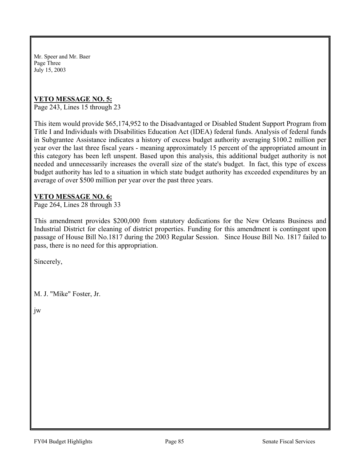Mr. Speer and Mr. Baer Page Three July 15, 2003

## **VETO MESSAGE NO. 5:**

Page 243, Lines 15 through 23

This item would provide \$65,174,952 to the Disadvantaged or Disabled Student Support Program from Title I and Individuals with Disabilities Education Act (IDEA) federal funds. Analysis of federal funds in Subgrantee Assistance indicates a history of excess budget authority averaging \$100.2 million per year over the last three fiscal years - meaning approximately 15 percent of the appropriated amount in this category has been left unspent. Based upon this analysis, this additional budget authority is not needed and unnecessarily increases the overall size of the state's budget. In fact, this type of excess budget authority has led to a situation in which state budget authority has exceeded expenditures by an average of over \$500 million per year over the past three years.

## **VETO MESSAGE NO. 6:**

Page 264, Lines 28 through 33

This amendment provides \$200,000 from statutory dedications for the New Orleans Business and Industrial District for cleaning of district properties. Funding for this amendment is contingent upon passage of House Bill No.1817 during the 2003 Regular Session. Since House Bill No. 1817 failed to pass, there is no need for this appropriation.

Sincerely,

M. J. "Mike" Foster, Jr.

jw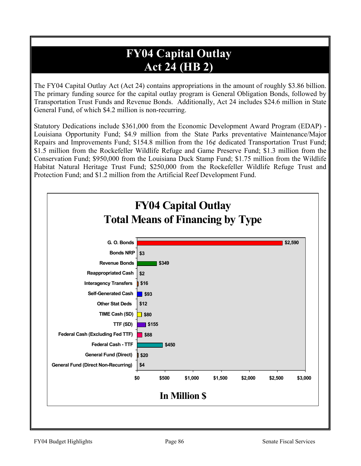# **FY04 Capital Outlay Act 24 (HB 2)**

The FY04 Capital Outlay Act (Act 24) contains appropriations in the amount of roughly \$3.86 billion. The primary funding source for the capital outlay program is General Obligation Bonds, followed by Transportation Trust Funds and Revenue Bonds. Additionally, Act 24 includes \$24.6 million in State General Fund, of which \$4.2 million is non-recurring.

Statutory Dedications include \$361,000 from the Economic Development Award Program (EDAP) - Louisiana Opportunity Fund; \$4.9 million from the State Parks preventative Maintenance/Major Repairs and Improvements Fund; \$154.8 million from the 16¢ dedicated Transportation Trust Fund; \$1.5 million from the Rockefeller Wildlife Refuge and Game Preserve Fund; \$1.3 million from the Conservation Fund; \$950,000 from the Louisiana Duck Stamp Fund; \$1.75 million from the Wildlife Habitat Natural Heritage Trust Fund; \$250,000 from the Rockefeller Wildlife Refuge Trust and Protection Fund; and \$1.2 million from the Artificial Reef Development Fund.

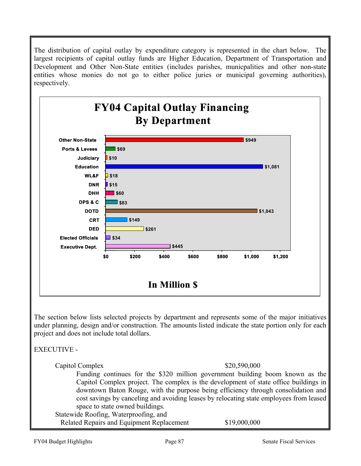The distribution of capital outlay by expenditure category is represented in the chart below. The largest recipients of capital outlay funds are Higher Education, Department of Transportation and Development and Other Non-State entities (includes parishes, municpalities and other non-state entities whose monies do not go to either police juries or municipal governing authorities), respectively.



The section below lists selected projects by department and represents some of the major initiatives under planning, design and/or construction. The amounts listed indicate the state portion only for each project and does not include total dollars.

# EXECUTIVE -

Capitol Complex  $$20,590,000$ 

Funding continues for the \$320 million government building boom known as the Capitol Complex project. The complex is the development of state office buildings in downtown Baton Rouge, with the purpose being efficiency through consolidation and cost savings by canceling and avoiding leases by relocating state employees from leased space to state owned buildings.

 Statewide Roofing, Waterproofing, and Related Repairs and Equipment Replacement \$19,000,000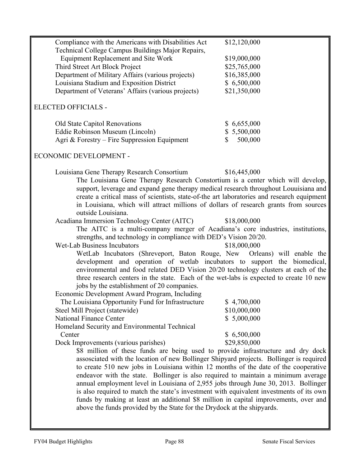| Compliance with the Americans with Disabilities Act                                        | \$12,120,000                |
|--------------------------------------------------------------------------------------------|-----------------------------|
| Technical College Campus Buildings Major Repairs,                                          |                             |
| <b>Equipment Replacement and Site Work</b>                                                 | \$19,000,000                |
| Third Street Art Block Project                                                             | \$25,765,000                |
| Department of Military Affairs (various projects)                                          | \$16,385,000                |
| Louisiana Stadium and Exposition District                                                  | \$6,500,000                 |
| Department of Veterans' Affairs (various projects)                                         | \$21,350,000                |
| ELECTED OFFICIALS -                                                                        |                             |
| Old State Capitol Renovations                                                              | \$6,655,000                 |
| Eddie Robinson Museum (Lincoln)                                                            | \$5,500,000                 |
| Agri & Forestry – Fire Suppression Equipment                                               | 500,000                     |
| ECONOMIC DEVELOPMENT -                                                                     |                             |
| Louisiana Gene Therapy Research Consortium                                                 | \$16,445,000                |
| The Louisiana Gene Therapy Research Constortium is a center which will develop,            |                             |
| support, leverage and expand gene therapy medical research throughout Louuisiana and       |                             |
| create a critical mass of scientists, state-of-the art laboratories and research equipment |                             |
| in Louisiana, which will attract millions of dollars of research grants from sources       |                             |
| outside Louisiana.                                                                         |                             |
| Acadiana Immersion Technology Center (AITC)                                                | \$18,000,000                |
| The AITC is a multi-company merger of Acadiana's core industries, institutions,            |                             |
| strengths, and technology in compliance with DED's Vision 20/20.                           |                             |
| <b>Wet-Lab Business Incubators</b>                                                         | \$18,000,000                |
| WetLab Incubators (Shreveport, Baton Rouge, New Orleans) will enable the                   |                             |
| development and operation of wetlab incubators to support the biomedical,                  |                             |
| environmental and food related DED Vision 20/20 technology clusters at each of the         |                             |
| three research centers in the state. Each of the wet-labs is expected to create 10 new     |                             |
| jobs by the establishment of 20 companies.                                                 |                             |
| Economic Development Award Program, Including                                              |                             |
| The Louisiana Opportunity Fund for Infrastructure<br>Steel Mill Project (statewide)        | \$4,700,000<br>\$10,000,000 |
| <b>National Finance Center</b>                                                             | \$5,000,000                 |
| Homeland Security and Environmental Technical                                              |                             |
| Center                                                                                     | \$6,500,000                 |
| Dock Improvements (various parishes)                                                       | \$29,850,000                |
| \$8 million of these funds are being used to provide infrastructure and dry dock           |                             |
| assosciated with the location of new Bollinger Shipyard projects. Bollinger is required    |                             |
| to create 510 new jobs in Louisiana within 12 months of the date of the cooperative        |                             |
| endeavor with the state. Bollinger is also required to maintain a minimum average          |                             |
| annual employment level in Louisiana of 2,955 jobs through June 30, 2013. Bollinger        |                             |
| is also required to match the state's investment with equivalent investments of its own    |                             |
| funds by making at least an additional \$8 million in capital improvements, over and       |                             |
| above the funds provided by the State for the Drydock at the shipyards.                    |                             |
|                                                                                            |                             |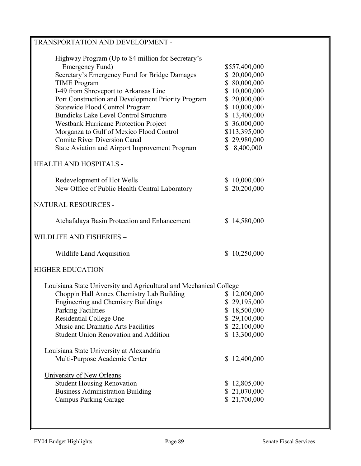| <b>TRANSPORTATION AND DEVELOPMENT -</b>                                                                                                                                                                                                                                                                                                                                                                                                                                                                       |                                                                                                                                                                                |
|---------------------------------------------------------------------------------------------------------------------------------------------------------------------------------------------------------------------------------------------------------------------------------------------------------------------------------------------------------------------------------------------------------------------------------------------------------------------------------------------------------------|--------------------------------------------------------------------------------------------------------------------------------------------------------------------------------|
| Highway Program (Up to \$4 million for Secretary's<br>Emergency Fund)<br>Secretary's Emergency Fund for Bridge Damages<br><b>TIME</b> Program<br>I-49 from Shreveport to Arkansas Line<br>Port Construction and Development Priority Program<br>Statewide Flood Control Program<br><b>Bundicks Lake Level Control Structure</b><br>Westbank Hurricane Protection Project<br>Morganza to Gulf of Mexico Flood Control<br><b>Comite River Diversion Canal</b><br>State Aviation and Airport Improvement Program | \$557,400,000<br>\$20,000,000<br>\$80,000,000<br>\$10,000,000<br>\$20,000,000<br>\$10,000,000<br>\$13,400,000<br>\$ 36,000,000<br>\$113,395,000<br>\$29,980,000<br>\$8,400,000 |
| <b>HEALTH AND HOSPITALS -</b>                                                                                                                                                                                                                                                                                                                                                                                                                                                                                 |                                                                                                                                                                                |
| Redevelopment of Hot Wells<br>New Office of Public Health Central Laboratory                                                                                                                                                                                                                                                                                                                                                                                                                                  | \$10,000,000<br>\$20,200,000                                                                                                                                                   |
| NATURAL RESOURCES -                                                                                                                                                                                                                                                                                                                                                                                                                                                                                           |                                                                                                                                                                                |
| Atchafalaya Basin Protection and Enhancement                                                                                                                                                                                                                                                                                                                                                                                                                                                                  | \$14,580,000                                                                                                                                                                   |
| <b>WILDLIFE AND FISHERIES -</b>                                                                                                                                                                                                                                                                                                                                                                                                                                                                               |                                                                                                                                                                                |
| Wildlife Land Acquisition                                                                                                                                                                                                                                                                                                                                                                                                                                                                                     | \$10,250,000                                                                                                                                                                   |
| <b>HIGHER EDUCATION -</b>                                                                                                                                                                                                                                                                                                                                                                                                                                                                                     |                                                                                                                                                                                |
| Louisiana State University and Agricultural and Mechanical College                                                                                                                                                                                                                                                                                                                                                                                                                                            |                                                                                                                                                                                |
| Choppin Hall Annex Chemistry Lab Building<br><b>Engineering and Chemistry Buildings</b><br><b>Parking Facilities</b><br>Residential College One<br>Music and Dramatic Arts Facilities<br><b>Student Union Renovation and Addition</b>                                                                                                                                                                                                                                                                         | \$12,000,000<br>\$29,195,000<br>\$18,500,000<br>\$29,100,000<br>\$22,100,000<br>\$13,300,000                                                                                   |
| Louisiana State University at Alexandria<br>Multi-Purpose Academic Center                                                                                                                                                                                                                                                                                                                                                                                                                                     | \$12,400,000                                                                                                                                                                   |
| University of New Orleans<br><b>Student Housing Renovation</b><br><b>Business Administration Building</b><br><b>Campus Parking Garage</b>                                                                                                                                                                                                                                                                                                                                                                     | \$12,805,000<br>\$21,070,000<br>\$21,700,000                                                                                                                                   |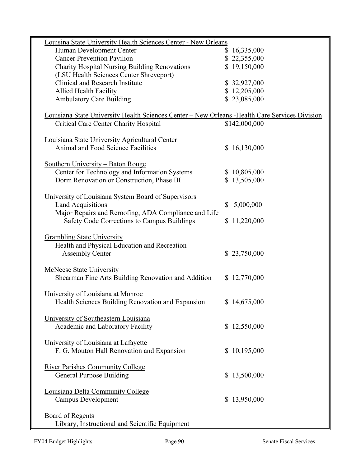| Louisina State University Health Sciences Center - New Orleans                                  |                 |
|-------------------------------------------------------------------------------------------------|-----------------|
| Human Development Center                                                                        | \$16,335,000    |
| <b>Cancer Prevention Pavilion</b>                                                               | \$22,355,000    |
| Charity Hospital Nursing Building Renovations                                                   | \$19,150,000    |
| (LSU Health Sciences Center Shreveport)                                                         |                 |
| Clinical and Research Institute                                                                 | \$32,927,000    |
| <b>Allied Health Facility</b>                                                                   | \$12,205,000    |
| <b>Ambulatory Care Building</b>                                                                 | \$23,085,000    |
|                                                                                                 |                 |
| Louisiana State University Health Sciences Center - New Orleans - Health Care Services Division |                 |
| <b>Critical Care Center Charity Hospital</b>                                                    | \$142,000,000   |
|                                                                                                 |                 |
| Louisiana State University Agricultural Center                                                  |                 |
| Animal and Food Science Facilities                                                              | \$16,130,000    |
|                                                                                                 |                 |
| Southern University – Baton Rouge                                                               |                 |
| Center for Technology and Information Systems                                                   | \$10,805,000    |
| Dorm Renovation or Construction, Phase III                                                      |                 |
|                                                                                                 | \$13,505,000    |
|                                                                                                 |                 |
| University of Louisiana System Board of Supervisors                                             |                 |
| <b>Land Acquisitions</b>                                                                        | 5,000,000<br>\$ |
| Major Repairs and Reroofing, ADA Compliance and Life                                            |                 |
| Safety Code Corrections to Campus Buildings                                                     | \$11,220,000    |
|                                                                                                 |                 |
| <b>Grambling State University</b>                                                               |                 |
| Health and Physical Education and Recreation                                                    |                 |
| <b>Assembly Center</b>                                                                          | \$23,750,000    |
|                                                                                                 |                 |
| <b>McNeese State University</b>                                                                 |                 |
| Shearman Fine Arts Building Renovation and Addition                                             | \$12,770,000    |
|                                                                                                 |                 |
| University of Louisiana at Monroe                                                               |                 |
| Health Sciences Building Renovation and Expansion                                               | \$14,675,000    |
|                                                                                                 |                 |
| University of Southeastern Louisiana                                                            |                 |
| Academic and Laboratory Facility                                                                | \$12,550,000    |
|                                                                                                 |                 |
| University of Louisiana at Lafayette                                                            |                 |
| F. G. Mouton Hall Renovation and Expansion                                                      | \$10,195,000    |
|                                                                                                 |                 |
| <b>River Parishes Community College</b>                                                         |                 |
| <b>General Purpose Building</b>                                                                 | \$13,500,000    |
|                                                                                                 |                 |
| Louisiana Delta Community College                                                               |                 |
| <b>Campus Development</b>                                                                       | \$13,950,000    |
|                                                                                                 |                 |
| <b>Board of Regents</b>                                                                         |                 |
|                                                                                                 |                 |
| Library, Instructional and Scientific Equipment                                                 |                 |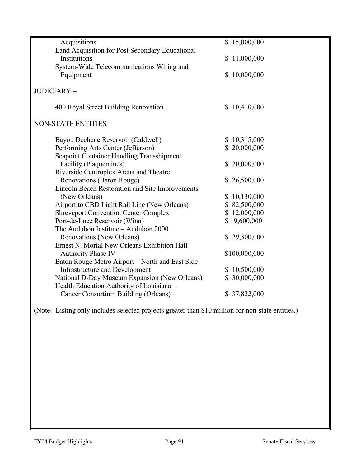| Acquisitions                                    | \$15,000,000  |
|-------------------------------------------------|---------------|
| Land Acquisition for Post Secondary Educational |               |
| Institutions                                    | \$11,000,000  |
| System-Wide Telecommunications Wiring and       |               |
| Equipment                                       | \$10,000,000  |
|                                                 |               |
| JUDICIARY-                                      |               |
| 400 Royal Street Building Renovation            | \$10,410,000  |
| NON-STATE ENTITIES -                            |               |
|                                                 |               |
| Bayou Dechene Reservoir (Caldwell)              | \$10,315,000  |
| Performing Arts Center (Jefferson)              | \$20,000,000  |
| Seapoint Container Handling Transshipment       |               |
| Facility (Plaquemines)                          | \$20,000,000  |
| Riverside Centroplex Arena and Theatre          |               |
| Renovations (Baton Rouge)                       | \$26,500,000  |
| Lincoln Beach Restoration and Site Improvements |               |
| (New Orleans)                                   | \$10,130,000  |
| Airport to CBD Light Rail Line (New Orleans)    | \$82,500,000  |
| <b>Shreveport Convention Center Complex</b>     | \$12,000,000  |
| Port-de-Luce Reservoir (Winn)                   | \$9,600,000   |
| The Audubon Institute - Audubon 2000            |               |
| Renovations (New Orleans)                       | \$29,300,000  |
| Ernest N. Morial New Orleans Exhibition Hall    |               |
| <b>Authority Phase IV</b>                       | \$100,000,000 |
| Baton Rouge Metro Airport – North and East Side |               |
| <b>Infrastructure and Development</b>           | \$10,500,000  |
| National D-Day Museum Expansion (New Orleans)   | \$30,000,000  |
| Health Education Authority of Louisiana -       |               |
| Cancer Consortium Building (Orleans)            | \$37,822,000  |

(Note: Listing only includes selected projects greater than \$10 million for non-state entities.)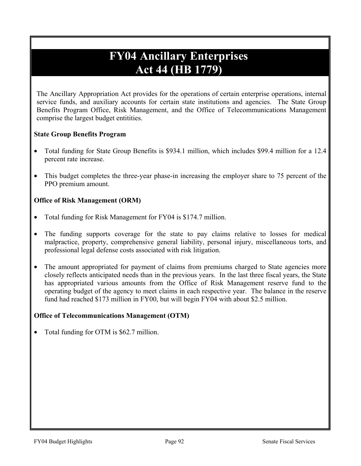# **FY04 Ancillary Enterprises Act 44 (HB 1779)**

The Ancillary Appropriation Act provides for the operations of certain enterprise operations, internal service funds, and auxiliary accounts for certain state institutions and agencies. The State Group Benefits Program Office, Risk Management, and the Office of Telecommunications Management comprise the largest budget entitities.

## **State Group Benefits Program**

- Total funding for State Group Benefits is \$934.1 million, which includes \$99.4 million for a 12.4 percent rate increase.
- This budget completes the three-year phase-in increasing the employer share to 75 percent of the PPO premium amount.

## **Office of Risk Management (ORM)**

- Total funding for Risk Management for FY04 is \$174.7 million.
- The funding supports coverage for the state to pay claims relative to losses for medical malpractice, property, comprehensive general liability, personal injury, miscellaneous torts, and professional legal defense costs associated with risk litigation.
- The amount appropriated for payment of claims from premiums charged to State agencies more closely reflects anticipated needs than in the previous years. In the last three fiscal years, the State has appropriated various amounts from the Office of Risk Management reserve fund to the operating budget of the agency to meet claims in each respective year. The balance in the reserve fund had reached \$173 million in FY00, but will begin FY04 with about \$2.5 million.

## **Office of Telecommunications Management (OTM)**

• Total funding for OTM is \$62.7 million.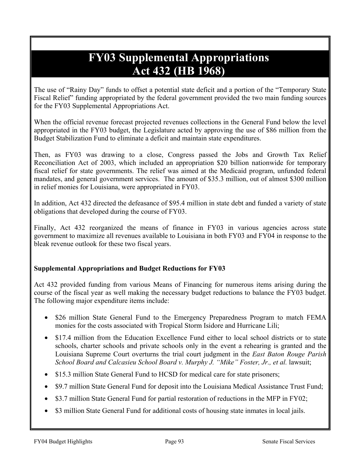# **FY03 Supplemental Appropriations Act 432 (HB 1968)**

The use of "Rainy Day" funds to offset a potential state deficit and a portion of the "Temporary State Fiscal Relief" funding appropriated by the federal government provided the two main funding sources for the FY03 Supplemental Appropriations Act.

When the official revenue forecast projected revenues collections in the General Fund below the level appropriated in the FY03 budget, the Legislature acted by approving the use of \$86 million from the Budget Stabilization Fund to eliminate a deficit and maintain state expenditures.

Then, as FY03 was drawing to a close, Congress passed the Jobs and Growth Tax Relief Reconciliation Act of 2003, which included an appropriation \$20 billion nationwide for temporary fiscal relief for state governments. The relief was aimed at the Medicaid program, unfunded federal mandates, and general government services. The amount of \$35.3 million, out of almost \$300 million in relief monies for Louisiana, were appropriated in FY03.

In addition, Act 432 directed the defeasance of \$95.4 million in state debt and funded a variety of state obligations that developed during the course of FY03.

Finally, Act 432 reorganized the means of finance in FY03 in various agencies across state government to maximize all revenues available to Louisiana in both FY03 and FY04 in response to the bleak revenue outlook for these two fiscal years.

# **Supplemental Appropriations and Budget Reductions for FY03**

Act 432 provided funding from various Means of Financing for numerous items arising during the course of the fiscal year as well making the necessary budget reductions to balance the FY03 budget. The following major expenditure items include:

- \$26 million State General Fund to the Emergency Preparedness Program to match FEMA monies for the costs associated with Tropical Storm Isidore and Hurricane Lili;
- \$17.4 million from the Education Excellence Fund either to local school districts or to state schools, charter schools and private schools only in the event a rehearing is granted and the Louisiana Supreme Court overturns the trial court judgment in the *East Baton Rouge Parish School Board and Calcasieu School Board v. Murphy J. "Mike" Foster, Jr., et al. lawsuit;*
- \$15.3 million State General Fund to HCSD for medical care for state prisoners;
- \$9.7 million State General Fund for deposit into the Louisiana Medical Assistance Trust Fund;
- \$3.7 million State General Fund for partial restoration of reductions in the MFP in FY02;
- \$3 million State General Fund for additional costs of housing state inmates in local jails.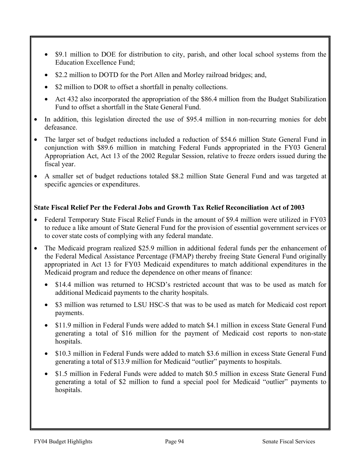- \$9.1 million to DOE for distribution to city, parish, and other local school systems from the Education Excellence Fund;
- \$2.2 million to DOTD for the Port Allen and Morley railroad bridges; and,
- \$2 million to DOR to offset a shortfall in penalty collections.
- Act 432 also incorporated the appropriation of the \$86.4 million from the Budget Stabilization Fund to offset a shortfall in the State General Fund.
- In addition, this legislation directed the use of \$95.4 million in non-recurring monies for debt defeasance.
- The larger set of budget reductions included a reduction of \$54.6 million State General Fund in conjunction with \$89.6 million in matching Federal Funds appropriated in the FY03 General Appropriation Act, Act 13 of the 2002 Regular Session, relative to freeze orders issued during the fiscal year.
- A smaller set of budget reductions totaled \$8.2 million State General Fund and was targeted at specific agencies or expenditures.

## **State Fiscal Relief Per the Federal Jobs and Growth Tax Relief Reconciliation Act of 2003**

- Federal Temporary State Fiscal Relief Funds in the amount of \$9.4 million were utilized in FY03 to reduce a like amount of State General Fund for the provision of essential government services or to cover state costs of complying with any federal mandate.
- The Medicaid program realized \$25.9 million in additional federal funds per the enhancement of the Federal Medical Assistance Percentage (FMAP) thereby freeing State General Fund originally appropriated in Act 13 for FY03 Medicaid expenditures to match additional expenditures in the Medicaid program and reduce the dependence on other means of finance:
	- \$14.4 million was returned to HCSD's restricted account that was to be used as match for additional Medicaid payments to the charity hospitals.
	- \$3 million was returned to LSU HSC-S that was to be used as match for Medicaid cost report payments.
	- \$11.9 million in Federal Funds were added to match \$4.1 million in excess State General Fund generating a total of \$16 million for the payment of Medicaid cost reports to non-state hospitals.
	- \$10.3 million in Federal Funds were added to match \$3.6 million in excess State General Fund generating a total of \$13.9 million for Medicaid "outlier" payments to hospitals.
	- \$1.5 million in Federal Funds were added to match \$0.5 million in excess State General Fund generating a total of \$2 million to fund a special pool for Medicaid "outlier" payments to hospitals.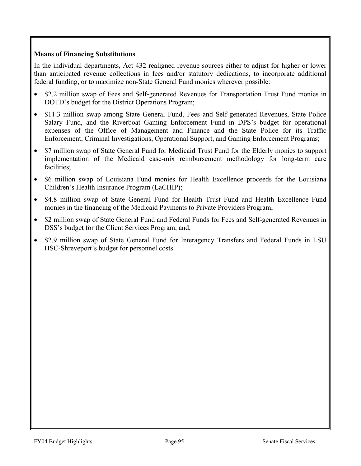# **Means of Financing Substitutions**

In the individual departments, Act 432 realigned revenue sources either to adjust for higher or lower than anticipated revenue collections in fees and/or statutory dedications, to incorporate additional federal funding, or to maximize non-State General Fund monies wherever possible:

- \$2.2 million swap of Fees and Self-generated Revenues for Transportation Trust Fund monies in DOTD's budget for the District Operations Program;
- \$11.3 million swap among State General Fund, Fees and Self-generated Revenues, State Police Salary Fund, and the Riverboat Gaming Enforcement Fund in DPS's budget for operational expenses of the Office of Management and Finance and the State Police for its Traffic Enforcement, Criminal Investigations, Operational Support, and Gaming Enforcement Programs;
- \$7 million swap of State General Fund for Medicaid Trust Fund for the Elderly monies to support implementation of the Medicaid case-mix reimbursement methodology for long-term care facilities;
- \$6 million swap of Louisiana Fund monies for Health Excellence proceeds for the Louisiana Children's Health Insurance Program (LaCHIP);
- \$4.8 million swap of State General Fund for Health Trust Fund and Health Excellence Fund monies in the financing of the Medicaid Payments to Private Providers Program;
- \$2 million swap of State General Fund and Federal Funds for Fees and Self-generated Revenues in DSS's budget for the Client Services Program; and,
- \$2.9 million swap of State General Fund for Interagency Transfers and Federal Funds in LSU HSC-Shreveport's budget for personnel costs.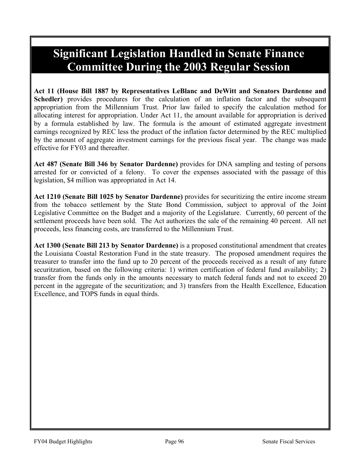# **Significant Legislation Handled in Senate Finance Committee During the 2003 Regular Session**

**Act 11 (House Bill 1887 by Representatives LeBlanc and DeWitt and Senators Dardenne and Schedler)** provides procedures for the calculation of an inflation factor and the subsequent appropriation from the Millennium Trust. Prior law failed to specify the calculation method for allocating interest for appropriation. Under Act 11, the amount available for appropriation is derived by a formula established by law. The formula is the amount of estimated aggregate investment earnings recognized by REC less the product of the inflation factor determined by the REC multiplied by the amount of aggregate investment earnings for the previous fiscal year. The change was made effective for FY03 and thereafter.

**Act 487 (Senate Bill 346 by Senator Dardenne)** provides for DNA sampling and testing of persons arrested for or convicted of a felony. To cover the expenses associated with the passage of this legislation, \$4 million was appropriated in Act 14.

**Act 1210 (Senate Bill 1025 by Senator Dardenne)** provides for securitizing the entire income stream from the tobacco settlement by the State Bond Commission, subject to approval of the Joint Legislative Committee on the Budget and a majority of the Legislature. Currently, 60 percent of the settlement proceeds have been sold. The Act authorizes the sale of the remaining 40 percent. All net proceeds, less financing costs, are transferred to the Millennium Trust.

**Act 1300 (Senate Bill 213 by Senator Dardenne)** is a proposed constitutional amendment that creates the Louisiana Coastal Restoration Fund in the state treasury. The proposed amendment requires the treasurer to transfer into the fund up to 20 percent of the proceeds received as a result of any future securitzation, based on the following criteria: 1) written certification of federal fund availability; 2) transfer from the funds only in the amounts necessary to match federal funds and not to exceed 20 percent in the aggregate of the securitization; and 3) transfers from the Health Excellence, Education Excellence, and TOPS funds in equal thirds.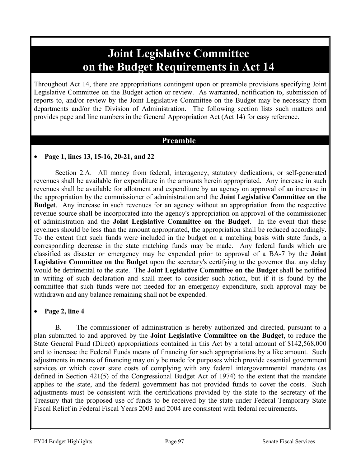# **Joint Legislative Committee on the Budget Requirements in Act 14**

Throughout Act 14, there are appropriations contingent upon or preamble provisions specifying Joint Legislative Committee on the Budget action or review. As warranted, notification to, submission of reports to, and/or review by the Joint Legislative Committee on the Budget may be necessary from departments and/or the Division of Administration. The following section lists such matters and provides page and line numbers in the General Appropriation Act (Act 14) for easy reference.

# **Preamble**

# • **Page 1, lines 13, 15-16, 20-21, and 22**

 Section 2.A. All money from federal, interagency, statutory dedications, or self-generated revenues shall be available for expenditure in the amounts herein appropriated. Any increase in such revenues shall be available for allotment and expenditure by an agency on approval of an increase in the appropriation by the commissioner of administration and the **Joint Legislative Committee on the Budget**. Any increase in such revenues for an agency without an appropriation from the respective revenue source shall be incorporated into the agency's appropriation on approval of the commissioner of administration and the **Joint Legislative Committee on the Budget**. In the event that these revenues should be less than the amount appropriated, the appropriation shall be reduced accordingly. To the extent that such funds were included in the budget on a matching basis with state funds, a corresponding decrease in the state matching funds may be made. Any federal funds which are classified as disaster or emergency may be expended prior to approval of a BA-7 by the **Joint Legislative Committee on the Budget** upon the secretary's certifying to the governor that any delay would be detrimental to the state. The **Joint Legislative Committee on the Budget** shall be notified in writing of such declaration and shall meet to consider such action, but if it is found by the committee that such funds were not needed for an emergency expenditure, such approval may be withdrawn and any balance remaining shall not be expended.

# • **Page 2, line 4**

B. The commissioner of administration is hereby authorized and directed, pursuant to a plan submitted to and approved by the **Joint Legislative Committee on the Budget**, to reduce the State General Fund (Direct) appropriations contained in this Act by a total amount of \$142,568,000 and to increase the Federal Funds means of financing for such appropriations by a like amount. Such adjustments in means of financing may only be made for purposes which provide essential government services or which cover state costs of complying with any federal intergovernmental mandate (as defined in Section 421(5) of the Congressional Budget Act of 1974) to the extent that the mandate applies to the state, and the federal government has not provided funds to cover the costs. Such adjustments must be consistent with the certifications provided by the state to the secretary of the Treasury that the proposed use of funds to be received by the state under Federal Temporary State Fiscal Relief in Federal Fiscal Years 2003 and 2004 are consistent with federal requirements.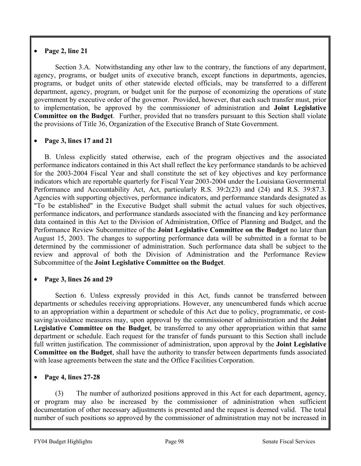# • **Page 2, line 21**

 Section 3.A. Notwithstanding any other law to the contrary, the functions of any department, agency, programs, or budget units of executive branch, except functions in departments, agencies, programs, or budget units of other statewide elected officials, may be transferred to a different department, agency, program, or budget unit for the purpose of economizing the operations of state government by executive order of the governor. Provided, however, that each such transfer must, prior to implementation, be approved by the commissioner of administration and **Joint Legislative Committee on the Budget**. Further, provided that no transfers pursuant to this Section shall violate the provisions of Title 36, Organization of the Executive Branch of State Government.

# • **Page 3, lines 17 and 21**

B. Unless explicitly stated otherwise, each of the program objectives and the associated performance indicators contained in this Act shall reflect the key performance standards to be achieved for the 2003-2004 Fiscal Year and shall constitute the set of key objectives and key performance indicators which are reportable quarterly for Fiscal Year 2003-2004 under the Louisiana Governmental Performance and Accountability Act, Act, particularly R.S. 39:2(23) and (24) and R.S. 39:87.3. Agencies with supporting objectives, performance indicators, and performance standards designated as "To be established" in the Executive Budget shall submit the actual values for such objectives, performance indicators, and performance standards associated with the financing and key performance data contained in this Act to the Division of Administration, Office of Planning and Budget, and the Performance Review Subcommittee of the **Joint Legislative Committee on the Budget** no later than August 15, 2003. The changes to supporting performance data will be submitted in a format to be determined by the commissioner of administration. Such performance data shall be subject to the review and approval of both the Division of Administration and the Performance Review Subcommittee of the **Joint Legislative Committee on the Budget**.

## • **Page 3, lines 26 and 29**

 Section 6. Unless expressly provided in this Act, funds cannot be transferred between departments or schedules receiving appropriations. However, any unencumbered funds which accrue to an appropriation within a department or schedule of this Act due to policy, programmatic, or costsaving/avoidance measures may, upon approval by the commissioner of administration and the **Joint Legislative Committee on the Budget**, be transferred to any other appropriation within that same department or schedule. Each request for the transfer of funds pursuant to this Section shall include full written justification. The commissioner of administration, upon approval by the **Joint Legislative Committee on the Budget**, shall have the authority to transfer between departments funds associated with lease agreements between the state and the Office Facilities Corporation.

# • **Page 4, lines 27-28**

(3) The number of authorized positions approved in this Act for each department, agency, or program may also be increased by the commissioner of administration when sufficient documentation of other necessary adjustments is presented and the request is deemed valid. The total number of such positions so approved by the commissioner of administration may not be increased in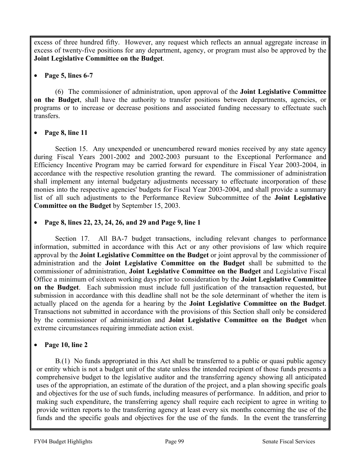excess of three hundred fifty. However, any request which reflects an annual aggregate increase in excess of twenty-five positions for any department, agency, or program must also be approved by the **Joint Legislative Committee on the Budget**.

# • **Page 5, lines 6-7**

 (6) The commissioner of administration, upon approval of the **Joint Legislative Committee on the Budget**, shall have the authority to transfer positions between departments, agencies, or programs or to increase or decrease positions and associated funding necessary to effectuate such transfers.

# • **Page 8, line 11**

 Section 15. Any unexpended or unencumbered reward monies received by any state agency during Fiscal Years 2001-2002 and 2002-2003 pursuant to the Exceptional Performance and Efficiency Incentive Program may be carried forward for expenditure in Fiscal Year 2003-2004, in accordance with the respective resolution granting the reward. The commissioner of administration shall implement any internal budgetary adjustments necessary to effectuate incorporation of these monies into the respective agencies' budgets for Fiscal Year 2003-2004, and shall provide a summary list of all such adjustments to the Performance Review Subcommittee of the **Joint Legislative Committee on the Budget** by September 15, 2003.

• **Page 8, lines 22, 23, 24, 26, and 29 and Page 9, line 1** 

 Section 17. All BA-7 budget transactions, including relevant changes to performance information, submitted in accordance with this Act or any other provisions of law which require approval by the **Joint Legislative Committee on the Budget** or joint approval by the commissioner of administration and the **Joint Legislative Committee on the Budget** shall be submitted to the commissioner of administration, **Joint Legislative Committee on the Budget** and Legislative Fiscal Office a minimum of sixteen working days prior to consideration by the **Joint Legislative Committee on the Budget**. Each submission must include full justification of the transaction requested, but submission in accordance with this deadline shall not be the sole determinant of whether the item is actually placed on the agenda for a hearing by the **Joint Legislative Committee on the Budget**. Transactions not submitted in accordance with the provisions of this Section shall only be considered by the commissioner of administration and **Joint Legislative Committee on the Budget** when extreme circumstances requiring immediate action exist.

# • **Page 10, line 2**

B.(1) No funds appropriated in this Act shall be transferred to a public or quasi public agency or entity which is not a budget unit of the state unless the intended recipient of those funds presents a comprehensive budget to the legislative auditor and the transferring agency showing all anticipated uses of the appropriation, an estimate of the duration of the project, and a plan showing specific goals and objectives for the use of such funds, including measures of performance. In addition, and prior to making such expenditure, the transferring agency shall require each recipient to agree in writing to provide written reports to the transferring agency at least every six months concerning the use of the funds and the specific goals and objectives for the use of the funds. In the event the transferring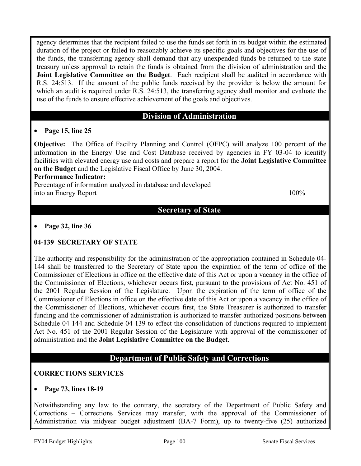agency determines that the recipient failed to use the funds set forth in its budget within the estimated duration of the project or failed to reasonably achieve its specific goals and objectives for the use of the funds, the transferring agency shall demand that any unexpended funds be returned to the state treasury unless approval to retain the funds is obtained from the division of administration and the **Joint Legislative Committee on the Budget**. Each recipient shall be audited in accordance with R.S. 24:513. If the amount of the public funds received by the provider is below the amount for which an audit is required under R.S. 24:513, the transferring agency shall monitor and evaluate the use of the funds to ensure effective achievement of the goals and objectives.

## **Division of Administration**

## • **Page 15, line 25**

**Objective:** The Office of Facility Planning and Control (OFPC) will analyze 100 percent of the information in the Energy Use and Cost Database received by agencies in FY 03-04 to identify facilities with elevated energy use and costs and prepare a report for the **Joint Legislative Committee on the Budget** and the Legislative Fiscal Office by June 30, 2004.

#### **Performance Indicator:**

Percentage of information analyzed in database and developed into an Energy Report 100% and the state of the state  $100\%$ 

# **Secretary of State**

#### • **Page 32, line 36**

## **04-139 SECRETARY OF STATE**

The authority and responsibility for the administration of the appropriation contained in Schedule 04- 144 shall be transferred to the Secretary of State upon the expiration of the term of office of the Commissioner of Elections in office on the effective date of this Act or upon a vacancy in the office of the Commissioner of Elections, whichever occurs first, pursuant to the provisions of Act No. 451 of the 2001 Regular Session of the Legislature. Upon the expiration of the term of office of the Commissioner of Elections in office on the effective date of this Act or upon a vacancy in the office of the Commissioner of Elections, whichever occurs first, the State Treasurer is authorized to transfer funding and the commissioner of administration is authorized to transfer authorized positions between Schedule 04-144 and Schedule 04-139 to effect the consolidation of functions required to implement Act No. 451 of the 2001 Regular Session of the Legislature with approval of the commissioner of administration and the **Joint Legislative Committee on the Budget**.

# **Department of Public Safety and Corrections**

## **CORRECTIONS SERVICES**

## • **Page 73, lines 18-19**

Notwithstanding any law to the contrary, the secretary of the Department of Public Safety and Corrections – Corrections Services may transfer, with the approval of the Commissioner of Administration via midyear budget adjustment (BA-7 Form), up to twenty-five (25) authorized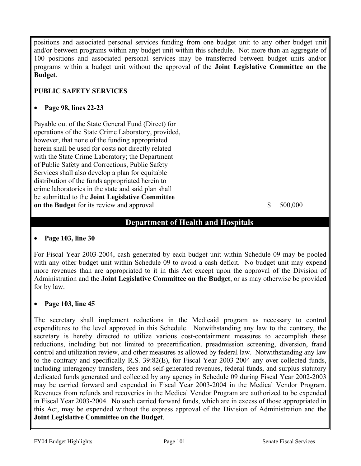positions and associated personal services funding from one budget unit to any other budget unit and/or between programs within any budget unit within this schedule. Not more than an aggregate of 100 positions and associated personal services may be transferred between budget units and/or programs within a budget unit without the approval of the **Joint Legislative Committee on the Budget**.

# **PUBLIC SAFETY SERVICES**

## • **Page 98, lines 22-23**

Payable out of the State General Fund (Direct) for operations of the State Crime Laboratory, provided, however, that none of the funding appropriated herein shall be used for costs not directly related with the State Crime Laboratory; the Department of Public Safety and Corrections, Public Safety Services shall also develop a plan for equitable distribution of the funds appropriated herein to crime laboratories in the state and said plan shall be submitted to the **Joint Legislative Committee on the Budget** for its review and approval  $\qquad \qquad$  \$ 500,000

# **Department of Health and Hospitals**

## • **Page 103, line 30**

For Fiscal Year 2003-2004, cash generated by each budget unit within Schedule 09 may be pooled with any other budget unit within Schedule 09 to avoid a cash deficit. No budget unit may expend more revenues than are appropriated to it in this Act except upon the approval of the Division of Administration and the **Joint Legislative Committee on the Budget**, or as may otherwise be provided for by law.

## • **Page 103, line 45**

The secretary shall implement reductions in the Medicaid program as necessary to control expenditures to the level approved in this Schedule. Notwithstanding any law to the contrary, the secretary is hereby directed to utilize various cost-containment measures to accomplish these reductions, including but not limited to precertification, preadmission screening, diversion, fraud control and utilization review, and other measures as allowed by federal law. Notwithstanding any law to the contrary and specifically R.S. 39:82(E), for Fiscal Year 2003-2004 any over-collected funds, including interagency transfers, fees and self-generated revenues, federal funds, and surplus statutory dedicated funds generated and collected by any agency in Schedule 09 during Fiscal Year 2002-2003 may be carried forward and expended in Fiscal Year 2003-2004 in the Medical Vendor Program. Revenues from refunds and recoveries in the Medical Vendor Program are authorized to be expended in Fiscal Year 2003-2004. No such carried forward funds, which are in excess of those appropriated in this Act, may be expended without the express approval of the Division of Administration and the **Joint Legislative Committee on the Budget**.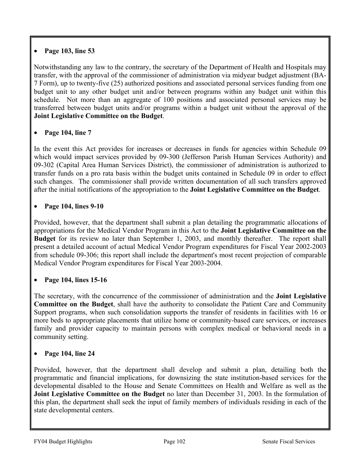# • **Page 103, line 53**

Notwithstanding any law to the contrary, the secretary of the Department of Health and Hospitals may transfer, with the approval of the commissioner of administration via midyear budget adjustment (BA-7 Form), up to twenty-five (25) authorized positions and associated personal services funding from one budget unit to any other budget unit and/or between programs within any budget unit within this schedule. Not more than an aggregate of 100 positions and associated personal services may be transferred between budget units and/or programs within a budget unit without the approval of the **Joint Legislative Committee on the Budget**.

# • **Page 104, line 7**

In the event this Act provides for increases or decreases in funds for agencies within Schedule 09 which would impact services provided by 09-300 (Jefferson Parish Human Services Authority) and 09-302 (Capital Area Human Services District), the commissioner of administration is authorized to transfer funds on a pro rata basis within the budget units contained in Schedule 09 in order to effect such changes. The commissioner shall provide written documentation of all such transfers approved after the initial notifications of the appropriation to the **Joint Legislative Committee on the Budget**.

# • **Page 104, lines 9-10**

Provided, however, that the department shall submit a plan detailing the programmatic allocations of appropriations for the Medical Vendor Program in this Act to the **Joint Legislative Committee on the Budget** for its review no later than September 1, 2003, and monthly thereafter. The report shall present a detailed account of actual Medical Vendor Program expenditures for Fiscal Year 2002-2003 from schedule 09-306; this report shall include the department's most recent projection of comparable Medical Vendor Program expenditures for Fiscal Year 2003-2004.

# • **Page 104, lines 15-16**

The secretary, with the concurrence of the commissioner of administration and the **Joint Legislative Committee on the Budget**, shall have the authority to consolidate the Patient Care and Community Support programs, when such consolidation supports the transfer of residents in facilities with 16 or more beds to appropriate placements that utilize home or community-based care services, or increases family and provider capacity to maintain persons with complex medical or behavioral needs in a community setting.

# • **Page 104, line 24**

Provided, however, that the department shall develop and submit a plan, detailing both the programmatic and financial implications, for downsizing the state institution-based services for the developmental disabled to the House and Senate Committees on Health and Welfare as well as the **Joint Legislative Committee on the Budget** no later than December 31, 2003. In the formulation of this plan, the department shall seek the input of family members of individuals residing in each of the state developmental centers.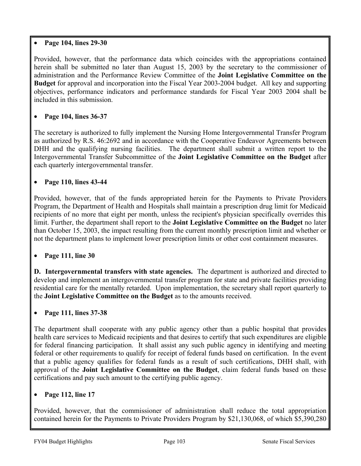## • **Page 104, lines 29-30**

Provided, however, that the performance data which coincides with the appropriations contained herein shall be submitted no later than August 15, 2003 by the secretary to the commissioner of administration and the Performance Review Committee of the **Joint Legislative Committee on the Budget** for approval and incorporation into the Fiscal Year 2003-2004 budget. All key and supporting objectives, performance indicators and performance standards for Fiscal Year 2003 2004 shall be included in this submission.

# • **Page 104, lines 36-37**

The secretary is authorized to fully implement the Nursing Home Intergovernmental Transfer Program as authorized by R.S. 46:2692 and in accordance with the Cooperative Endeavor Agreements between DHH and the qualifying nursing facilities. The department shall submit a written report to the Intergovernmental Transfer Subcommittee of the **Joint Legislative Committee on the Budget** after each quarterly intergovernmental transfer.

# • **Page 110, lines 43-44**

Provided, however, that of the funds appropriated herein for the Payments to Private Providers Program, the Department of Health and Hospitals shall maintain a prescription drug limit for Medicaid recipients of no more that eight per month, unless the recipient's physician specifically overrides this limit. Further, the department shall report to the **Joint Legislative Committee on the Budget** no later than October 15, 2003, the impact resulting from the current monthly prescription limit and whether or not the department plans to implement lower prescription limits or other cost containment measures.

# • **Page 111, line 30**

**D. Intergovernmental transfers with state agencies.** The department is authorized and directed to develop and implement an intergovernmental transfer program for state and private facilities providing residential care for the mentally retarded. Upon implementation, the secretary shall report quarterly to the **Joint Legislative Committee on the Budget** as to the amounts received.

## • **Page 111, lines 37-38**

The department shall cooperate with any public agency other than a public hospital that provides health care services to Medicaid recipients and that desires to certify that such expenditures are eligible for federal financing participation. It shall assist any such public agency in identifying and meeting federal or other requirements to qualify for receipt of federal funds based on certification. In the event that a public agency qualifies for federal funds as a result of such certifications, DHH shall, with approval of the **Joint Legislative Committee on the Budget**, claim federal funds based on these certifications and pay such amount to the certifying public agency.

## • **Page 112, line 17**

Provided, however, that the commissioner of administration shall reduce the total appropriation contained herein for the Payments to Private Providers Program by \$21,130,068, of which \$5,390,280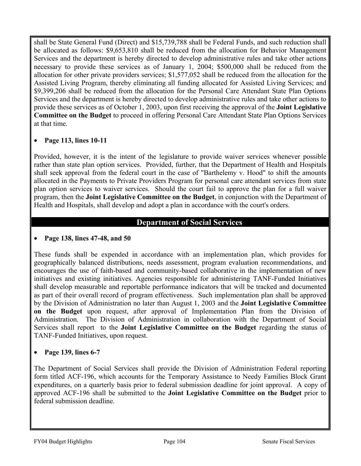shall be State General Fund (Direct) and \$15,739,788 shall be Federal Funds, and such reduction shall be allocated as follows: \$9,653,810 shall be reduced from the allocation for Behavior Management Services and the department is hereby directed to develop administrative rules and take other actions necessary to provide these services as of January 1, 2004; \$500,000 shall be reduced from the allocation for other private providers services; \$1,577,052 shall be reduced from the allocation for the Assisted Living Program, thereby eliminating all funding allocated for Assisted Living Services; and \$9,399,206 shall be reduced from the allocation for the Personal Care Attendant State Plan Options Services and the department is hereby directed to develop administrative rules and take other actions to provide these services as of October 1, 2003, upon first receiving the approval of the **Joint Legislative Committee on the Budget** to proceed in offering Personal Care Attendant State Plan Options Services at that time.

# • **Page 113, lines 10-11**

Provided, however, it is the intent of the legislature to provide waiver services whenever possible rather than state plan option services. Provided, further, that the Department of Health and Hospitals shall seek approval from the federal court in the case of "Barthelemy v. Hood" to shift the amounts allocated in the Payments to Private Providers Program for personal care attendant services from state plan option services to waiver services. Should the court fail to approve the plan for a full waiver program, then the **Joint Legislative Committee on the Budget**, in conjunction with the Department of Health and Hospitals, shall develop and adopt a plan in accordance with the court's orders.

# **Department of Social Services**

## • **Page 138, lines 47-48, and 50**

These funds shall be expended in accordance with an implementation plan, which provides for geographically balanced distributions, needs assessment, program evaluation recommendations, and encourages the use of faith-based and community-based collaborative in the implementation of new initiatives and existing initiatives. Agencies responsible for administering TANF-Funded Initiatives shall develop measurable and reportable performance indicators that will be tracked and documented as part of their overall record of program effectiveness. Such implementation plan shall be approved by the Division of Administration no later than August 1, 2003 and the **Joint Legislative Committee on the Budget** upon request, after approval of Implementation Plan from the Division of Administration. The Division of Administration in collaboration with the Department of Social Services shall report to the **Joint Legislative Committee on the Budget** regarding the status of TANF-Funded Initiatives, upon request.

# • **Page 139, lines 6-7**

The Department of Social Services shall provide the Division of Administration Federal reporting form titled ACF-196, which accounts for the Temporary Assistance to Needy Families Block Grant expenditures, on a quarterly basis prior to federal submission deadline for joint approval. A copy of approved ACF-196 shall be submitted to the **Joint Legislative Committee on the Budget** prior to federal submission deadline.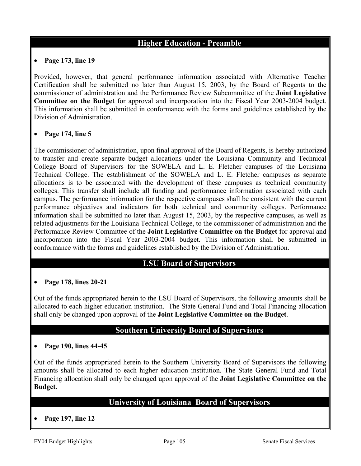# **Higher Education - Preamble**

#### • **Page 173, line 19**

Provided, however, that general performance information associated with Alternative Teacher Certification shall be submitted no later than August 15, 2003, by the Board of Regents to the commissioner of administration and the Performance Review Subcommittee of the **Joint Legislative Committee on the Budget** for approval and incorporation into the Fiscal Year 2003-2004 budget. This information shall be submitted in conformance with the forms and guidelines established by the Division of Administration.

#### • **Page 174, line 5**

The commissioner of administration, upon final approval of the Board of Regents, is hereby authorized to transfer and create separate budget allocations under the Louisiana Community and Technical College Board of Supervisors for the SOWELA and L. E. Fletcher campuses of the Louisiana Technical College. The establishment of the SOWELA and L. E. Fletcher campuses as separate allocations is to be associated with the development of these campuses as technical community colleges. This transfer shall include all funding and performance information associated with each campus. The performance information for the respective campuses shall be consistent with the current performance objectives and indicators for both technical and community colleges. Performance information shall be submitted no later than August 15, 2003, by the respective campuses, as well as related adjustments for the Louisiana Technical College, to the commissioner of administration and the Performance Review Committee of the **Joint Legislative Committee on the Budget** for approval and incorporation into the Fiscal Year 2003-2004 budget. This information shall be submitted in conformance with the forms and guidelines established by the Division of Administration.

# **LSU Board of Supervisors**

#### • **Page 178, lines 20-21**

Out of the funds appropriated herein to the LSU Board of Supervisors, the following amounts shall be allocated to each higher education institution. The State General Fund and Total Financing allocation shall only be changed upon approval of the **Joint Legislative Committee on the Budget**.

## **Southern University Board of Supervisors**

#### • **Page 190, lines 44-45**

Out of the funds appropriated herein to the Southern University Board of Supervisors the following amounts shall be allocated to each higher education institution. The State General Fund and Total Financing allocation shall only be changed upon approval of the **Joint Legislative Committee on the Budget**.

# **University of Louisiana Board of Supervisors**

• **Page 197, line 12**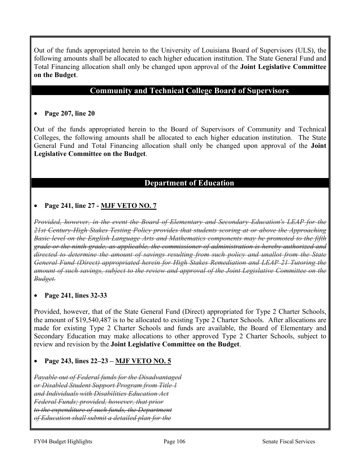Out of the funds appropriated herein to the University of Louisiana Board of Supervisors (ULS), the following amounts shall be allocated to each higher education institution. The State General Fund and Total Financing allocation shall only be changed upon approval of the **Joint Legislative Committee on the Budget**.

# **Community and Technical College Board of Supervisors**

#### • **Page 207, line 20**

Out of the funds appropriated herein to the Board of Supervisors of Community and Technical Colleges, the following amounts shall be allocated to each higher education institution. The State General Fund and Total Financing allocation shall only be changed upon approval of the **Joint Legislative Committee on the Budget**.

## **Department of Education**

## • **Page 241, line 27 - MJF VETO NO. 7**

*Provided, however, in the event the Board of Elementary and Secondary Education's LEAP for the 21st Century-High Stakes Testing Policy provides that students scoring at or above the Approaching Basic level on the English Language Arts and Mathematics components may be promoted to the fifth grade or the ninth grade, as applicable, the commissioner of administration is hereby authorized and directed to determine the amount of savings resulting from such policy and unallot from the State General Fund (Direct) appropriated herein for High Stakes Remediation and LEAP 21 Tutoring the amount of such savings, subject to the review and approval of the Joint Legislative Committee on the Budget.*

#### • **Page 241, lines 32-33**

Provided, however, that of the State General Fund (Direct) appropriated for Type 2 Charter Schools, the amount of \$19,540,487 is to be allocated to existing Type 2 Charter Schools. After allocations are made for existing Type 2 Charter Schools and funds are available, the Board of Elementary and Secondary Education may make allocations to other approved Type 2 Charter Schools, subject to review and revision by the **Joint Legislative Committee on the Budget**.

#### • **Page 243, lines 22–23 – MJF VETO NO. 5**

*Payable out of Federal funds for the Disadvantaged or Disabled Student Support Program from Title 1 and Individuals with Disabilities Education Act Federal Funds; provided, however, that prior to the expenditure of such funds, the Department of Education shall submit a detailed plan for the*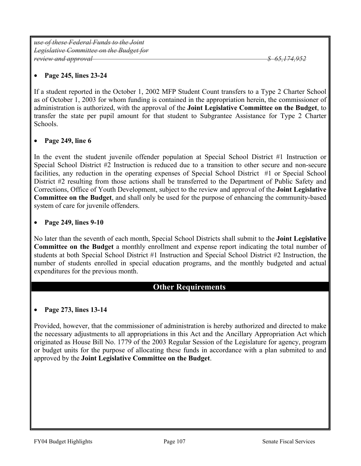*use of these Federal Funds to the Joint Legislative Committee on the Budget for review and approval \$ 65,174,952*

#### • **Page 245, lines 23-24**

If a student reported in the October 1, 2002 MFP Student Count transfers to a Type 2 Charter School as of October 1, 2003 for whom funding is contained in the appropriation herein, the commissioner of administration is authorized, with the approval of the **Joint Legislative Committee on the Budget**, to transfer the state per pupil amount for that student to Subgrantee Assistance for Type 2 Charter Schools.

#### • **Page 249, line 6**

In the event the student juvenile offender population at Special School District #1 Instruction or Special School District #2 Instruction is reduced due to a transition to other secure and non-secure facilities, any reduction in the operating expenses of Special School District #1 or Special School District #2 resulting from those actions shall be transferred to the Department of Public Safety and Corrections, Office of Youth Development, subject to the review and approval of the **Joint Legislative Committee on the Budget**, and shall only be used for the purpose of enhancing the community-based system of care for juvenile offenders.

#### • **Page 249, lines 9-10**

No later than the seventh of each month, Special School Districts shall submit to the **Joint Legislative Committee on the Budget** a monthly enrollment and expense report indicating the total number of students at both Special School District #1 Instruction and Special School District #2 Instruction, the number of students enrolled in special education programs, and the monthly budgeted and actual expenditures for the previous month.

## **Other Requirements**

#### • **Page 273, lines 13-14**

Provided, however, that the commissioner of administration is hereby authorized and directed to make the necessary adjustments to all appropriations in this Act and the Ancillary Appropriation Act which originated as House Bill No. 1779 of the 2003 Regular Session of the Legislature for agency, program or budget units for the purpose of allocating these funds in accordance with a plan submited to and approved by the **Joint Legislative Committee on the Budget**.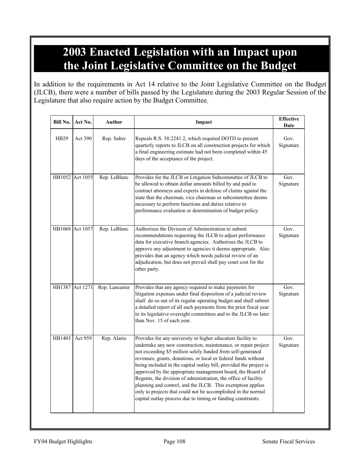# **2003 Enacted Legislation with an Impact upon the Joint Legislative Committee on the Budget**

In addition to the requirements in Act 14 relative to the Joint Legislative Committee on the Budget (JLCB), there were a number of bills passed by the Legislature during the 2003 Regular Session of the Legislature that also require action by the Budget Committee.

| Bill No.    | Act No.         | Author         | Impact                                                                                                                                                                                                                                                                                                                                                                                                                                                                                                                                                                                                                                                               | <b>Effective</b><br>Date      |
|-------------|-----------------|----------------|----------------------------------------------------------------------------------------------------------------------------------------------------------------------------------------------------------------------------------------------------------------------------------------------------------------------------------------------------------------------------------------------------------------------------------------------------------------------------------------------------------------------------------------------------------------------------------------------------------------------------------------------------------------------|-------------------------------|
| <b>HB29</b> | Act 390         | Rep. Salter    | Repeals R.S. 38:2241.2, which required DOTD to present<br>quarterly reports to JLCB on all construction projects for which<br>a final engineering estimate had not been completed within 45<br>days of the acceptance of the project.                                                                                                                                                                                                                                                                                                                                                                                                                                | Gov.<br>Signature             |
|             | HB1052 Act 1055 | Rep. LeBlanc   | Provides for the JLCB or Litigation Subcommittee of JLCB to<br>be allowed to obtain dollar amounts billed by and paid to<br>contract attorneys and experts in defense of claims against the<br>state that the chairman, vice chairman or subcommittee deems<br>necessary to perform functions and duties relative to<br>performance evaluation or determination of budget policy.                                                                                                                                                                                                                                                                                    | Gov <sub>1</sub><br>Signature |
|             | HB1068 Act 1057 | Rep. LeBlanc   | Authorizes the Division of Administration to submit<br>recommendations requesting the JLCB to adjust performance<br>data for executive branch agencies. Authorizes the JLCB to<br>approve any adjustment to agencies it deems appropriate. Also<br>provides that an agency which needs judicial review of an<br>adjudication, but does not prevail shall pay court cost for the<br>other party.                                                                                                                                                                                                                                                                      | Gov.<br>Signature             |
|             | HB1387 Act 1271 | Rep. Lancaster | Provides that any agency required to make payments for<br>litigation expenses under final disposition of a judicial review<br>shall do so out of its regular operating budget and shall submit<br>a detailed report of all such payments from the prior fiscal year<br>to its legislative oversight committees and to the JLCB no later<br>than Nov. 15 of each year.                                                                                                                                                                                                                                                                                                | Gov.<br>Signature             |
| HB1403      | Act 959         | Rep. Alario    | Provides for any university or higher education facility to<br>undertake any new construction, maintenance, or repair project<br>not exceeding \$5 million solely funded from self-generated<br>revenues, grants, donations, or local or federal funds without<br>being included in the capital outlay bill, provided the project is<br>approved by the appropriate management board, the Board of<br>Regents, the division of administration, the office of facility<br>planning and control, and the JLCB. This exemption applies<br>only to projects that could not be accomplished in the normal<br>capital outlay process due to timing or funding constraints. | Gov.<br>Signature             |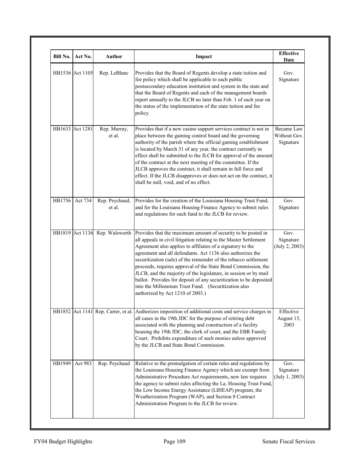| <b>Bill No.</b> | Act No.         | <b>Author</b>            | Impact                                                                                                                                                                                                                                                                                                                                                                                                                                                                                                                                                                                                                                   | <b>Effective</b><br>Date                       |
|-----------------|-----------------|--------------------------|------------------------------------------------------------------------------------------------------------------------------------------------------------------------------------------------------------------------------------------------------------------------------------------------------------------------------------------------------------------------------------------------------------------------------------------------------------------------------------------------------------------------------------------------------------------------------------------------------------------------------------------|------------------------------------------------|
|                 | HB1536 Act 1105 | Rep. LeBlanc             | Provides that the Board of Regents develop a state tuition and<br>fee policy which shall be applicable to each public<br>postsecondary education institution and system in the state and<br>that the Board of Regents and each of the management boards<br>report annually to the JLCB no later than Feb. 1 of each year on<br>the status of the implementation of the state tuition and fee<br>policy.                                                                                                                                                                                                                                  | Gov.<br>Signature                              |
|                 | HB1633 Act 1281 | Rep. Murray,<br>et al.   | Provides that if a new casino support services contract is not in<br>place between the gaming control board and the governing<br>authority of the parish where the official gaming establishment<br>is located by March 31 of any year, the contract currently in<br>effect shall be submitted to the JLCB for approval of the amount<br>of the contract at the next meeting of the committee. If the<br>JLCB approves the contract, it shall remain in full force and<br>effect. If the JLCB disapproves or does not act on the contract, it<br>shall be null, void, and of no effect.                                                  | <b>Became Law</b><br>Without Gov.<br>Signature |
| HB1756          | Act 734         | Rep. Peychaud,<br>et al. | Provides for the creation of the Louisiana Housing Trust Fund,<br>and for the Louisiana Housing Finance Agency to submit rules<br>and regulations for such fund to the JLCB for review.                                                                                                                                                                                                                                                                                                                                                                                                                                                  | Gov.<br>Signature                              |
|                 | HB1819 Act 1136 | Rep. Walsworth           | Provides that the maximum amount of security to be posted in<br>all appeals in civil litigation relating to the Master Settlement<br>Agreement also applies to affiliates of a signatory to the<br>agreement and all defendants. Act 1136 also authorizes the<br>securitization (sale) of the remainder of the tobacco settlement<br>proceeds, requires approval of the State Bond Commission, the<br>JLCB, and the majority of the legislature, in session or by mail<br>ballot. Provides for deposit of any securitization to be deposited<br>into the Millennium Trust Fund. (Securitization also<br>authorized by Act 1210 of 2003.) | Gov.<br>Signature<br>(July 2, 2003)            |
|                 |                 |                          | HB1852 Act 1141 Rep. Carter, et al. Authorizes imposition of additional costs and service charges in<br>all cases in the 19th JDC for the purpose of retiring debt<br>associated with the planning and construction of a facility<br>housing the 19th JDC, the clerk of court, and the EBR Family<br>Court. Prohibits expenditure of such monies unless approved<br>by the JLCB and State Bond Commission.                                                                                                                                                                                                                               | Effective<br>August 15,<br>2003                |
| HB1949          | Act 983         | Rep. Peychaud            | Relative to the promulgation of certain rules and regulations by<br>the Louisiana Housing Finance Agency which are exempt from<br>Administrative Procedure Act requirements, new law requires<br>the agency to submit rules affecting the La. Housing Trust Fund,<br>the Low Income Energy Assistance (LIHEAP) program, the<br>Weatherization Program (WAP), and Section 8 Contract<br>Administration Program to the JLCB for review.                                                                                                                                                                                                    | Gov.<br>Signature<br>(July 1, 2003)            |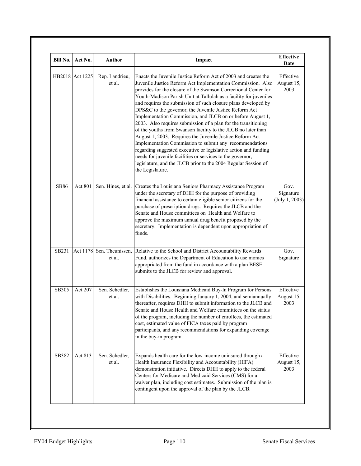| Bill No.    | Act No.         | Author                     | Impact                                                                                                                                                                                                                                                                                                                                                                                                                                                                                                                                                                                                                                                                                                                                                                                                                                                                                                                                           | <b>Effective</b><br>Date            |
|-------------|-----------------|----------------------------|--------------------------------------------------------------------------------------------------------------------------------------------------------------------------------------------------------------------------------------------------------------------------------------------------------------------------------------------------------------------------------------------------------------------------------------------------------------------------------------------------------------------------------------------------------------------------------------------------------------------------------------------------------------------------------------------------------------------------------------------------------------------------------------------------------------------------------------------------------------------------------------------------------------------------------------------------|-------------------------------------|
|             | HB2018 Act 1225 | Rep. Landrieu,<br>et al.   | Enacts the Juvenile Justice Reform Act of 2003 and creates the<br>Juvenile Justice Reform Act Implementation Commission. Also<br>provides for the closure of the Swanson Correctional Center for<br>Youth-Madison Parish Unit at Tallulah as a facility for juveniles<br>and requires the submission of such closure plans developed by<br>DPS&C to the governor, the Juvenile Justice Reform Act<br>Implementation Commission, and JLCB on or before August 1,<br>2003. Also requires submission of a plan for the transitioning<br>of the youths from Swanson facility to the JLCB no later than<br>August 1, 2003. Requires the Juvenile Justice Reform Act<br>Implementation Commission to submit any recommendations<br>regarding suggested executive or legislative action and funding<br>needs for juvenile facilities or services to the governor,<br>legislature, and the JLCB prior to the 2004 Regular Session of<br>the Legislature. | Effective<br>August 15,<br>2003     |
| <b>SB86</b> | Act 801         | Sen. Hines, et al.         | Creates the Louisiana Seniors Pharmacy Assistance Program<br>under the secretary of DHH for the purpose of providing<br>financial assistance to certain eligible senior citizens for the<br>purchase of prescription drugs. Requires the JLCB and the<br>Senate and House committees on Health and Welfare to<br>approve the maximum annual drug benefit proposed by the<br>secretary. Implementation is dependent upon appropriation of<br>funds.                                                                                                                                                                                                                                                                                                                                                                                                                                                                                               | Gov.<br>Signature<br>(July 1, 2003) |
| SB231       | Act 1178        | Sen. Theunissen,<br>et al. | Relative to the School and District Accountability Rewards<br>Fund, authorizes the Department of Education to use monies<br>appropriated from the fund in accordance with a plan BESE<br>submits to the JLCB for review and approval.                                                                                                                                                                                                                                                                                                                                                                                                                                                                                                                                                                                                                                                                                                            | Gov.<br>Signature                   |
| SB305       | Act 207         | Sen. Schedler,<br>et al.   | Establishes the Louisiana Medicaid Buy-In Program for Persons<br>with Disabilities. Beginning January 1, 2004, and semiannually<br>thereafter, requires DHH to submit information to the JLCB and<br>Senate and House Health and Welfare committees on the status<br>of the program, including the number of enrollees, the estimated<br>cost, estimated value of FICA taxes paid by program<br>participants, and any recommendations for expanding coverage<br>in the buy-in program.                                                                                                                                                                                                                                                                                                                                                                                                                                                           | Effective<br>August 15,<br>2003     |
| SB382       | Act 813         | Sen. Schedler,<br>et al.   | Expands health care for the low-income uninsured through a<br>Health Insurance Flexibility and Accountability (HIFA)<br>demonstration initiative. Directs DHH to apply to the federal<br>Centers for Medicare and Medicaid Services (CMS) for a<br>waiver plan, including cost estimates. Submission of the plan is<br>contingent upon the approval of the plan by the JLCB.                                                                                                                                                                                                                                                                                                                                                                                                                                                                                                                                                                     | Effective<br>August 15,<br>2003     |